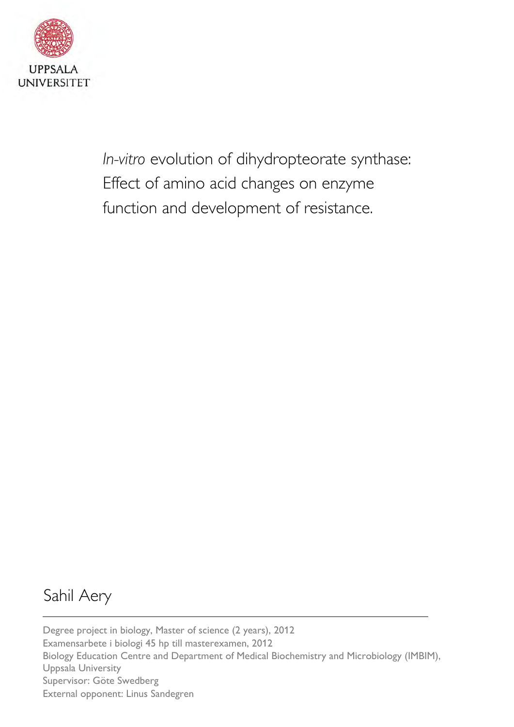

*In-vitro* evolution of dihydropteorate synthase: Effect of amino acid changes on enzyme function and development of resistance.

# Sahil Aery

Degree project in biology, Master of science (2 years), 2012 Examensarbete i biologi 45 hp till masterexamen, 2012 Biology Education Centre and Department of Medical Biochemistry and Microbiology (IMBIM), Uppsala University Supervisor: Göte Swedberg External opponent: Linus Sandegren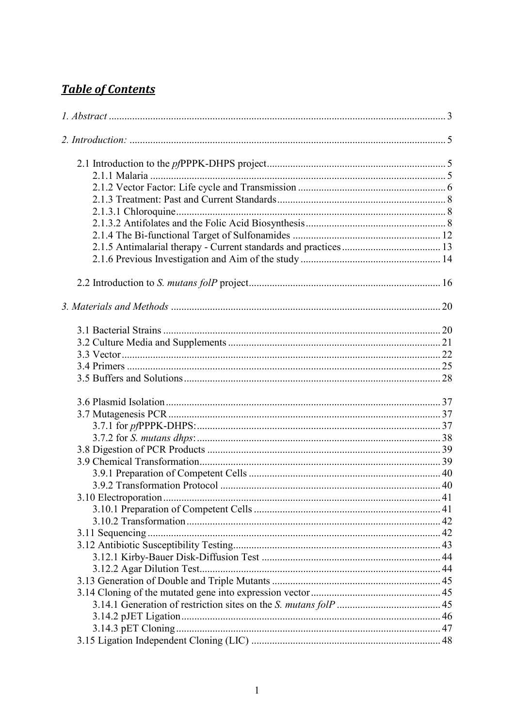# **Table of Contents**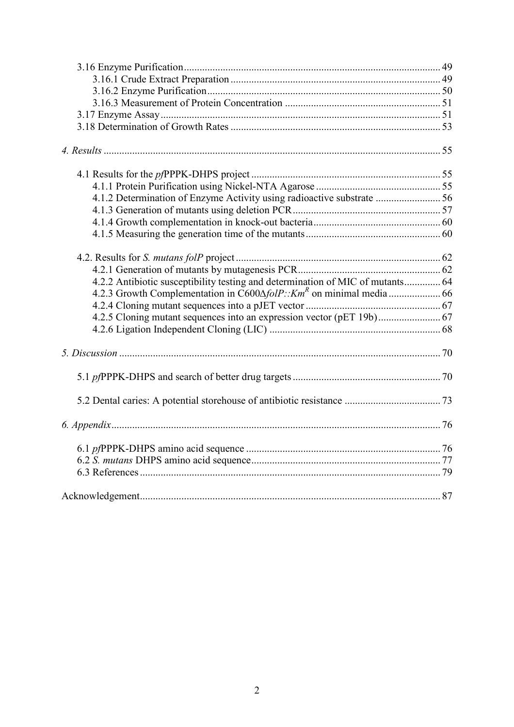| 4.1.2 Determination of Enzyme Activity using radioactive substrate  56         |  |
|--------------------------------------------------------------------------------|--|
|                                                                                |  |
|                                                                                |  |
|                                                                                |  |
|                                                                                |  |
|                                                                                |  |
| 4.2.2 Antibiotic susceptibility testing and determination of MIC of mutants 64 |  |
|                                                                                |  |
|                                                                                |  |
|                                                                                |  |
|                                                                                |  |
|                                                                                |  |
|                                                                                |  |
|                                                                                |  |
|                                                                                |  |
|                                                                                |  |
|                                                                                |  |
|                                                                                |  |
|                                                                                |  |
|                                                                                |  |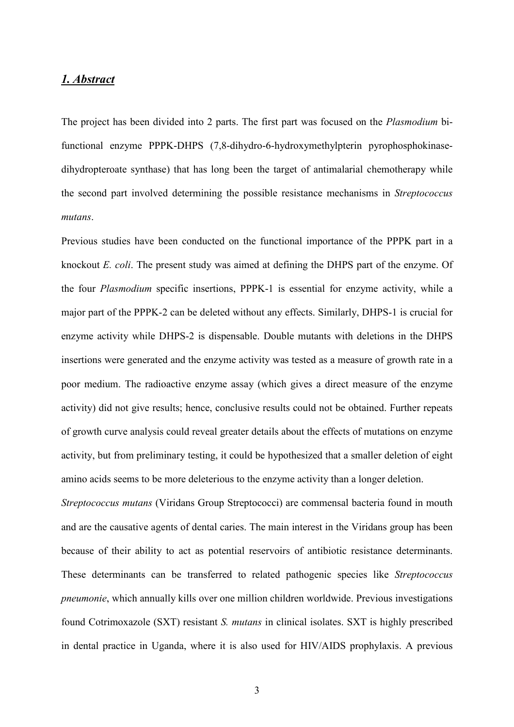#### <span id="page-3-0"></span>*1. Abstract*

The project has been divided into 2 parts. The first part was focused on the *Plasmodium* bifunctional enzyme PPPK-DHPS (7,8-dihydro-6-hydroxymethylpterin pyrophosphokinasedihydropteroate synthase) that has long been the target of antimalarial chemotherapy while the second part involved determining the possible resistance mechanisms in *Streptococcus mutans*.

Previous studies have been conducted on the functional importance of the PPPK part in a knockout *E. coli*. The present study was aimed at defining the DHPS part of the enzyme. Of the four *Plasmodium* specific insertions, PPPK-1 is essential for enzyme activity, while a major part of the PPPK-2 can be deleted without any effects. Similarly, DHPS-1 is crucial for enzyme activity while DHPS-2 is dispensable. Double mutants with deletions in the DHPS insertions were generated and the enzyme activity was tested as a measure of growth rate in a poor medium. The radioactive enzyme assay (which gives a direct measure of the enzyme activity) did not give results; hence, conclusive results could not be obtained. Further repeats of growth curve analysis could reveal greater details about the effects of mutations on enzyme activity, but from preliminary testing, it could be hypothesized that a smaller deletion of eight amino acids seems to be more deleterious to the enzyme activity than a longer deletion.

*Streptococcus mutans* (Viridans Group Streptococci) are commensal bacteria found in mouth and are the causative agents of dental caries. The main interest in the Viridans group has been because of their ability to act as potential reservoirs of antibiotic resistance determinants. These determinants can be transferred to related pathogenic species like *Streptococcus pneumonie*, which annually kills over one million children worldwide. Previous investigations found Cotrimoxazole (SXT) resistant *S. mutans* in clinical isolates. SXT is highly prescribed in dental practice in Uganda, where it is also used for HIV/AIDS prophylaxis. A previous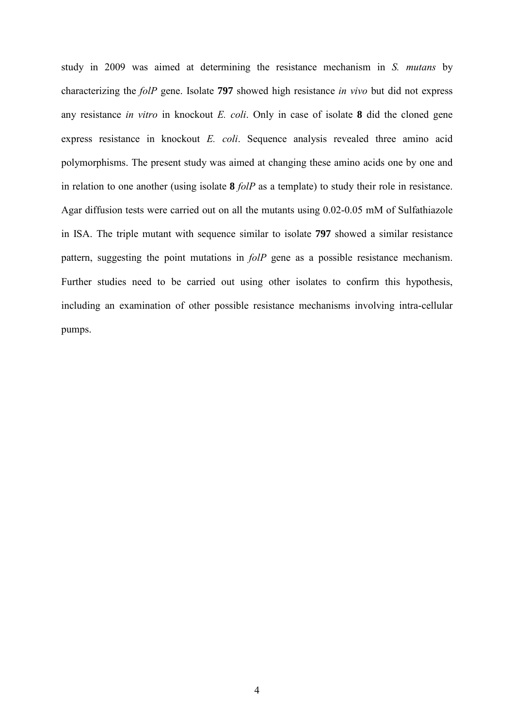study in 2009 was aimed at determining the resistance mechanism in *S. mutans* by characterizing the *folP* gene. Isolate **797** showed high resistance *in vivo* but did not express any resistance *in vitro* in knockout *E. coli*. Only in case of isolate **8** did the cloned gene express resistance in knockout *E. coli*. Sequence analysis revealed three amino acid polymorphisms. The present study was aimed at changing these amino acids one by one and in relation to one another (using isolate **8** *folP* as a template) to study their role in resistance. Agar diffusion tests were carried out on all the mutants using 0.02-0.05 mM of Sulfathiazole in ISA. The triple mutant with sequence similar to isolate **797** showed a similar resistance pattern, suggesting the point mutations in *folP* gene as a possible resistance mechanism. Further studies need to be carried out using other isolates to confirm this hypothesis, including an examination of other possible resistance mechanisms involving intra-cellular pumps.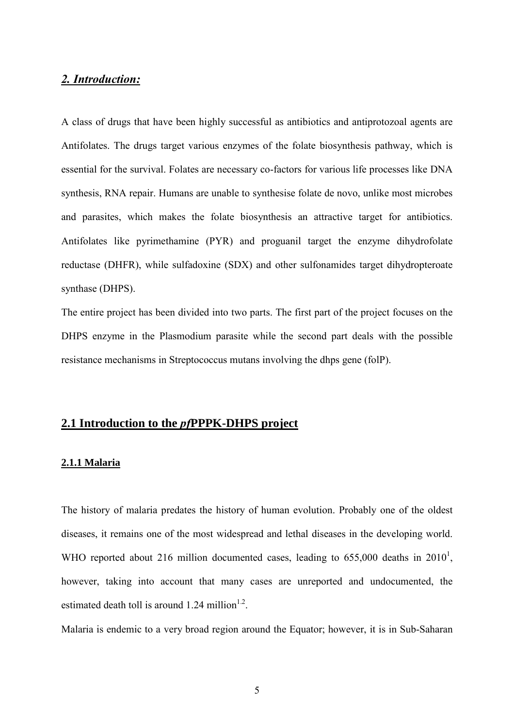## <span id="page-5-0"></span>*2. Introduction:*

A class of drugs that have been highly successful as antibiotics and antiprotozoal agents are Antifolates. The drugs target various enzymes of the folate biosynthesis pathway, which is essential for the survival. Folates are necessary co-factors for various life processes like DNA synthesis, RNA repair. Humans are unable to synthesise folate de novo, unlike most microbes and parasites, which makes the folate biosynthesis an attractive target for antibiotics. Antifolates like pyrimethamine (PYR) and proguanil target the enzyme dihydrofolate reductase (DHFR), while sulfadoxine (SDX) and other sulfonamides target dihydropteroate synthase (DHPS).

The entire project has been divided into two parts. The first part of the project focuses on the DHPS enzyme in the Plasmodium parasite while the second part deals with the possible resistance mechanisms in Streptococcus mutans involving the dhps gene (folP).

# <span id="page-5-1"></span>**2.1 Introduction to the** *pf***PPPK-DHPS project**

#### <span id="page-5-2"></span>**2.1.1 Malaria**

The history of malaria predates the history of human evolution. Probably one of the oldest diseases, it remains one of the most widespread and lethal diseases in the developing world. WHO reported about 216 million documented cases, leading to  $655,000$  deaths in  $2010<sup>1</sup>$ , however, taking into account that many cases are unreported and undocumented, the estimated death toll is around 1.24 million<sup>1.2</sup>.

Malaria is endemic to a very broad region around the Equator; however, it is in Sub-Saharan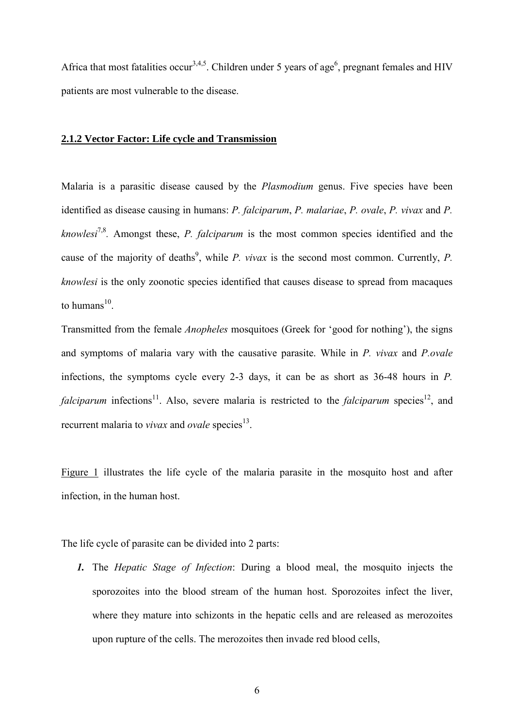Africa that most fatalities occur<sup>3,4,5</sup>. Children under 5 years of age<sup>6</sup>, pregnant females and HIV patients are most vulnerable to the disease.

### <span id="page-6-0"></span>**2.1.2 Vector Factor: Life cycle and Transmission**

Malaria is a parasitic disease caused by the *Plasmodium* genus. Five species have been identified as disease causing in humans: *P. falciparum*, *P. malariae*, *P. ovale*, *P. vivax* and *P. knowlesi*7,8*.* Amongst these, *P. falciparum* is the most common species identified and the cause of the majority of deaths<sup>9</sup>, while *P. vivax* is the second most common. Currently, *P. knowlesi* is the only zoonotic species identified that causes disease to spread from macaques to humans $^{10}$ .

Transmitted from the female *Anopheles* mosquitoes (Greek for 'good for nothing'), the signs and symptoms of malaria vary with the causative parasite. While in *P. vivax* and *P.ovale* infections, the symptoms cycle every 2-3 days, it can be as short as 36-48 hours in *P. falciparum* infections<sup>11</sup>. Also, severe malaria is restricted to the *falciparum* species<sup>12</sup>, and recurrent malaria to *vivax* and *ovale* species<sup>13</sup>.

Figure 1 illustrates the life cycle of the malaria parasite in the mosquito host and after infection, in the human host.

The life cycle of parasite can be divided into 2 parts:

*1.* The *Hepatic Stage of Infection*: During a blood meal, the mosquito injects the sporozoites into the blood stream of the human host. Sporozoites infect the liver, where they mature into schizonts in the hepatic cells and are released as merozoites upon rupture of the cells. The merozoites then invade red blood cells,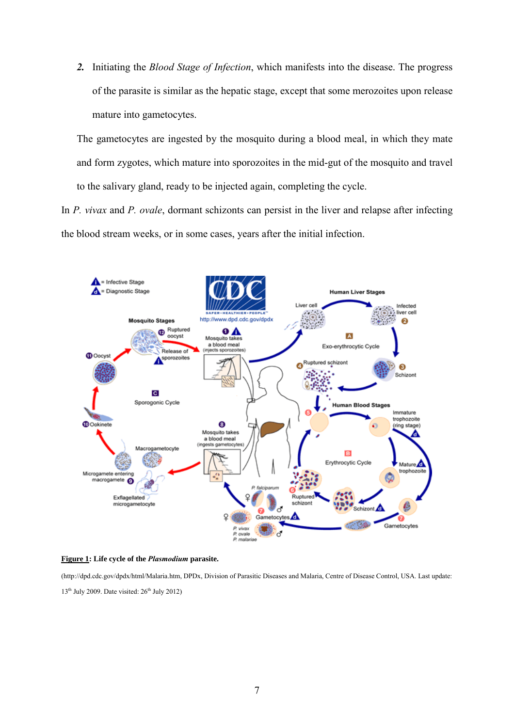*2.* Initiating the *Blood Stage of Infection*, which manifests into the disease. The progress of the parasite is similar as the hepatic stage, except that some merozoites upon release mature into gametocytes.

The gametocytes are ingested by the mosquito during a blood meal, in which they mate and form zygotes, which mature into sporozoites in the mid-gut of the mosquito and travel to the salivary gland, ready to be injected again, completing the cycle.

In *P. vivax* and *P. ovale*, dormant schizonts can persist in the liver and relapse after infecting the blood stream weeks, or in some cases, years after the initial infection.



**Figure 1: Life cycle of the** *Plasmodium* **parasite.**

(http://dpd.cdc.gov/dpdx/html/Malaria.htm, DPDx, Division of Parasitic Diseases and Malaria, Centre of Disease Control, USA. Last update:  $13<sup>th</sup>$  July 2009. Date visited:  $26<sup>th</sup>$  July 2012)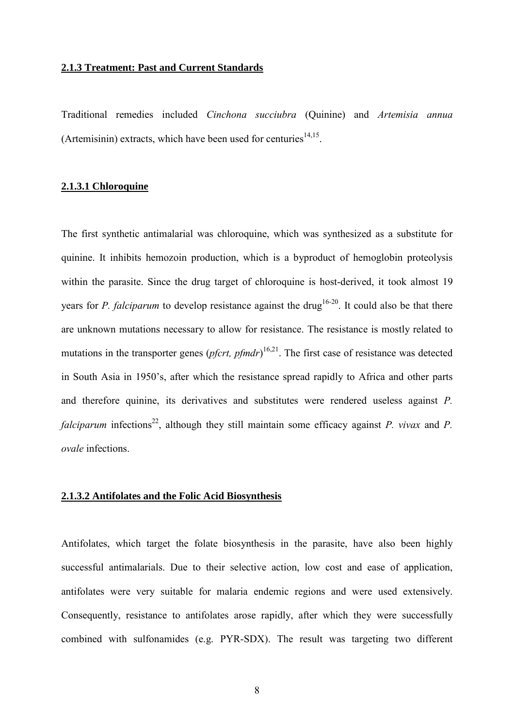#### <span id="page-8-0"></span>**2.1.3 Treatment: Past and Current Standards**

Traditional remedies included *Cinchona succiubra* (Quinine) and *Artemisia annua* (Artemisinin) extracts, which have been used for centuries<sup>14,15</sup>.

### <span id="page-8-1"></span>**2.1.3.1 Chloroquine**

The first synthetic antimalarial was chloroquine, which was synthesized as a substitute for quinine. It inhibits hemozoin production, which is a byproduct of hemoglobin proteolysis within the parasite. Since the drug target of chloroquine is host-derived, it took almost 19 years for *P. falciparum* to develop resistance against the drug<sup>16-20</sup>. It could also be that there are unknown mutations necessary to allow for resistance. The resistance is mostly related to mutations in the transporter genes (*pfcrt, pfmdr*) 16,21. The first case of resistance was detected in South Asia in 1950's, after which the resistance spread rapidly to Africa and other parts and therefore quinine, its derivatives and substitutes were rendered useless against *P. falciparum* infections<sup>22</sup>, although they still maintain some efficacy against *P. vivax* and *P. ovale* infections.

### <span id="page-8-2"></span>**2.1.3.2 Antifolates and the Folic Acid Biosynthesis**

Antifolates, which target the folate biosynthesis in the parasite, have also been highly successful antimalarials. Due to their selective action, low cost and ease of application, antifolates were very suitable for malaria endemic regions and were used extensively. Consequently, resistance to antifolates arose rapidly, after which they were successfully combined with sulfonamides (e.g. PYR-SDX). The result was targeting two different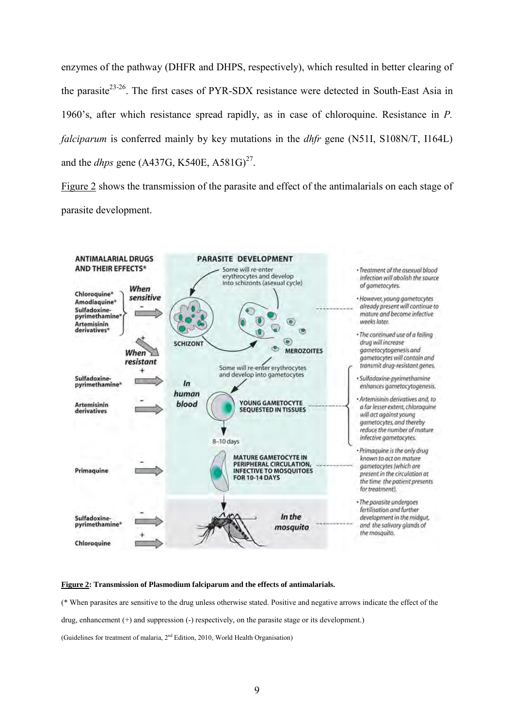enzymes of the pathway (DHFR and DHPS, respectively), which resulted in better clearing of the parasite<sup>23-26</sup>. The first cases of PYR-SDX resistance were detected in South-East Asia in 1960's, after which resistance spread rapidly, as in case of chloroquine. Resistance in *P. falciparum* is conferred mainly by key mutations in the *dhfr* gene (N51I, S108N/T, I164L) and the *dhps* gene (A437G, K540E, A581G)<sup>27</sup>.

Figure 2 shows the transmission of the parasite and effect of the antimalarials on each stage of parasite development.



#### **Figure 2: Transmission of Plasmodium falciparum and the effects of antimalarials.**

(\* When parasites are sensitive to the drug unless otherwise stated. Positive and negative arrows indicate the effect of the drug, enhancement (+) and suppression (-) respectively, on the parasite stage or its development.) (Guidelines for treatment of malaria,  $2<sup>nd</sup>$  Edition, 2010, World Health Organisation)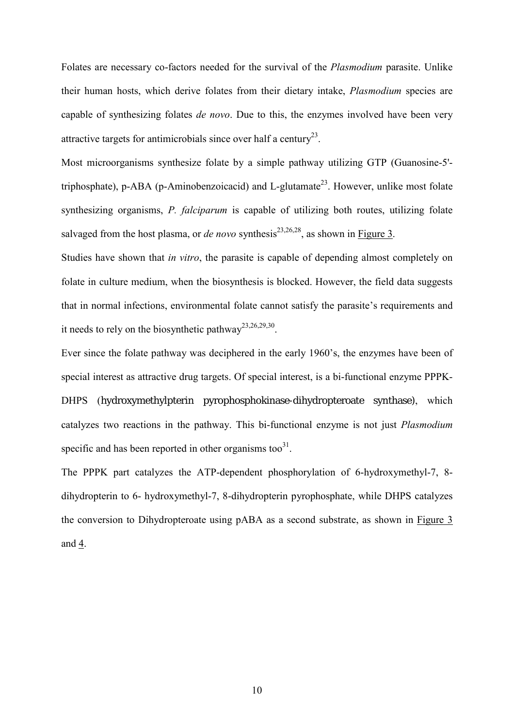Folates are necessary co-factors needed for the survival of the *Plasmodium* parasite. Unlike their human hosts, which derive folates from their dietary intake, *Plasmodium* species are capable of synthesizing folates *de novo*. Due to this, the enzymes involved have been very attractive targets for antimicrobials since over half a century<sup>23</sup>.

Most microorganisms synthesize folate by a simple pathway utilizing GTP (Guanosine-5' triphosphate), p-ABA (p-Aminobenzoicacid) and L-glutamate<sup>23</sup>. However, unlike most folate synthesizing organisms, *P. falciparum* is capable of utilizing both routes, utilizing folate salvaged from the host plasma, or *de novo* synthesis<sup>23,26,28</sup>, as shown in Figure 3.

Studies have shown that *in vitro*, the parasite is capable of depending almost completely on folate in culture medium, when the biosynthesis is blocked. However, the field data suggests that in normal infections, environmental folate cannot satisfy the parasite's requirements and it needs to rely on the biosynthetic pathway<sup>23,26,29,30</sup>.

Ever since the folate pathway was deciphered in the early 1960's, the enzymes have been of special interest as attractive drug targets. Of special interest, is a bi-functional enzyme PPPK-DHPS (hydroxymethylpterin pyrophosphokinase-dihydropteroate synthase), which catalyzes two reactions in the pathway. This bi-functional enzyme is not just *Plasmodium* specific and has been reported in other organisms too $31$ .

The PPPK part catalyzes the ATP-dependent phosphorylation of 6-hydroxymethyl-7, 8 dihydropterin to 6- hydroxymethyl-7, 8-dihydropterin pyrophosphate, while DHPS catalyzes the conversion to Dihydropteroate using pABA as a second substrate, as shown in Figure 3 and 4.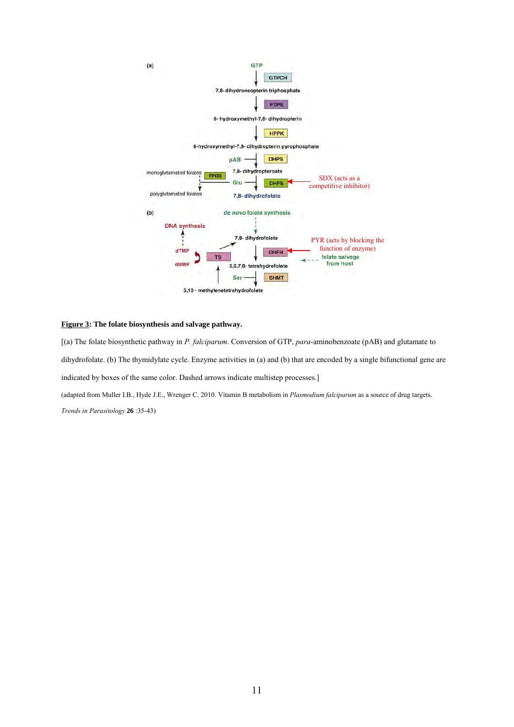

#### **Figure 3: The folate biosynthesis and salvage pathway.**

[(a) The folate biosynthetic pathway in *P. falciparum*. Conversion of GTP, *para*-aminobenzoate (pAB) and glutamate to dihydrofolate. (b) The thymidylate cycle. Enzyme activities in (a) and (b) that are encoded by a single bifunctional gene are indicated by boxes of the same color. Dashed arrows indicate multistep processes.] (adapted from Muller I.B., Hyde J.E., Wrenger C. 2010. Vitamin B metabolism in *Plasmodium falciparum* as a source of drug targets. *Trends in Parasitology* **26** :35-43)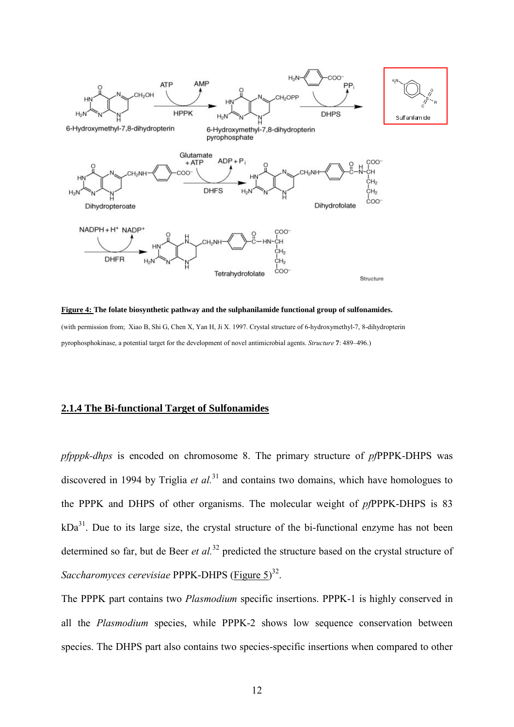

**Figure 4: The folate biosynthetic pathway and the sulphanilamide functional group of sulfonamides.**  (with permission from; Xiao B, Shi G, Chen X, Yan H, Ji X. 1997. Crystal structure of 6-hydroxymethyl-7, 8-dihydropterin pyrophosphokinase, a potential target for the development of novel antimicrobial agents. *Structure* **7**: 489–496.)

### <span id="page-12-0"></span>**2.1.4 The Bi-functional Target of Sulfonamides**

*pfpppk-dhps* is encoded on chromosome 8. The primary structure of *pf*PPPK-DHPS was discovered in 1994 by Triglia *et al.*<sup>31</sup> and contains two domains, which have homologues to the PPPK and DHPS of other organisms. The molecular weight of *pf*PPPK-DHPS is 83  $kDa<sup>31</sup>$ . Due to its large size, the crystal structure of the bi-functional enzyme has not been determined so far, but de Beer *et al.*<sup>32</sup> predicted the structure based on the crystal structure of *Saccharomyces cerevisiae* PPPK-DHPS (Figure 5)<sup>32</sup>.

The PPPK part contains two *Plasmodium* specific insertions. PPPK-1 is highly conserved in all the *Plasmodium* species, while PPPK-2 shows low sequence conservation between species. The DHPS part also contains two species-specific insertions when compared to other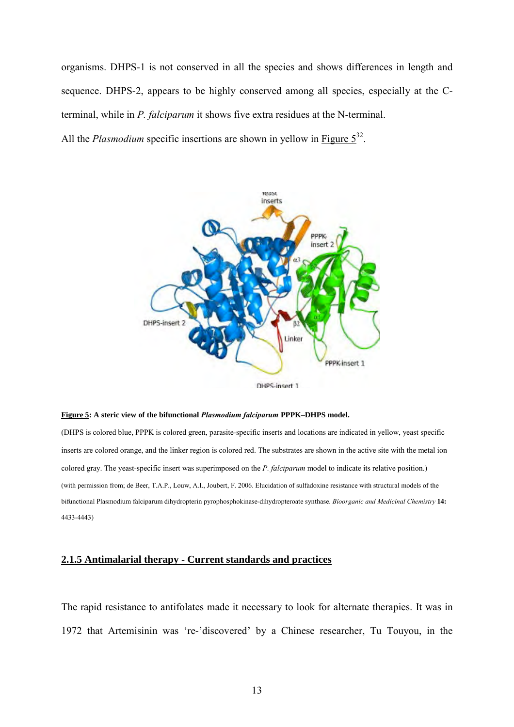organisms. DHPS-1 is not conserved in all the species and shows differences in length and sequence. DHPS-2, appears to be highly conserved among all species, especially at the Cterminal, while in *P. falciparum* it shows five extra residues at the N-terminal.

All the *Plasmodium* specific insertions are shown in yellow in Figure  $5^{32}$ .



DHPS-insert 1

#### **Figure 5: A steric view of the bifunctional** *Plasmodium falciparum* **PPPK–DHPS model.**

(DHPS is colored blue, PPPK is colored green, parasite-specific inserts and locations are indicated in yellow, yeast specific inserts are colored orange, and the linker region is colored red. The substrates are shown in the active site with the metal ion colored gray. The yeast-specific insert was superimposed on the *P. falciparum* model to indicate its relative position.) (with permission from; de Beer, T.A.P., Louw, A.I., Joubert, F. 2006. Elucidation of sulfadoxine resistance with structural models of the bifunctional Plasmodium falciparum dihydropterin pyrophosphokinase-dihydropteroate synthase. *Bioorganic and Medicinal Chemistry* **14:**  4433-4443)

#### <span id="page-13-0"></span>**2.1.5 Antimalarial therapy - Current standards and practices**

The rapid resistance to antifolates made it necessary to look for alternate therapies. It was in 1972 that Artemisinin was 're-'discovered' by a Chinese researcher, Tu Touyou, in the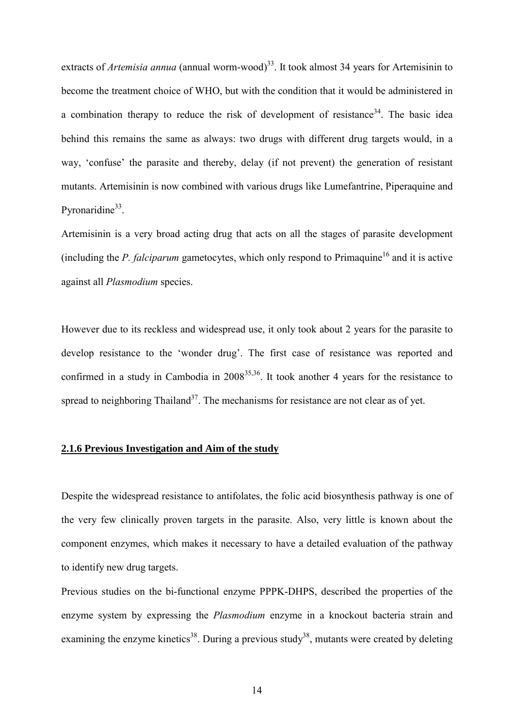extracts of *Artemisia annua* (annual worm-wood)<sup>33</sup>. It took almost 34 years for Artemisinin to become the treatment choice of WHO, but with the condition that it would be administered in a combination therapy to reduce the risk of development of resistance<sup>34</sup>. The basic idea behind this remains the same as always: two drugs with different drug targets would, in a way, 'confuse' the parasite and thereby, delay (if not prevent) the generation of resistant mutants. Artemisinin is now combined with various drugs like Lumefantrine, Piperaquine and Pyronaridine<sup>33</sup>.

Artemisinin is a very broad acting drug that acts on all the stages of parasite development (including the  $P$ . falciparum gametocytes, which only respond to  $Prima$ quine<sup>16</sup> and it is active against all *Plasmodium* species.

However due to its reckless and widespread use, it only took about 2 years for the parasite to develop resistance to the 'wonder drug'. The first case of resistance was reported and confirmed in a study in Cambodia in  $2008^{35,36}$ . It took another 4 years for the resistance to spread to neighboring Thailand<sup>37</sup>. The mechanisms for resistance are not clear as of yet.

### <span id="page-14-0"></span>**2.1.6 Previous Investigation and Aim of the study**

Despite the widespread resistance to antifolates, the folic acid biosynthesis pathway is one of the very few clinically proven targets in the parasite. Also, very little is known about the component enzymes, which makes it necessary to have a detailed evaluation of the pathway to identify new drug targets.

Previous studies on the bi-functional enzyme PPPK-DHPS, described the properties of the enzyme system by expressing the *Plasmodium* enzyme in a knockout bacteria strain and examining the enzyme kinetics<sup>38</sup>. During a previous study<sup>38</sup>, mutants were created by deleting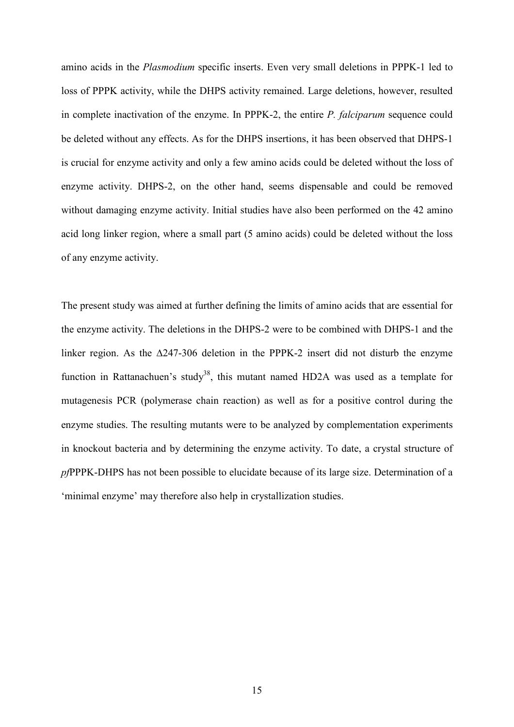amino acids in the *Plasmodium* specific inserts. Even very small deletions in PPPK-1 led to loss of PPPK activity, while the DHPS activity remained. Large deletions, however, resulted in complete inactivation of the enzyme. In PPPK-2, the entire *P. falciparum* sequence could be deleted without any effects. As for the DHPS insertions, it has been observed that DHPS-1 is crucial for enzyme activity and only a few amino acids could be deleted without the loss of enzyme activity. DHPS-2, on the other hand, seems dispensable and could be removed without damaging enzyme activity. Initial studies have also been performed on the 42 amino acid long linker region, where a small part (5 amino acids) could be deleted without the loss of any enzyme activity.

The present study was aimed at further defining the limits of amino acids that are essential for the enzyme activity. The deletions in the DHPS-2 were to be combined with DHPS-1 and the linker region. As the ∆247-306 deletion in the PPPK-2 insert did not disturb the enzyme function in Rattanachuen's study<sup>38</sup>, this mutant named HD2A was used as a template for mutagenesis PCR (polymerase chain reaction) as well as for a positive control during the enzyme studies. The resulting mutants were to be analyzed by complementation experiments in knockout bacteria and by determining the enzyme activity. To date, a crystal structure of *pf*PPPK-DHPS has not been possible to elucidate because of its large size. Determination of a 'minimal enzyme' may therefore also help in crystallization studies.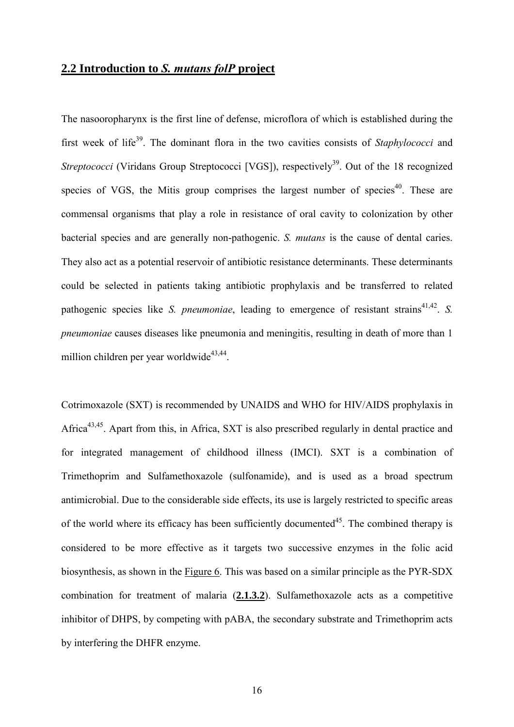# <span id="page-16-0"></span>**2.2 Introduction to** *S. mutans folP* **project**

The nasooropharynx is the first line of defense, microflora of which is established during the first week of life<sup>39</sup>. The dominant flora in the two cavities consists of *Staphylococci* and *Streptococci* (Viridans Group Streptococci [VGS]), respectively<sup>39</sup>. Out of the 18 recognized species of VGS, the Mitis group comprises the largest number of species<sup>40</sup>. These are commensal organisms that play a role in resistance of oral cavity to colonization by other bacterial species and are generally non-pathogenic. *S. mutans* is the cause of dental caries. They also act as a potential reservoir of antibiotic resistance determinants. These determinants could be selected in patients taking antibiotic prophylaxis and be transferred to related pathogenic species like *S. pneumoniae*, leading to emergence of resistant strains<sup>41,42</sup>. *S. pneumoniae* causes diseases like pneumonia and meningitis, resulting in death of more than 1 million children per year worldwide<sup>43,44</sup>.

Cotrimoxazole (SXT) is recommended by UNAIDS and WHO for HIV/AIDS prophylaxis in Africa<sup>43,45</sup>. Apart from this, in Africa, SXT is also prescribed regularly in dental practice and for integrated management of childhood illness (IMCI). SXT is a combination of Trimethoprim and Sulfamethoxazole (sulfonamide), and is used as a broad spectrum antimicrobial. Due to the considerable side effects, its use is largely restricted to specific areas of the world where its efficacy has been sufficiently documented<sup>45</sup>. The combined therapy is considered to be more effective as it targets two successive enzymes in the folic acid biosynthesis, as shown in the Figure 6. This was based on a similar principle as the PYR-SDX combination for treatment of malaria (**2.1.3.2**). Sulfamethoxazole acts as a competitive inhibitor of DHPS, by competing with pABA, the secondary substrate and Trimethoprim acts by interfering the DHFR enzyme.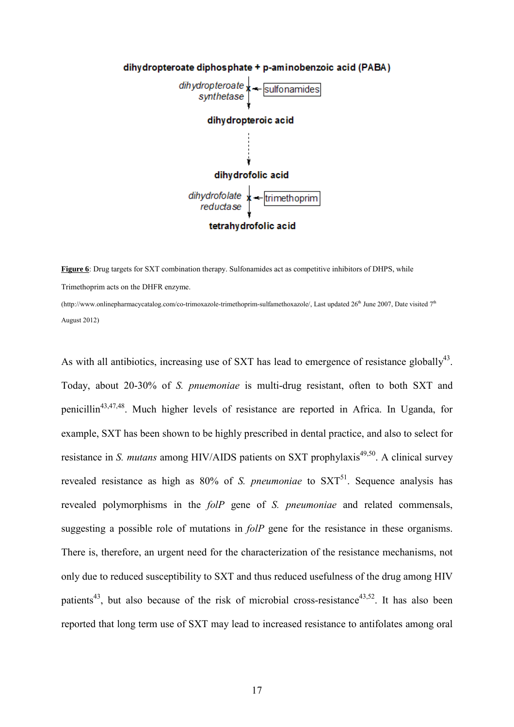

**Figure 6**: Drug targets for SXT combination therapy. Sulfonamides act as competitive inhibitors of DHPS, while Trimethoprim acts on the DHFR enzyme.

(http://www.onlinepharmacycatalog.com/co-trimoxazole-trimethoprim-sulfamethoxazole/, Last updated  $26<sup>th</sup>$  June 2007, Date visited  $7<sup>th</sup>$ August 2012)

As with all antibiotics, increasing use of SXT has lead to emergence of resistance globally $43$ . Today, about 20-30% of *S. pnuemoniae* is multi-drug resistant, often to both SXT and penicillin43,47,48. Much higher levels of resistance are reported in Africa. In Uganda, for example, SXT has been shown to be highly prescribed in dental practice, and also to select for resistance in *S. mutans* among HIV/AIDS patients on SXT prophylaxis<sup>49,50</sup>. A clinical survey revealed resistance as high as 80% of *S. pneumoniae* to SXT<sup>51</sup>. Sequence analysis has revealed polymorphisms in the *folP* gene of *S. pneumoniae* and related commensals, suggesting a possible role of mutations in *folP* gene for the resistance in these organisms. There is, therefore, an urgent need for the characterization of the resistance mechanisms, not only due to reduced susceptibility to SXT and thus reduced usefulness of the drug among HIV patients<sup>43</sup>, but also because of the risk of microbial cross-resistance<sup>43,52</sup>. It has also been reported that long term use of SXT may lead to increased resistance to antifolates among oral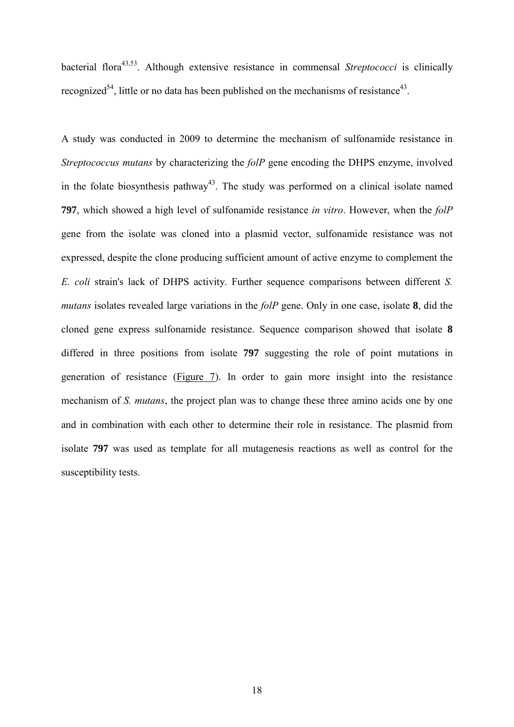bacterial flora<sup>43,53</sup>. Although extensive resistance in commensal *Streptococci* is clinically recognized<sup>54</sup>, little or no data has been published on the mechanisms of resistance<sup>43</sup>.

A study was conducted in 2009 to determine the mechanism of sulfonamide resistance in *Streptococcus mutans* by characterizing the *folP* gene encoding the DHPS enzyme, involved in the folate biosynthesis pathway<sup>43</sup>. The study was performed on a clinical isolate named **797**, which showed a high level of sulfonamide resistance *in vitro*. However, when the *folP* gene from the isolate was cloned into a plasmid vector, sulfonamide resistance was not expressed, despite the clone producing sufficient amount of active enzyme to complement the *E. coli* strain's lack of DHPS activity. Further sequence comparisons between different *S. mutans* isolates revealed large variations in the *folP* gene. Only in one case, isolate **8**, did the cloned gene express sulfonamide resistance. Sequence comparison showed that isolate **8** differed in three positions from isolate **797** suggesting the role of point mutations in generation of resistance (Figure 7). In order to gain more insight into the resistance mechanism of *S. mutans*, the project plan was to change these three amino acids one by one and in combination with each other to determine their role in resistance. The plasmid from isolate **797** was used as template for all mutagenesis reactions as well as control for the susceptibility tests.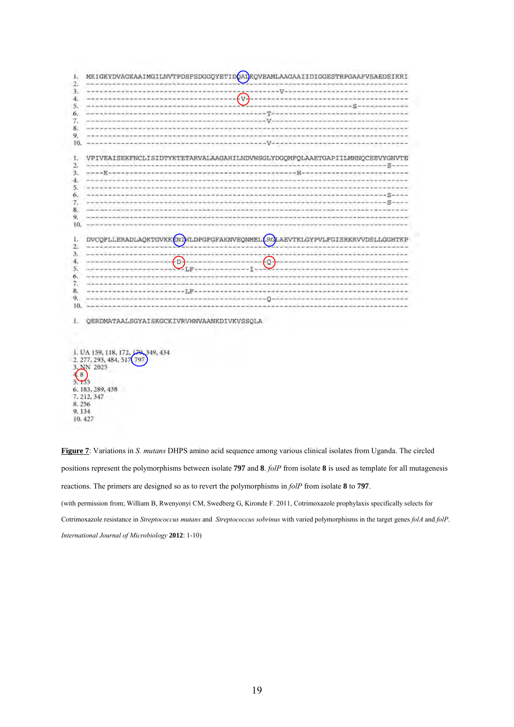1. MKIGKYDVAGKAAIMGILNVTPDSFSDGGQYETIDOAIKQVEAMLAAGAAIIDIGGESTRPGAAFVSAEDEIKRI  $\mathcal{L}$  $3.$  $V \mathcal{L}_{V}$  $4.$ all to have the first 5. Sec. -------------------The country of the first of the state of the country of the country of the 6. ニュウエミュー ka da wasan kacamatan ing Kabupatèn Ka . . . . . . . . 7.  $\overline{U}$  $\dot{8}$ 9, 10.  $-v$ 1. VPIVEAISEKFNCLISIDTYKTETARVALAAGAHILNDVWSGLYDGOMFOLAAETGAPIILMHNOCEEVYGNVTE  $2.$  $-8-$ 3. **Side of**  $4.$ 5. 6.  $---S--$ the project of the project to the project that the field from the field of the 7.  $11 - 5 - 12$  $\mathbf{x}$  $\mathbf{Q}$ 10. ī. DVCQFLLERADLAQKTGVKKENDWLDPGFGFAKNVEQNMELLRQLAEVTKLGYPVLFGISRKRVVDSLLGGHTKP  $\overline{2}$ 3.  $4.$  $\left( \mathbb{D}\right)$ fo-5,  $-$ LF Ĭ 6. 7. 8. to allow at one come to be to serve to be 9, نعمن كتنبذ 10.

1. OERDMATAALSGYAISKGCKIVRVHNVAANKDIVKVSSOLA

**Figure 7**: Variations in *S. mutans* DHPS amino acid sequence among various clinical isolates from Uganda. The circled positions represent the polymorphisms between isolate **797** and **8**. *folP* from isolate **8** is used as template for all mutagenesis reactions. The primers are designed so as to revert the polymorphisms in *folP* from isolate **8** to **797**. (with permission from; William B, Rwenyonyi CM, Swedberg G, Kironde F. 2011, Cotrimoxazole prophylaxis specifically selects for Cotrimoxazole resistance in *Streptococcus mutans* and *Streptococcus sobrinus* with varied polymorphisms in the target genes *folA* and *folP*. *International Journal of Microbiology* **2012**: 1-10)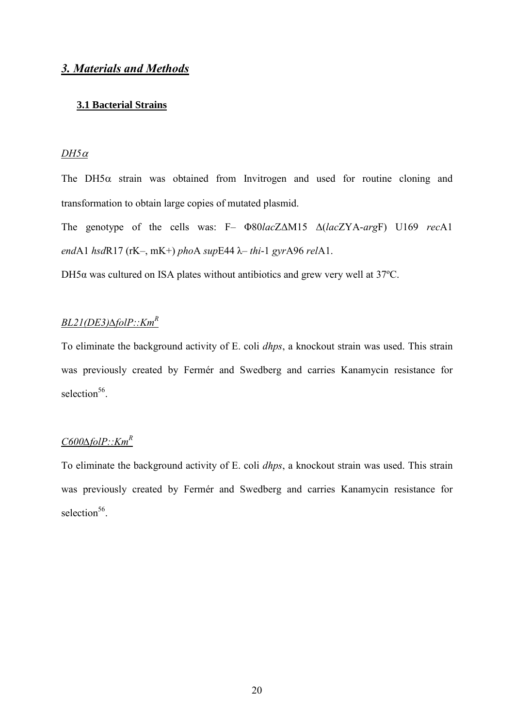# <span id="page-20-0"></span>*3. Materials and Methods*

# <span id="page-20-1"></span>**3.1 Bacterial Strains**

### *DH5*<sup>α</sup>

The DH5 $\alpha$  strain was obtained from Invitrogen and used for routine cloning and transformation to obtain large copies of mutated plasmid.

The genotype of the cells was: F– Φ80*lac*ZΔM15 Δ(*lac*ZYA-*arg*F) U169 *rec*A1 *end*A1 *hsd*R17 (rK–, mK+) *pho*A *sup*E44 λ– *thi*-1 *gyr*A96 *rel*A1.

DH5α was cultured on ISA plates without antibiotics and grew very well at 37ºC.

# *BL21(DE3)∆folP::KmR*

To eliminate the background activity of E. coli *dhps*, a knockout strain was used. This strain was previously created by Fermér and Swedberg and carries Kanamycin resistance for selection<sup>56</sup>.

# *C600∆folP::KmR*

To eliminate the background activity of E. coli *dhps*, a knockout strain was used. This strain was previously created by Fermér and Swedberg and carries Kanamycin resistance for selection<sup>56</sup>.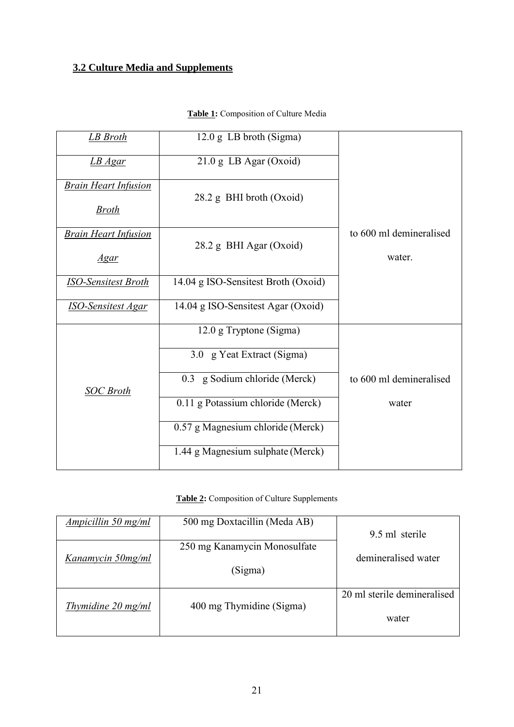# <span id="page-21-0"></span>**3.2 Culture Media and Supplements**

| <b>LB</b> Broth             | 12.0 g LB broth (Sigma)             |                         |
|-----------------------------|-------------------------------------|-------------------------|
|                             |                                     |                         |
| LB Agar                     | $21.0$ g LB Agar (Oxoid)            |                         |
| <b>Brain Heart Infusion</b> |                                     |                         |
|                             | 28.2 g BHI broth (Oxoid)            |                         |
| <b>Broth</b>                |                                     |                         |
| <b>Brain Heart Infusion</b> |                                     | to 600 ml demineralised |
|                             | 28.2 g BHI Agar (Oxoid)             |                         |
| <u>Agar</u>                 |                                     | water.                  |
| <b>ISO-Sensitest Broth</b>  | 14.04 g ISO-Sensitest Broth (Oxoid) |                         |
|                             |                                     |                         |
| <b>ISO-Sensitest Agar</b>   | 14.04 g ISO-Sensitest Agar (Oxoid)  |                         |
|                             | 12.0 g Tryptone (Sigma)             |                         |
|                             |                                     |                         |
|                             | 3.0 g Yeat Extract (Sigma)          |                         |
|                             |                                     | to 600 ml demineralised |
| <b>SOC</b> Broth            | 0.3 g Sodium chloride (Merck)       |                         |
|                             | 0.11 g Potassium chloride (Merck)   | water                   |
|                             |                                     |                         |
|                             | 0.57 g Magnesium chloride (Merck)   |                         |
|                             | 1.44 g Magnesium sulphate (Merck)   |                         |
|                             |                                     |                         |

# **Table 1:** Composition of Culture Media

**Table 2:** Composition of Culture Supplements

| Ampicillin 50 mg/ml          | 500 mg Doxtacillin (Meda AB)            | 9.5 ml sterile                       |
|------------------------------|-----------------------------------------|--------------------------------------|
| Kanamycin 50mg/ml            | 250 mg Kanamycin Monosulfate<br>(Sigma) | demineralised water                  |
| Thymidine $20 \text{ mg/ml}$ | 400 mg Thymidine (Sigma)                | 20 ml sterile demineralised<br>water |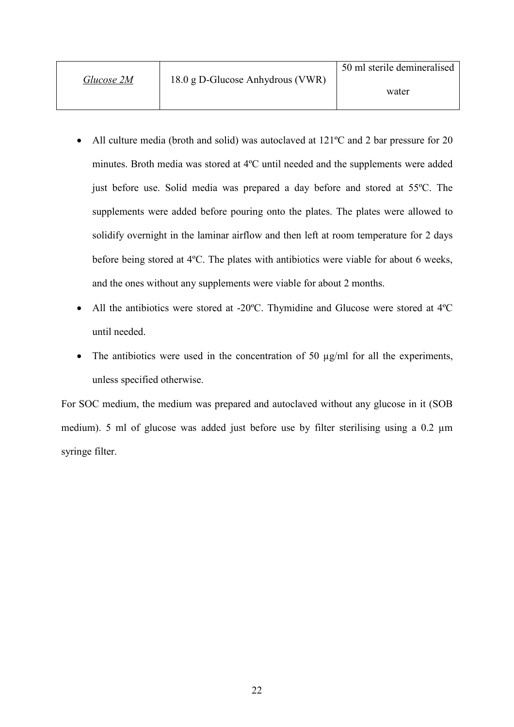|            |                                  | 50 ml sterile demineralised |
|------------|----------------------------------|-----------------------------|
| Glucose 2M | 18.0 g D-Glucose Anhydrous (VWR) | water                       |
|            |                                  |                             |

- All culture media (broth and solid) was autoclaved at 121°C and 2 bar pressure for 20 minutes. Broth media was stored at 4ºC until needed and the supplements were added just before use. Solid media was prepared a day before and stored at 55ºC. The supplements were added before pouring onto the plates. The plates were allowed to solidify overnight in the laminar airflow and then left at room temperature for 2 days before being stored at 4ºC. The plates with antibiotics were viable for about 6 weeks, and the ones without any supplements were viable for about 2 months.
- All the antibiotics were stored at -20°C. Thymidine and Glucose were stored at 4°C until needed.
- The antibiotics were used in the concentration of 50  $\mu$ g/ml for all the experiments, unless specified otherwise.

<span id="page-22-0"></span>For SOC medium, the medium was prepared and autoclaved without any glucose in it (SOB medium). 5 ml of glucose was added just before use by filter sterilising using a 0.2  $\mu$ m syringe filter.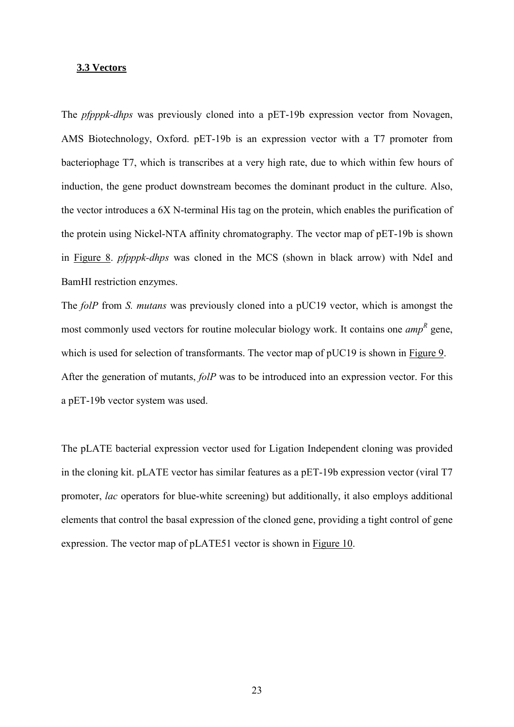#### **3.3 Vectors**

The *pfpppk-dhps* was previously cloned into a pET-19b expression vector from Novagen, AMS Biotechnology, Oxford. pET-19b is an expression vector with a T7 promoter from bacteriophage T7, which is transcribes at a very high rate, due to which within few hours of induction, the gene product downstream becomes the dominant product in the culture. Also, the vector introduces a 6X N-terminal His tag on the protein, which enables the purification of the protein using Nickel-NTA affinity chromatography. The vector map of pET-19b is shown in Figure 8. *pfpppk-dhps* was cloned in the MCS (shown in black arrow) with NdeI and BamHI restriction enzymes.

The *folP* from *S. mutans* was previously cloned into a pUC19 vector, which is amongst the most commonly used vectors for routine molecular biology work. It contains one *amp*<sup>R</sup> gene, which is used for selection of transformants. The vector map of pUC19 is shown in Figure 9. After the generation of mutants, *folP* was to be introduced into an expression vector. For this a pET-19b vector system was used.

The pLATE bacterial expression vector used for Ligation Independent cloning was provided in the cloning kit. pLATE vector has similar features as a pET-19b expression vector (viral T7 promoter, *lac* operators for blue-white screening) but additionally, it also employs additional elements that control the basal expression of the cloned gene, providing a tight control of gene expression. The vector map of pLATE51 vector is shown in Figure 10.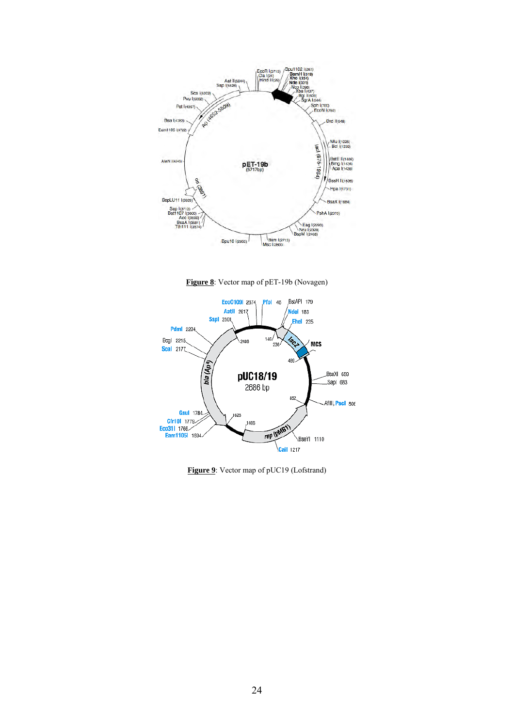

**Figure 8**: Vector map of pET-19b (Novagen)



**Figure 9**: Vector map of pUC19 (Lofstrand)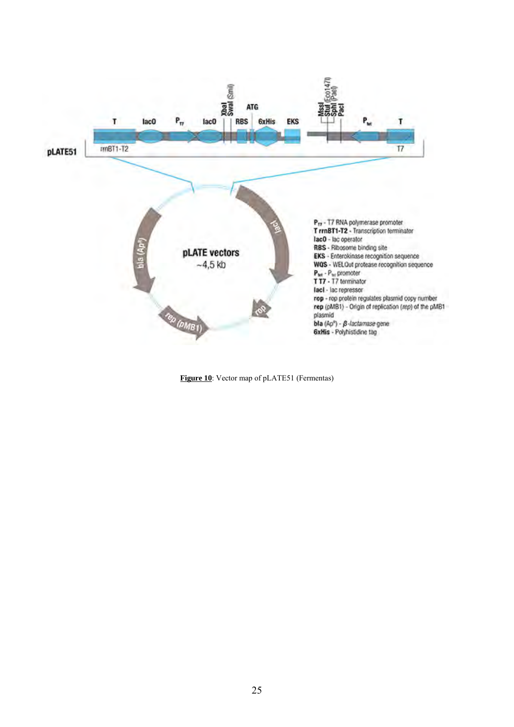

<span id="page-25-0"></span>**Figure 10**: Vector map of pLATE51 (Fermentas)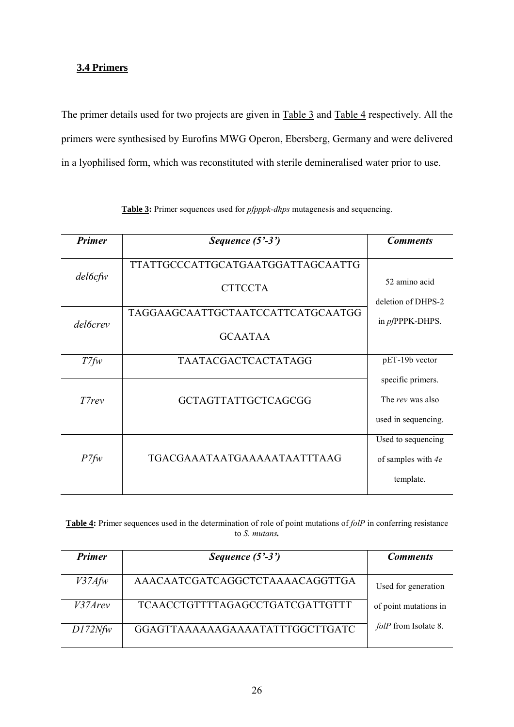# **3.4 Primers**

The primer details used for two projects are given in Table 3 and Table 4 respectively. All the primers were synthesised by Eurofins MWG Operon, Ebersberg, Germany and were delivered in a lyophilised form, which was reconstituted with sterile demineralised water prior to use.

| <b>Primer</b>   | Sequence $(5'-3')$                | <b>Comments</b>         |
|-----------------|-----------------------------------|-------------------------|
|                 | TTATTGCCCATTGCATGAATGGATTAGCAATTG |                         |
| $del6c$ fw      | <b>CTTCCTA</b>                    | 52 amino acid           |
|                 |                                   | deletion of DHPS-2      |
| <i>del6crev</i> | TAGGAAGCAATTGCTAATCCATTCATGCAATGG | in <i>pf</i> PPPK-DHPS. |
|                 | <b>GCAATAA</b>                    |                         |
| $T7$ fw         | <b>TAATACGACTCACTATAGG</b>        | pET-19b vector          |
|                 |                                   | specific primers.       |
| T7rev           | <b>GCTAGTTATTGCTCAGCGG</b>        | The rev was also        |
|                 |                                   | used in sequencing.     |
|                 |                                   | Used to sequencing      |
| $P7f_{W}$       | TGACGAAATAATGAAAAATAATTTAAG       | of samples with 4e      |
|                 |                                   | template.               |

**Table 3:** Primer sequences used for *pfpppk-dhps* mutagenesis and sequencing.

**Table 4:** Primer sequences used in the determination of role of point mutations of *folP* in conferring resistance to *S. mutans.* 

| <b>Primer</b> | Sequence $(5'-3')$                     | <b>Comments</b>             |
|---------------|----------------------------------------|-----------------------------|
| $V37A$ fw     | AAACAATCGATCAGGCTCTAAAACAGGTTGA        | Used for generation         |
| V37Arev       | <b>TCAACCTGTTTTAGAGCCTGATCGATTGTTT</b> | of point mutations in       |
| D172Nf w      | GGAGTTAAAAAAGAAAATATTTGGCTTGATC        | <i>folP</i> from Isolate 8. |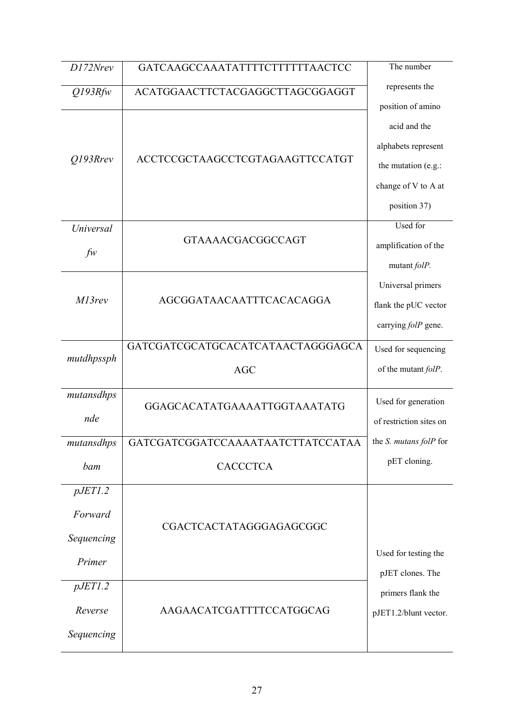| D172Nrev                                              | GATCAAGCCAAATATTTTCTTTTTTAACTCC                 | The number                                                                                                             |
|-------------------------------------------------------|-------------------------------------------------|------------------------------------------------------------------------------------------------------------------------|
| $Q$ 193 $R$ fw                                        | ACATGGAACTTCTACGAGGCTTAGCGGAGGT                 | represents the                                                                                                         |
| $Q$ 193 $R$ rev                                       | ACCTCCGCTAAGCCTCGTAGAAGTTCCATGT                 | position of amino<br>acid and the<br>alphabets represent<br>the mutation (e.g.:<br>change of V to A at<br>position 37) |
| Universal<br>$f_{\mathcal{W}}$                        | <b>GTAAAACGACGGCCAGT</b>                        | Used for<br>amplification of the<br>mutant folP.                                                                       |
| M13rev                                                | AGCGGATAACAATTTCACACAGGA                        | Universal primers<br>flank the pUC vector<br>carrying folP gene.                                                       |
| mutdhpssph                                            | GATCGATCGCATGCACATCATAACTAGGGAGCA<br><b>AGC</b> | Used for sequencing<br>of the mutant folP.                                                                             |
| mutansdhps<br>nde                                     | GGAGCACATATGAAAATTGGTAAATATG                    | Used for generation<br>of restriction sites on                                                                         |
| mutansdhps                                            | GATCGATCGGATCCAAAATAATCTTATCCATAA               | the <i>S. mutans folP</i> for                                                                                          |
| bam                                                   | <b>CACCCTCA</b>                                 | pET cloning.                                                                                                           |
| pJET1.2<br>Forward<br>Sequencing<br>Primer<br>pJET1.2 | CGACTCACTATAGGGAGAGCGGC                         | Used for testing the<br>pJET clones. The                                                                               |
| Reverse<br>Sequencing                                 | AAGAACATCGATTTTCCATGGCAG                        | primers flank the<br>pJET1.2/blunt vector.                                                                             |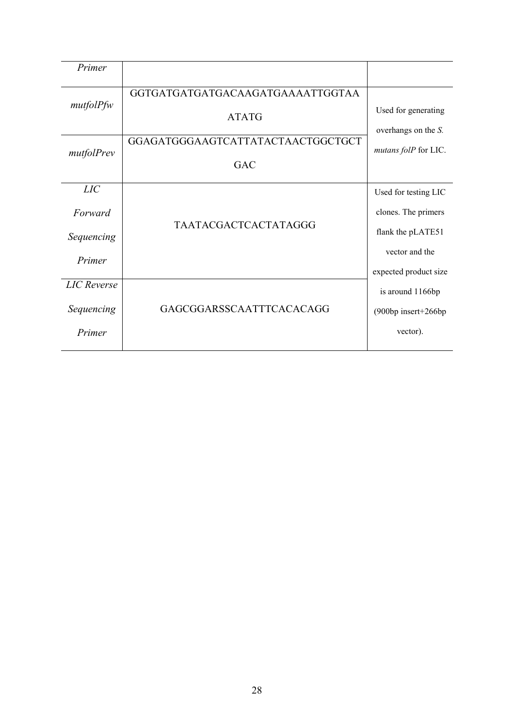<span id="page-28-0"></span>

| Primer                                     |                                                                                                     |                                                                                                             |
|--------------------------------------------|-----------------------------------------------------------------------------------------------------|-------------------------------------------------------------------------------------------------------------|
| mutfolPfw<br>mutfolPrev                    | GGTGATGATGATGACAAGATGAAAATTGGTAA<br><b>ATATG</b><br>GGAGATGGGAAGTCATTATACTAACTGGCTGCT<br><b>GAC</b> | Used for generating<br>overhangs on the S.<br>mutans folP for LIC.                                          |
| LIC<br>Forward<br>Sequencing<br>Primer     | <b>TAATACGACTCACTATAGGG</b>                                                                         | Used for testing LIC<br>clones. The primers<br>flank the pLATE51<br>vector and the<br>expected product size |
| <b>LIC</b> Reverse<br>Sequencing<br>Primer | GAGCGGARSSCAATTTCACACAGG                                                                            | is around 1166bp<br>(900bp insert+266bp<br>vector).                                                         |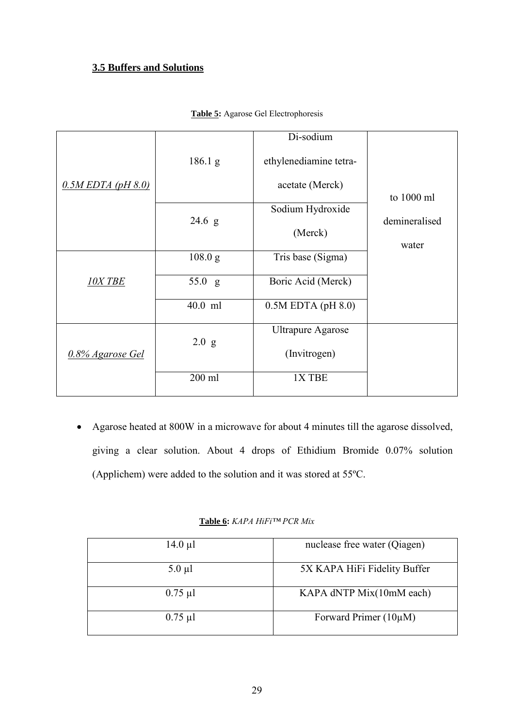# **3.5 Buffers and Solutions**

|                         |                 | Di-sodium                |               |
|-------------------------|-----------------|--------------------------|---------------|
|                         | 186.1 g         | ethylenediamine tetra-   |               |
| $0.5M$ EDTA (pH $8.0$ ) |                 | acetate (Merck)          |               |
|                         |                 | Sodium Hydroxide         | to 1000 ml    |
|                         | $24.6\text{ g}$ |                          | demineralised |
|                         |                 | (Merck)                  |               |
|                         |                 |                          | water         |
|                         | 108.0 g         | Tris base (Sigma)        |               |
| <b>10X TBE</b>          | 55.0 g          | Boric Acid (Merck)       |               |
|                         | 40.0 ml         | $0.5M$ EDTA (pH $8.0$ )  |               |
|                         |                 | <b>Ultrapure Agarose</b> |               |
| 0.8% Agarose Gel        | 2.0 g           | (Invitrogen)             |               |
|                         | 200 ml          | 1X TBE                   |               |

#### **Table 5:** Agarose Gel Electrophoresis

• Agarose heated at 800W in a microwave for about 4 minutes till the agarose dissolved, giving a clear solution. About 4 drops of Ethidium Bromide 0.07% solution (Applichem) were added to the solution and it was stored at 55ºC.

## **Table 6:** *KAPA HiFi™ PCR Mix*

| $14.0 \mu l$ | nuclease free water (Qiagen) |
|--------------|------------------------------|
| $5.0 \mu l$  | 5X KAPA HiFi Fidelity Buffer |
| $0.75 \mu l$ | KAPA dNTP Mix(10mM each)     |
| $0.75 \mu l$ | Forward Primer $(10\mu M)$   |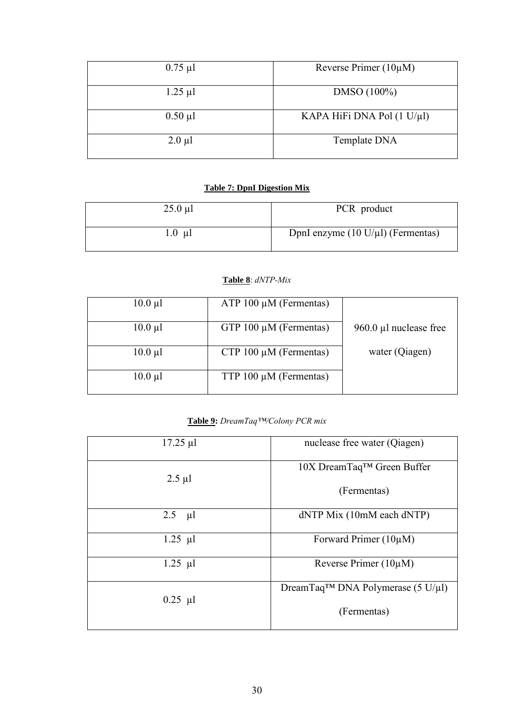| $0.75 \mu l$ | Reverse Primer $(10\mu M)$ |
|--------------|----------------------------|
| $1.25 \mu l$ | $DMSO(100\%)$              |
| $0.50 \mu l$ | KAPA HiFi DNA Pol (1 U/µl) |
| $2.0 \mu l$  | Template DNA               |

# **Table 7: DpnI Digestion Mix**

| $25.0 \mu l$              | PCR product                                    |
|---------------------------|------------------------------------------------|
| $1.0 \text{ }\mu\text{l}$ | DpnI enzyme $(10 \text{ U}/\mu l)$ (Fermentas) |

## **Table 8**: *dNTP-Mix*

| $10.0 \mu l$ | $ATP 100 \mu M$ (Fermentas) |                        |
|--------------|-----------------------------|------------------------|
|              |                             |                        |
| $10.0 \mu l$ | GTP $100 \mu M$ (Fermentas) | 960.0 µl nuclease free |
|              |                             |                        |
| $10.0 \mu l$ | CTP 100 $\mu$ M (Fermentas) | water (Qiagen)         |
|              |                             |                        |
| $10.0 \mu l$ | TTP $100 \mu M$ (Fermentas) |                        |
|              |                             |                        |

# **Table 9:** *DreamTaq™/Colony PCR mix*

| $17.25 \mu$ l | nuclease free water (Qiagen)                   |
|---------------|------------------------------------------------|
| $2.5 \mu l$   | 10X DreamTaq <sup>™</sup> Green Buffer         |
|               | (Fermentas)                                    |
| 2.5<br>  µl   | dNTP Mix (10mM each dNTP)                      |
| $1.25 \mu l$  | Forward Primer $(10\mu M)$                     |
| $1.25 \mu l$  | Reverse Primer $(10\mu M)$                     |
| $0.25 \mu l$  | DreamTaq <sup>TM</sup> DNA Polymerase (5 U/µl) |
|               | (Fermentas)                                    |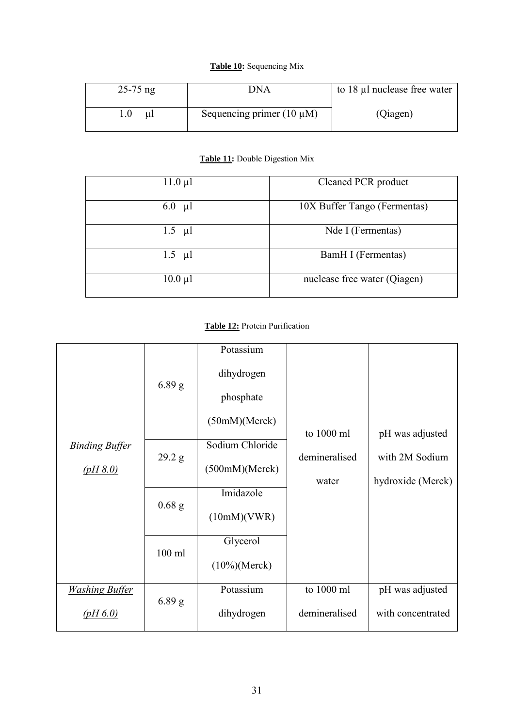#### **Table 10:** Sequencing Mix

| $25-75$ ng | DNA                            | to 18 µl nuclease free water |  |
|------------|--------------------------------|------------------------------|--|
| 1.0<br>ul  | Sequencing primer $(10 \mu M)$ | (Qiagen)                     |  |

# **Table 11:** Double Digestion Mix

| $11.0 \mu l$ | Cleaned PCR product          |
|--------------|------------------------------|
| $6.0$ µl     | 10X Buffer Tango (Fermentas) |
| $1.5$ µl     | Nde I (Fermentas)            |
| $1.5$ µl     | BamH I (Fermentas)           |
| $10.0 \mu l$ | nuclease free water (Qiagen) |

# **Table 12:** Protein Purification

|                       |                   | Potassium        |               |                   |
|-----------------------|-------------------|------------------|---------------|-------------------|
|                       | 6.89 <sub>g</sub> | dihydrogen       |               |                   |
|                       |                   | phosphate        |               |                   |
|                       |                   | (50mM)(Merck)    |               |                   |
|                       |                   |                  | to 1000 ml    | pH was adjusted   |
| <b>Binding Buffer</b> |                   | Sodium Chloride  |               |                   |
| (pH 8.0)              | 29.2 g            | (500mM)(Merck)   | demineralised | with 2M Sodium    |
|                       |                   |                  | water         | hydroxide (Merck) |
|                       |                   | Imidazole        |               |                   |
|                       | $0.68$ g          | (10mM)(VWR)      |               |                   |
|                       |                   | Glycerol         |               |                   |
|                       | $100$ ml          | $(10\%)$ (Merck) |               |                   |
| <b>Washing Buffer</b> |                   | Potassium        | to 1000 ml    | pH was adjusted   |
| (pH 6.0)              | $6.89$ g          | dihydrogen       | demineralised | with concentrated |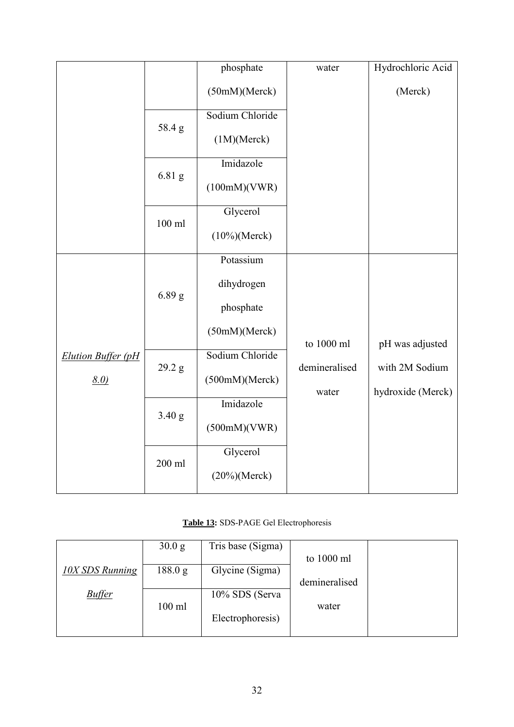|                           |          | phosphate        | water                  | Hydrochloric Acid                   |
|---------------------------|----------|------------------|------------------------|-------------------------------------|
|                           |          | (50mM)(Merck)    |                        | (Merck)                             |
|                           |          | Sodium Chloride  |                        |                                     |
|                           | 58.4g    | (1M)(Merck)      |                        |                                     |
|                           |          | Imidazole        |                        |                                     |
|                           | 6.81 g   | (100mM)(VWR)     |                        |                                     |
|                           |          | Glycerol         |                        |                                     |
|                           | $100$ ml | $(10\%)$ (Merck) |                        |                                     |
|                           |          | Potassium        |                        |                                     |
|                           | $6.89$ g | dihydrogen       |                        |                                     |
|                           |          | phosphate        |                        |                                     |
|                           |          | (50mM)(Merck)    | to 1000 ml             | pH was adjusted                     |
| <b>Elution Buffer (pH</b> |          | Sodium Chloride  |                        |                                     |
| $8.0$ )                   | 29.2 g   | (500mM)(Merck)   | demineralised<br>water | with 2M Sodium<br>hydroxide (Merck) |
|                           |          | Imidazole        |                        |                                     |
|                           | 3.40 g   | (500mM)(VWR)     |                        |                                     |
|                           |          | Glycerol         |                        |                                     |
|                           | 200 ml   | $(20\%)$ (Merck) |                        |                                     |

# **Table 13:** SDS-PAGE Gel Electrophoresis

|                        | 30.0 g   | Tris base (Sigma) |               |  |
|------------------------|----------|-------------------|---------------|--|
|                        |          |                   | to 1000 ml    |  |
| <b>10X SDS Running</b> | 188.0 g  | Glycine (Sigma)   |               |  |
|                        |          |                   | demineralised |  |
| <b>Buffer</b>          |          | 10% SDS (Serva    |               |  |
|                        | $100$ ml |                   | water         |  |
|                        |          | Electrophoresis)  |               |  |
|                        |          |                   |               |  |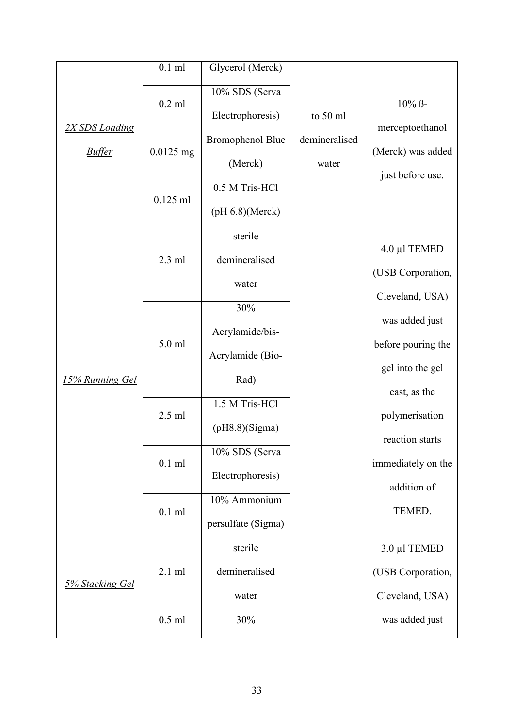|                                 | $0.1$ ml                              | Glycerol (Merck)                                                                                                 |                                    |                                                                       |
|---------------------------------|---------------------------------------|------------------------------------------------------------------------------------------------------------------|------------------------------------|-----------------------------------------------------------------------|
| 2X SDS Loading<br><b>Buffer</b> | $0.2$ ml<br>$0.0125$ mg<br>$0.125$ ml | 10% SDS (Serva<br>Electrophoresis)<br><b>Bromophenol Blue</b><br>(Merck)<br>0.5 M Tris-HCl<br>$(pH 6.8)$ (Merck) | to 50 ml<br>demineralised<br>water | $10\%$ ß-<br>merceptoethanol<br>(Merck) was added<br>just before use. |
|                                 | $2.3$ ml                              | sterile<br>demineralised                                                                                         |                                    | 4.0 µl TEMED<br>(USB Corporation,                                     |
|                                 |                                       | water                                                                                                            |                                    | Cleveland, USA)                                                       |
|                                 | 5.0 ml                                | 30%<br>Acrylamide/bis-                                                                                           |                                    | was added just                                                        |
|                                 |                                       | Acrylamide (Bio-                                                                                                 |                                    | before pouring the                                                    |
| 15% Running Gel                 |                                       | Rad)                                                                                                             |                                    | gel into the gel<br>cast, as the                                      |
|                                 | $2.5$ ml                              | 1.5 M Tris-HCl<br>(pH8.8)(Sigma)                                                                                 |                                    | polymerisation                                                        |
|                                 | $0.1$ ml                              | 10% SDS (Serva<br>Electrophoresis)                                                                               |                                    | reaction starts<br>immediately on the<br>addition of                  |
|                                 | $0.1$ ml                              | 10% Ammonium<br>persulfate (Sigma)                                                                               |                                    | TEMED.                                                                |
|                                 |                                       | sterile                                                                                                          |                                    | 3.0 µl TEMED                                                          |
| 5% Stacking Gel                 | $2.1$ ml                              | demineralised                                                                                                    |                                    | (USB Corporation,                                                     |
|                                 |                                       | water                                                                                                            |                                    | Cleveland, USA)                                                       |
|                                 | $0.5$ ml                              | 30%                                                                                                              |                                    | was added just                                                        |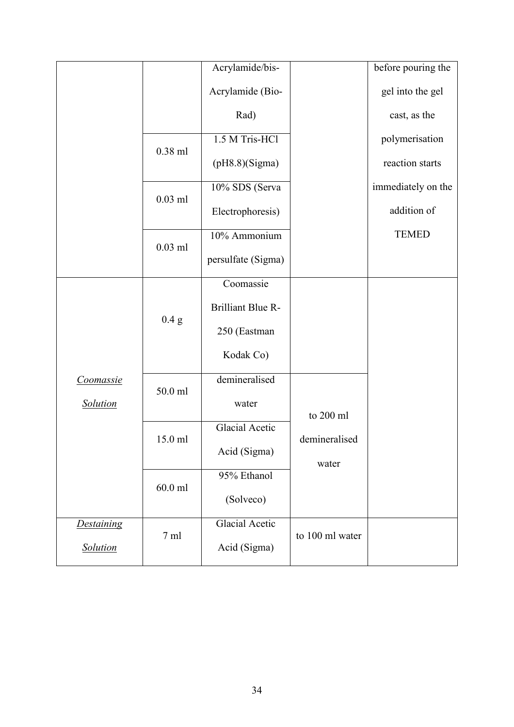|                   |                | Acrylamide/bis-          |                 | before pouring the |
|-------------------|----------------|--------------------------|-----------------|--------------------|
|                   |                | Acrylamide (Bio-         |                 | gel into the gel   |
|                   |                | Rad)                     |                 | cast, as the       |
|                   | $0.38$ ml      | 1.5 M Tris-HCl           |                 | polymerisation     |
|                   |                | (pH8.8)(Sigma)           |                 | reaction starts    |
|                   |                | 10% SDS (Serva           |                 | immediately on the |
|                   | $0.03$ ml      | Electrophoresis)         |                 | addition of        |
|                   | $0.03$ ml      | 10% Ammonium             |                 | <b>TEMED</b>       |
|                   |                | persulfate (Sigma)       |                 |                    |
|                   |                | Coomassie                |                 |                    |
|                   | 0.4 g          | <b>Brilliant Blue R-</b> |                 |                    |
|                   |                | 250 (Eastman             |                 |                    |
|                   |                | Kodak Co)                |                 |                    |
| Coomassie         | 50.0 ml        | demineralised            |                 |                    |
| <b>Solution</b>   |                | water                    | to 200 ml       |                    |
|                   | 15.0 ml        | <b>Glacial Acetic</b>    | demineralised   |                    |
|                   |                | Acid (Sigma)             | water           |                    |
|                   | $60.0$ ml      | 95% Ethanol              |                 |                    |
|                   |                | (Solveco)                |                 |                    |
| <b>Destaining</b> | $7 \text{ ml}$ | Glacial Acetic           | to 100 ml water |                    |
| Solution          |                | Acid (Sigma)             |                 |                    |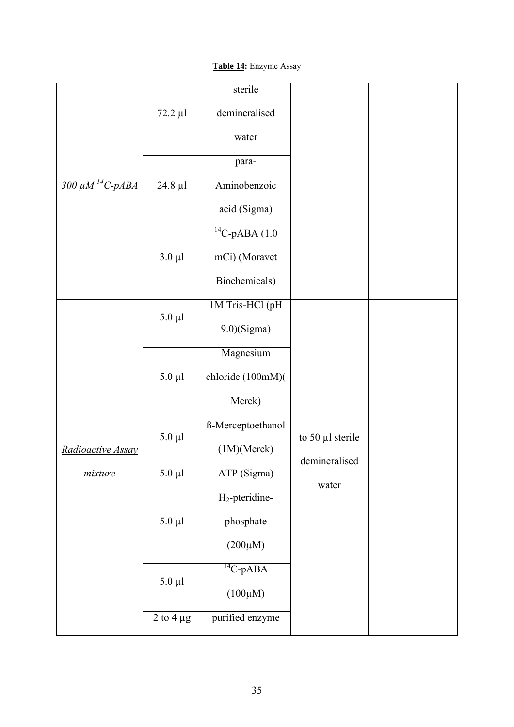# **Table 14:** Enzyme Assay

|                                   |                | sterile              |                                   |  |
|-----------------------------------|----------------|----------------------|-----------------------------------|--|
|                                   | 72.2 µl        | demineralised        |                                   |  |
|                                   |                | water                |                                   |  |
|                                   |                | para-                |                                   |  |
| <u>300 μM <sup>14</sup>C-pABA</u> | $24.8 \mu l$   | Aminobenzoic         |                                   |  |
|                                   |                | acid (Sigma)         |                                   |  |
|                                   |                | $^{14}$ C-pABA (1.0) |                                   |  |
|                                   | $3.0 \mu l$    | mCi) (Moravet        |                                   |  |
|                                   |                | Biochemicals)        |                                   |  |
|                                   |                | 1M Tris-HCl (pH      |                                   |  |
|                                   | $5.0 \mu l$    | $9.0)$ (Sigma)       |                                   |  |
|                                   |                | Magnesium            |                                   |  |
|                                   | $5.0 \mu l$    | chloride (100mM)(    |                                   |  |
|                                   |                | Merck)               |                                   |  |
|                                   | $5.0 \mu l$    | ß-Merceptoethanol    |                                   |  |
| Radioactive Assay                 |                | (1M)(Merck)          | to 50 µl sterile<br>demineralised |  |
| mixture                           | $5.0 \mu l$    | ATP (Sigma)          | water                             |  |
|                                   |                | $H_2$ -pteridine-    |                                   |  |
|                                   | $5.0 \mu l$    | phosphate            |                                   |  |
|                                   |                | $(200\mu M)$         |                                   |  |
|                                   | $5.0 \mu l$    | $^{14}$ C-pABA       |                                   |  |
|                                   |                | $(100\mu M)$         |                                   |  |
|                                   | 2 to 4 $\mu$ g | purified enzyme      |                                   |  |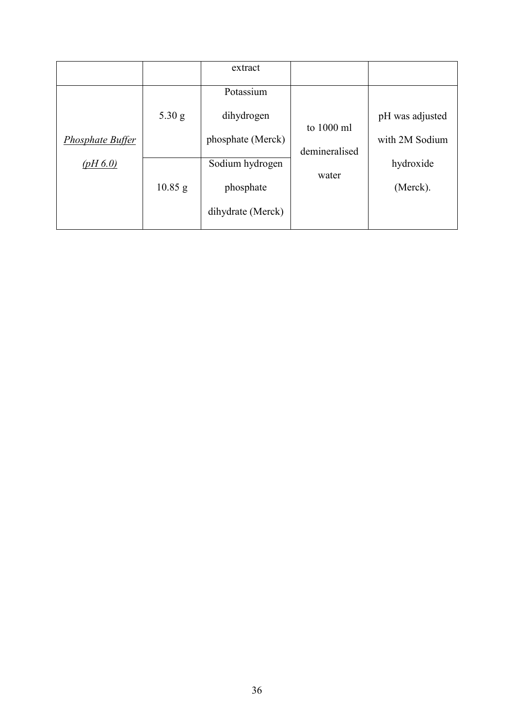|                         |           | extract           |               |                 |
|-------------------------|-----------|-------------------|---------------|-----------------|
|                         |           | Potassium         |               |                 |
|                         | $5.30$ g  | dihydrogen        | to 1000 ml    | pH was adjusted |
| <b>Phosphate Buffer</b> |           | phosphate (Merck) | demineralised | with 2M Sodium  |
| (pH 6.0)                |           | Sodium hydrogen   |               | hydroxide       |
|                         | $10.85$ g | phosphate         | water         | (Merck).        |
|                         |           | dihydrate (Merck) |               |                 |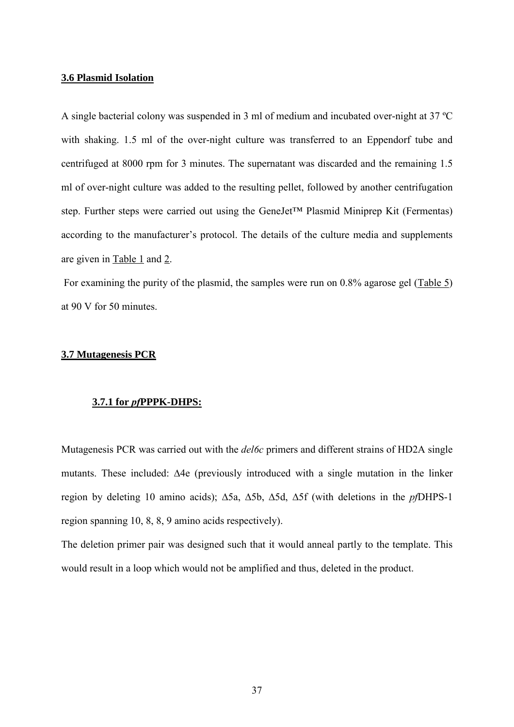## **3.6 Plasmid Isolation**

A single bacterial colony was suspended in 3 ml of medium and incubated over-night at 37 ºC with shaking. 1.5 ml of the over-night culture was transferred to an Eppendorf tube and centrifuged at 8000 rpm for 3 minutes. The supernatant was discarded and the remaining 1.5 ml of over-night culture was added to the resulting pellet, followed by another centrifugation step. Further steps were carried out using the GeneJet™ Plasmid Miniprep Kit (Fermentas) according to the manufacturer's protocol. The details of the culture media and supplements are given in Table 1 and 2.

For examining the purity of the plasmid, the samples were run on 0.8% agarose gel (Table 5) at 90 V for 50 minutes.

# **3.7 Mutagenesis PCR**

## **3.7.1 for** *pf***PPPK-DHPS:**

Mutagenesis PCR was carried out with the *del6c* primers and different strains of HD2A single mutants. These included: ∆4e (previously introduced with a single mutation in the linker region by deleting 10 amino acids); ∆5a, ∆5b, ∆5d, ∆5f (with deletions in the *pf*DHPS-1 region spanning 10, 8, 8, 9 amino acids respectively).

The deletion primer pair was designed such that it would anneal partly to the template. This would result in a loop which would not be amplified and thus, deleted in the product.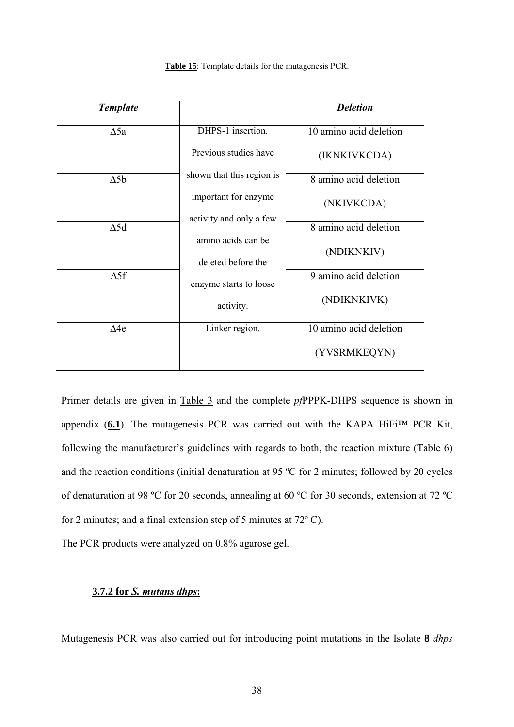| <b>Template</b> |                                          | <b>Deletion</b>        |
|-----------------|------------------------------------------|------------------------|
| $\Delta$ 5a     | DHPS-1 insertion.                        | 10 amino acid deletion |
|                 | Previous studies have                    | (IKNKIVKCDA)           |
| $\Delta 5b$     | shown that this region is                | 8 amino acid deletion  |
|                 | important for enzyme                     | (NKIVKCDA)             |
| $\Delta$ 5d     | activity and only a few                  | 8 amino acid deletion  |
|                 | amino acids can be<br>deleted before the | (NDIKNKIV)             |
| $\Delta 5f$     | enzyme starts to loose                   | 9 amino acid deletion  |
|                 | activity.                                | (NDIKNKIVK)            |
| $\Delta 4e$     | Linker region.                           | 10 amino acid deletion |
|                 |                                          | (YVSRMKEQYN)           |

**Table 15**: Template details for the mutagenesis PCR.

Primer details are given in Table 3 and the complete *pf*PPPK-DHPS sequence is shown in appendix  $(6.1)$ . The mutagenesis PCR was carried out with the KAPA HiFi<sup>TM</sup> PCR Kit, following the manufacturer's guidelines with regards to both, the reaction mixture  $(Table 6)$ and the reaction conditions (initial denaturation at 95 ºC for 2 minutes; followed by 20 cycles of denaturation at 98 ºC for 20 seconds, annealing at 60 ºC for 30 seconds, extension at 72 ºC for 2 minutes; and a final extension step of 5 minutes at 72º C).

The PCR products were analyzed on 0.8% agarose gel.

# **3.7.2 for** *S. mutans dhps***:**

Mutagenesis PCR was also carried out for introducing point mutations in the Isolate **8** *dhps*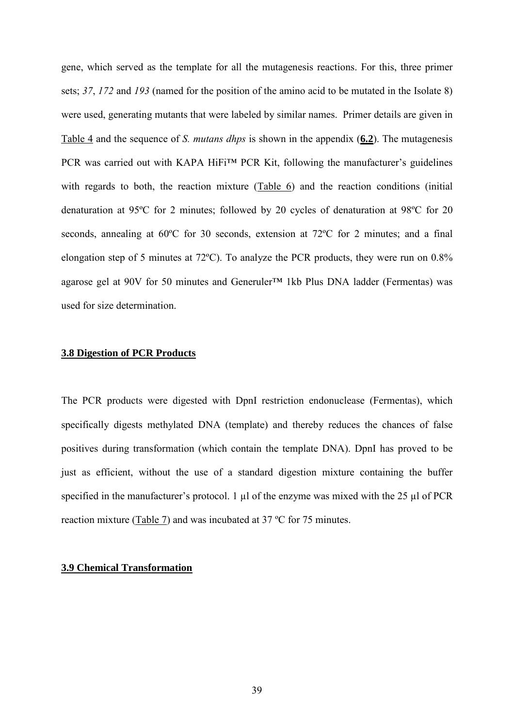gene, which served as the template for all the mutagenesis reactions. For this, three primer sets; *37*, *172* and *193* (named for the position of the amino acid to be mutated in the Isolate 8) were used, generating mutants that were labeled by similar names. Primer details are given in Table 4 and the sequence of *S. mutans dhps* is shown in the appendix (**6.2**). The mutagenesis PCR was carried out with KAPA HiFi™ PCR Kit, following the manufacturer's guidelines with regards to both, the reaction mixture (Table 6) and the reaction conditions (initial denaturation at 95ºC for 2 minutes; followed by 20 cycles of denaturation at 98ºC for 20 seconds, annealing at 60ºC for 30 seconds, extension at 72ºC for 2 minutes; and a final elongation step of 5 minutes at 72ºC). To analyze the PCR products, they were run on 0.8% agarose gel at 90V for 50 minutes and Generuler™ 1kb Plus DNA ladder (Fermentas) was used for size determination.

# **3.8 Digestion of PCR Products**

The PCR products were digested with DpnI restriction endonuclease (Fermentas), which specifically digests methylated DNA (template) and thereby reduces the chances of false positives during transformation (which contain the template DNA). DpnI has proved to be just as efficient, without the use of a standard digestion mixture containing the buffer specified in the manufacturer's protocol. 1  $\mu$ l of the enzyme was mixed with the 25  $\mu$ l of PCR reaction mixture (Table 7) and was incubated at 37 ºC for 75 minutes.

# **3.9 Chemical Transformation**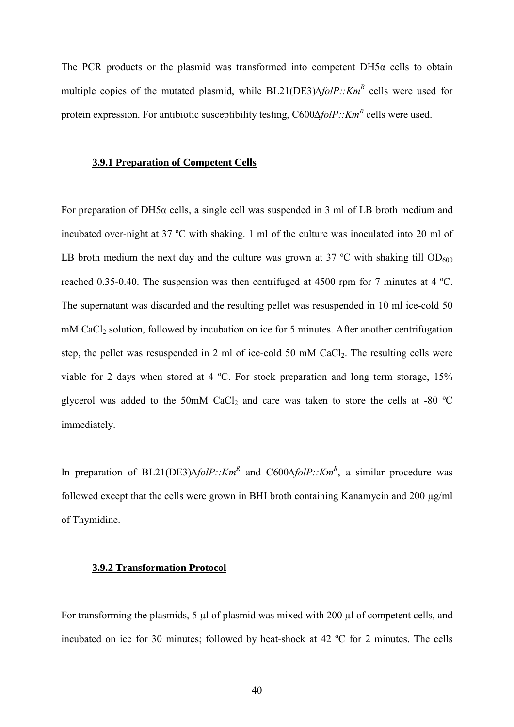The PCR products or the plasmid was transformed into competent  $DH5\alpha$  cells to obtain multiple copies of the mutated plasmid, while BL21(DE3)*∆folP::KmR* cells were used for protein expression. For antibiotic susceptibility testing, C600Δ*folP::Km<sup>R</sup>* cells were used.

## **3.9.1 Preparation of Competent Cells**

For preparation of DH5α cells, a single cell was suspended in 3 ml of LB broth medium and incubated over-night at 37 ºC with shaking. 1 ml of the culture was inoculated into 20 ml of LB broth medium the next day and the culture was grown at 37  $^{\circ}$ C with shaking till OD<sub>600</sub> reached 0.35-0.40. The suspension was then centrifuged at 4500 rpm for 7 minutes at 4 ºC. The supernatant was discarded and the resulting pellet was resuspended in 10 ml ice-cold 50 mM CaCl<sub>2</sub> solution, followed by incubation on ice for 5 minutes. After another centrifugation step, the pellet was resuspended in 2 ml of ice-cold 50 mM CaCl<sub>2</sub>. The resulting cells were viable for 2 days when stored at 4 ºC. For stock preparation and long term storage, 15% glycerol was added to the 50mM CaCl<sub>2</sub> and care was taken to store the cells at -80  $^{\circ}$ C immediately.

In preparation of BL21(DE3)∆*folP::Km<sup>R</sup>* and C600∆*folP::Km<sup>R</sup>*, a similar procedure was followed except that the cells were grown in BHI broth containing Kanamycin and 200  $\mu$ g/ml of Thymidine.

## **3.9.2 Transformation Protocol**

For transforming the plasmids, 5 µl of plasmid was mixed with 200 µl of competent cells, and incubated on ice for 30 minutes; followed by heat-shock at 42 ºC for 2 minutes. The cells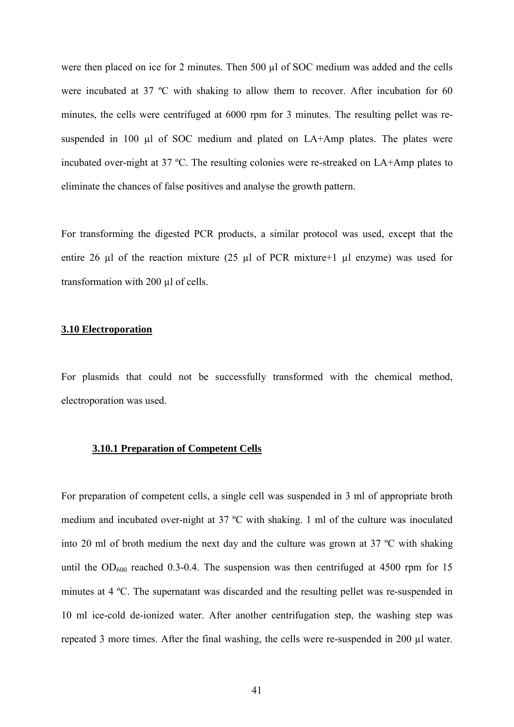were then placed on ice for 2 minutes. Then 500 µl of SOC medium was added and the cells were incubated at 37 ºC with shaking to allow them to recover. After incubation for 60 minutes, the cells were centrifuged at 6000 rpm for 3 minutes. The resulting pellet was resuspended in 100 µl of SOC medium and plated on LA+Amp plates. The plates were incubated over-night at 37 ºC. The resulting colonies were re-streaked on LA+Amp plates to eliminate the chances of false positives and analyse the growth pattern.

For transforming the digested PCR products, a similar protocol was used, except that the entire 26  $\mu$ l of the reaction mixture (25  $\mu$ l of PCR mixture+1  $\mu$ l enzyme) was used for transformation with 200 µl of cells.

# **3.10 Electroporation**

For plasmids that could not be successfully transformed with the chemical method, electroporation was used.

# **3.10.1 Preparation of Competent Cells**

For preparation of competent cells, a single cell was suspended in 3 ml of appropriate broth medium and incubated over-night at 37 ºC with shaking. 1 ml of the culture was inoculated into 20 ml of broth medium the next day and the culture was grown at 37 ºC with shaking until the  $OD_{600}$  reached 0.3-0.4. The suspension was then centrifuged at 4500 rpm for 15 minutes at 4 ºC. The supernatant was discarded and the resulting pellet was re-suspended in 10 ml ice-cold de-ionized water. After another centrifugation step, the washing step was repeated 3 more times. After the final washing, the cells were re-suspended in 200 µl water.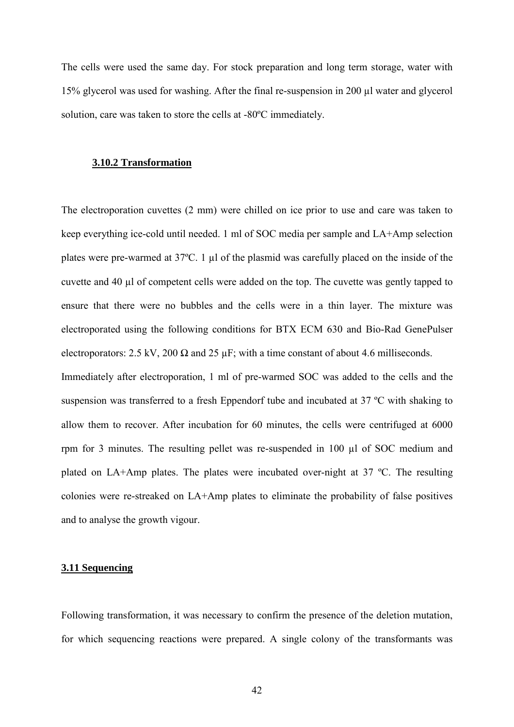The cells were used the same day. For stock preparation and long term storage, water with 15% glycerol was used for washing. After the final re-suspension in 200 µl water and glycerol solution, care was taken to store the cells at -80ºC immediately.

## **3.10.2 Transformation**

The electroporation cuvettes (2 mm) were chilled on ice prior to use and care was taken to keep everything ice-cold until needed. 1 ml of SOC media per sample and LA+Amp selection plates were pre-warmed at 37°C. 1 µl of the plasmid was carefully placed on the inside of the cuvette and 40 µl of competent cells were added on the top. The cuvette was gently tapped to ensure that there were no bubbles and the cells were in a thin layer. The mixture was electroporated using the following conditions for BTX ECM 630 and Bio-Rad GenePulser electroporators: 2.5 kV, 200  $\Omega$  and 25  $\mu$ F; with a time constant of about 4.6 milliseconds.

Immediately after electroporation, 1 ml of pre-warmed SOC was added to the cells and the suspension was transferred to a fresh Eppendorf tube and incubated at 37 ºC with shaking to allow them to recover. After incubation for 60 minutes, the cells were centrifuged at 6000 rpm for 3 minutes. The resulting pellet was re-suspended in 100 µl of SOC medium and plated on LA+Amp plates. The plates were incubated over-night at 37 ºC. The resulting colonies were re-streaked on LA+Amp plates to eliminate the probability of false positives and to analyse the growth vigour.

## **3.11 Sequencing**

Following transformation, it was necessary to confirm the presence of the deletion mutation, for which sequencing reactions were prepared. A single colony of the transformants was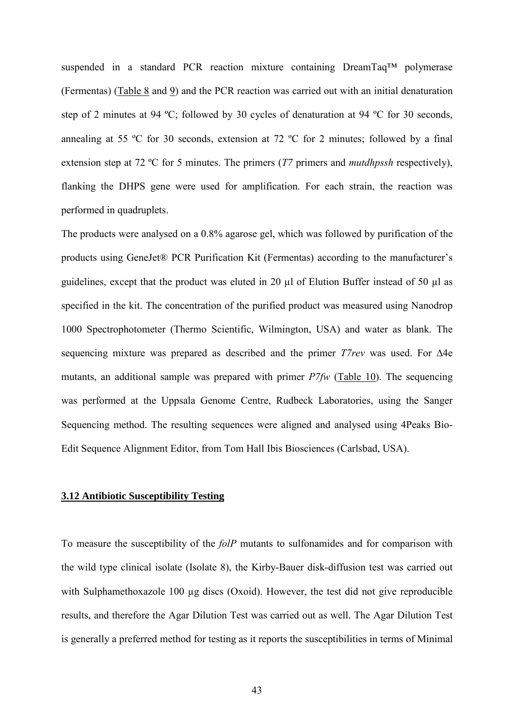suspended in a standard PCR reaction mixture containing DreamTaq™ polymerase (Fermentas) (Table 8 and 9) and the PCR reaction was carried out with an initial denaturation step of 2 minutes at 94 ºC; followed by 30 cycles of denaturation at 94 ºC for 30 seconds, annealing at 55 ºC for 30 seconds, extension at 72 ºC for 2 minutes; followed by a final extension step at 72 ºC for 5 minutes. The primers (*T7* primers and *mutdhpssh* respectively), flanking the DHPS gene were used for amplification. For each strain, the reaction was performed in quadruplets.

The products were analysed on a 0.8% agarose gel, which was followed by purification of the products using GeneJet® PCR Purification Kit (Fermentas) according to the manufacturer's guidelines, except that the product was eluted in 20 µl of Elution Buffer instead of 50 µl as specified in the kit. The concentration of the purified product was measured using Nanodrop 1000 Spectrophotometer (Thermo Scientific, Wilmington, USA) and water as blank. The sequencing mixture was prepared as described and the primer *T7rev* was used. For ∆4e mutants, an additional sample was prepared with primer *P7fw* (Table 10). The sequencing was performed at the Uppsala Genome Centre, Rudbeck Laboratories, using the Sanger Sequencing method. The resulting sequences were aligned and analysed using 4Peaks Bio-Edit Sequence Alignment Editor, from Tom Hall Ibis Biosciences (Carlsbad, USA).

# **3.12 Antibiotic Susceptibility Testing**

To measure the susceptibility of the *folP* mutants to sulfonamides and for comparison with the wild type clinical isolate (Isolate 8), the Kirby-Bauer disk-diffusion test was carried out with Sulphamethoxazole 100 ug discs (Oxoid). However, the test did not give reproducible results, and therefore the Agar Dilution Test was carried out as well. The Agar Dilution Test is generally a preferred method for testing as it reports the susceptibilities in terms of Minimal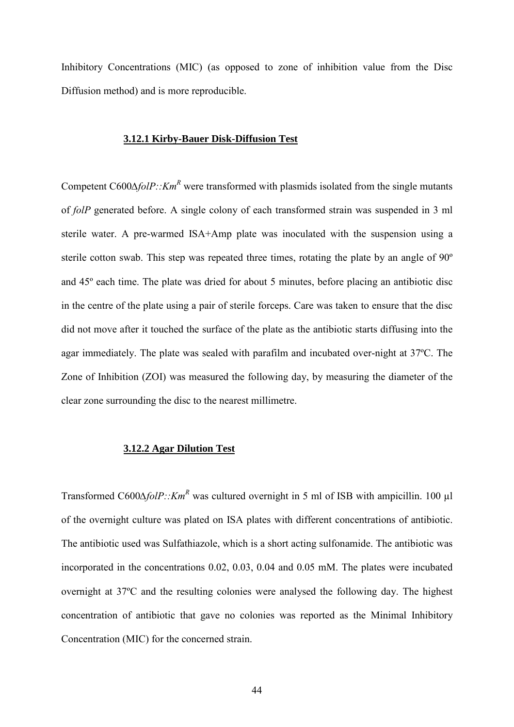Inhibitory Concentrations (MIC) (as opposed to zone of inhibition value from the Disc Diffusion method) and is more reproducible.

# **3.12.1 Kirby-Bauer Disk-Diffusion Test**

Competent C600∆*folP::Km<sup>R</sup>* were transformed with plasmids isolated from the single mutants of *folP* generated before. A single colony of each transformed strain was suspended in 3 ml sterile water. A pre-warmed ISA+Amp plate was inoculated with the suspension using a sterile cotton swab. This step was repeated three times, rotating the plate by an angle of 90º and 45º each time. The plate was dried for about 5 minutes, before placing an antibiotic disc in the centre of the plate using a pair of sterile forceps. Care was taken to ensure that the disc did not move after it touched the surface of the plate as the antibiotic starts diffusing into the agar immediately. The plate was sealed with parafilm and incubated over-night at 37ºC. The Zone of Inhibition (ZOI) was measured the following day, by measuring the diameter of the clear zone surrounding the disc to the nearest millimetre.

# **3.12.2 Agar Dilution Test**

Transformed C600∆*folP::Km<sup>R</sup>* was cultured overnight in 5 ml of ISB with ampicillin. 100 µl of the overnight culture was plated on ISA plates with different concentrations of antibiotic. The antibiotic used was Sulfathiazole, which is a short acting sulfonamide. The antibiotic was incorporated in the concentrations 0.02, 0.03, 0.04 and 0.05 mM. The plates were incubated overnight at 37ºC and the resulting colonies were analysed the following day. The highest concentration of antibiotic that gave no colonies was reported as the Minimal Inhibitory Concentration (MIC) for the concerned strain.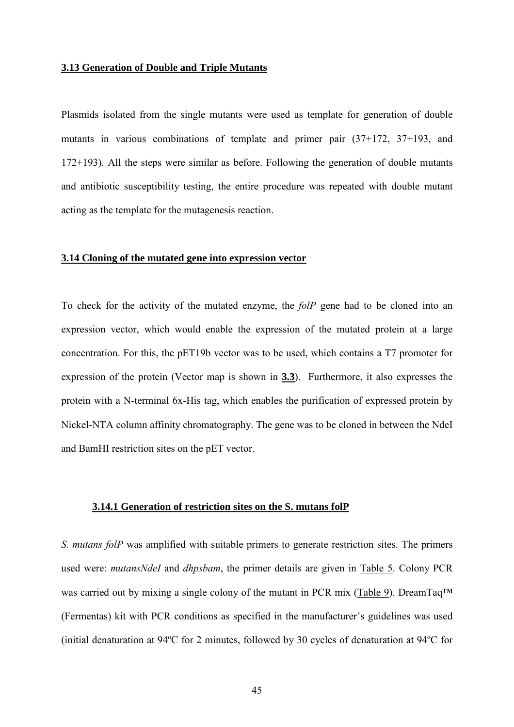## **3.13 Generation of Double and Triple Mutants**

Plasmids isolated from the single mutants were used as template for generation of double mutants in various combinations of template and primer pair (37+172, 37+193, and 172+193). All the steps were similar as before. Following the generation of double mutants and antibiotic susceptibility testing, the entire procedure was repeated with double mutant acting as the template for the mutagenesis reaction.

#### **3.14 Cloning of the mutated gene into expression vector**

To check for the activity of the mutated enzyme, the *folP* gene had to be cloned into an expression vector, which would enable the expression of the mutated protein at a large concentration. For this, the pET19b vector was to be used, which contains a T7 promoter for expression of the protein (Vector map is shown in **3.3**). Furthermore, it also expresses the protein with a N-terminal 6x-His tag, which enables the purification of expressed protein by Nickel-NTA column affinity chromatography. The gene was to be cloned in between the NdeI and BamHI restriction sites on the pET vector.

# **3.14.1 Generation of restriction sites on the S. mutans folP**

*S. mutans folP* was amplified with suitable primers to generate restriction sites. The primers used were: *mutansNdeI* and *dhpsbam*, the primer details are given in Table 5. Colony PCR was carried out by mixing a single colony of the mutant in PCR mix (Table 9). DreamTaq™ (Fermentas) kit with PCR conditions as specified in the manufacturer's guidelines was used (initial denaturation at 94ºC for 2 minutes, followed by 30 cycles of denaturation at 94ºC for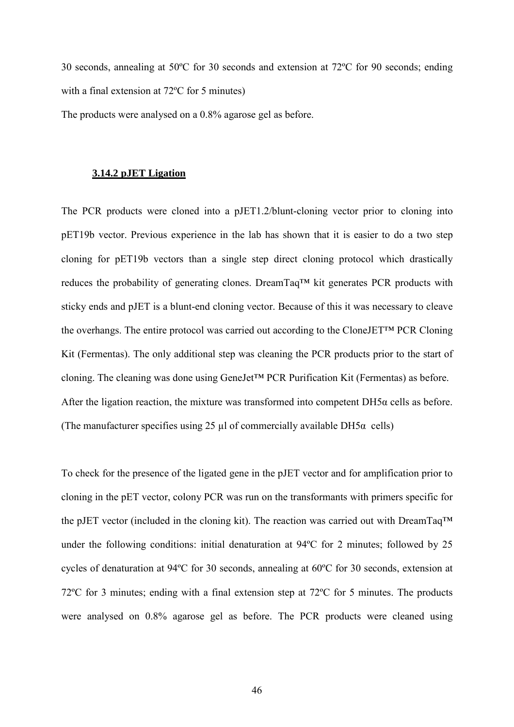30 seconds, annealing at 50ºC for 30 seconds and extension at 72ºC for 90 seconds; ending with a final extension at 72<sup>o</sup>C for 5 minutes)

The products were analysed on a 0.8% agarose gel as before.

# **3.14.2 pJET Ligation**

The PCR products were cloned into a pJET1.2/blunt-cloning vector prior to cloning into pET19b vector. Previous experience in the lab has shown that it is easier to do a two step cloning for pET19b vectors than a single step direct cloning protocol which drastically reduces the probability of generating clones. DreamTaq™ kit generates PCR products with sticky ends and pJET is a blunt-end cloning vector. Because of this it was necessary to cleave the overhangs. The entire protocol was carried out according to the CloneJET™ PCR Cloning Kit (Fermentas). The only additional step was cleaning the PCR products prior to the start of cloning. The cleaning was done using GeneJet™ PCR Purification Kit (Fermentas) as before. After the ligation reaction, the mixture was transformed into competent  $DH5\alpha$  cells as before. (The manufacturer specifies using 25  $\mu$ l of commercially available DH5 $\alpha$  cells)

To check for the presence of the ligated gene in the pJET vector and for amplification prior to cloning in the pET vector, colony PCR was run on the transformants with primers specific for the pJET vector (included in the cloning kit). The reaction was carried out with DreamTaq™ under the following conditions: initial denaturation at 94ºC for 2 minutes; followed by 25 cycles of denaturation at 94ºC for 30 seconds, annealing at 60ºC for 30 seconds, extension at 72ºC for 3 minutes; ending with a final extension step at 72ºC for 5 minutes. The products were analysed on 0.8% agarose gel as before. The PCR products were cleaned using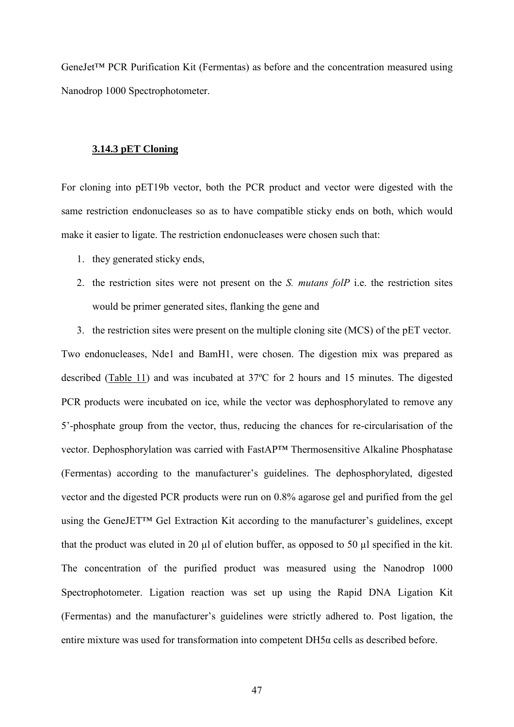GeneJet™ PCR Purification Kit (Fermentas) as before and the concentration measured using Nanodrop 1000 Spectrophotometer.

# **3.14.3 pET Cloning**

For cloning into pET19b vector, both the PCR product and vector were digested with the same restriction endonucleases so as to have compatible sticky ends on both, which would make it easier to ligate. The restriction endonucleases were chosen such that:

- 1. they generated sticky ends,
- 2. the restriction sites were not present on the *S. mutans folP* i.e. the restriction sites would be primer generated sites, flanking the gene and

3. the restriction sites were present on the multiple cloning site (MCS) of the pET vector. Two endonucleases, Nde1 and BamH1, were chosen. The digestion mix was prepared as described (Table 11) and was incubated at 37ºC for 2 hours and 15 minutes. The digested PCR products were incubated on ice, while the vector was dephosphorylated to remove any 5'-phosphate group from the vector, thus, reducing the chances for re-circularisation of the vector. Dephosphorylation was carried with FastAP™ Thermosensitive Alkaline Phosphatase (Fermentas) according to the manufacturer's guidelines. The dephosphorylated, digested vector and the digested PCR products were run on 0.8% agarose gel and purified from the gel using the GeneJET™ Gel Extraction Kit according to the manufacturer's guidelines, except that the product was eluted in 20 µl of elution buffer, as opposed to 50 µl specified in the kit. The concentration of the purified product was measured using the Nanodrop 1000 Spectrophotometer. Ligation reaction was set up using the Rapid DNA Ligation Kit (Fermentas) and the manufacturer's guidelines were strictly adhered to. Post ligation, the entire mixture was used for transformation into competent DH5α cells as described before.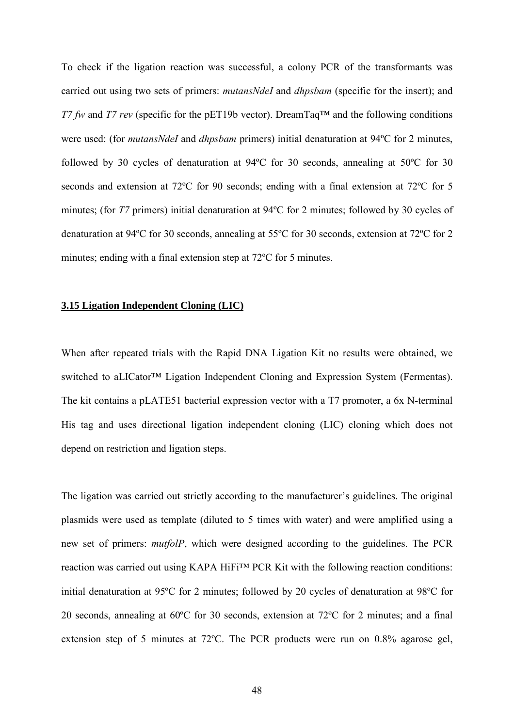To check if the ligation reaction was successful, a colony PCR of the transformants was carried out using two sets of primers: *mutansNdeI* and *dhpsbam* (specific for the insert); and *T7 fw* and *T7 rev* (specific for the pET19b vector). DreamTaq<sup>™</sup> and the following conditions were used: (for *mutansNdeI* and *dhpsbam* primers) initial denaturation at 94ºC for 2 minutes, followed by 30 cycles of denaturation at 94ºC for 30 seconds, annealing at 50ºC for 30 seconds and extension at 72ºC for 90 seconds; ending with a final extension at 72ºC for 5 minutes; (for *T7* primers) initial denaturation at 94°C for 2 minutes; followed by 30 cycles of denaturation at 94ºC for 30 seconds, annealing at 55ºC for 30 seconds, extension at 72ºC for 2 minutes; ending with a final extension step at 72ºC for 5 minutes.

## **3.15 Ligation Independent Cloning (LIC)**

When after repeated trials with the Rapid DNA Ligation Kit no results were obtained, we switched to aLICator™ Ligation Independent Cloning and Expression System (Fermentas). The kit contains a pLATE51 bacterial expression vector with a T7 promoter, a 6x N-terminal His tag and uses directional ligation independent cloning (LIC) cloning which does not depend on restriction and ligation steps.

The ligation was carried out strictly according to the manufacturer's guidelines. The original plasmids were used as template (diluted to 5 times with water) and were amplified using a new set of primers: *mutfolP*, which were designed according to the guidelines. The PCR reaction was carried out using KAPA HiFi™ PCR Kit with the following reaction conditions: initial denaturation at 95ºC for 2 minutes; followed by 20 cycles of denaturation at 98ºC for 20 seconds, annealing at 60ºC for 30 seconds, extension at 72ºC for 2 minutes; and a final extension step of 5 minutes at 72ºC. The PCR products were run on 0.8% agarose gel,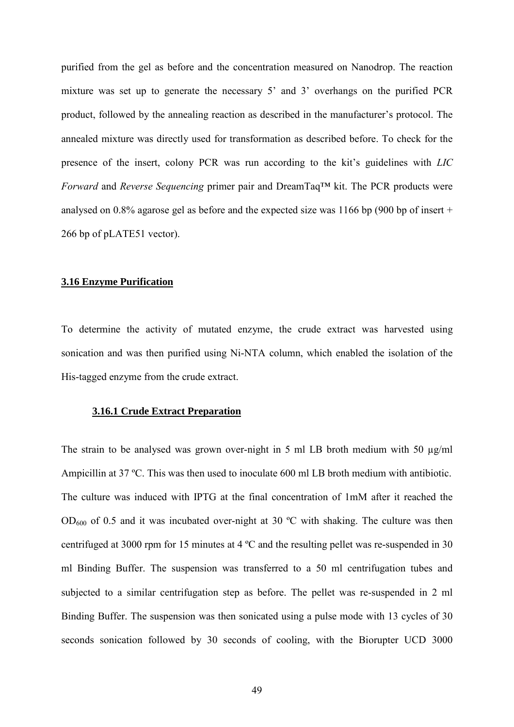purified from the gel as before and the concentration measured on Nanodrop. The reaction mixture was set up to generate the necessary 5' and 3' overhangs on the purified PCR product, followed by the annealing reaction as described in the manufacturer's protocol. The annealed mixture was directly used for transformation as described before. To check for the presence of the insert, colony PCR was run according to the kit's guidelines with *LIC Forward* and *Reverse Sequencing* primer pair and DreamTaq™ kit. The PCR products were analysed on 0.8% agarose gel as before and the expected size was 1166 bp (900 bp of insert + 266 bp of pLATE51 vector).

# **3.16 Enzyme Purification**

To determine the activity of mutated enzyme, the crude extract was harvested using sonication and was then purified using Ni-NTA column, which enabled the isolation of the His-tagged enzyme from the crude extract.

## **3.16.1 Crude Extract Preparation**

The strain to be analysed was grown over-night in 5 ml LB broth medium with 50  $\mu$ g/ml Ampicillin at 37 ºC. This was then used to inoculate 600 ml LB broth medium with antibiotic. The culture was induced with IPTG at the final concentration of 1mM after it reached the  $OD_{600}$  of 0.5 and it was incubated over-night at 30 °C with shaking. The culture was then centrifuged at 3000 rpm for 15 minutes at 4 ºC and the resulting pellet was re-suspended in 30 ml Binding Buffer. The suspension was transferred to a 50 ml centrifugation tubes and subjected to a similar centrifugation step as before. The pellet was re-suspended in 2 ml Binding Buffer. The suspension was then sonicated using a pulse mode with 13 cycles of 30 seconds sonication followed by 30 seconds of cooling, with the Biorupter UCD 3000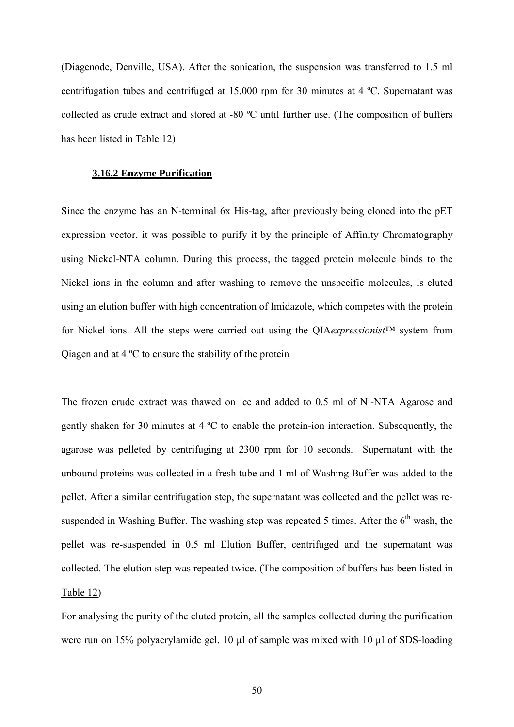(Diagenode, Denville, USA). After the sonication, the suspension was transferred to 1.5 ml centrifugation tubes and centrifuged at 15,000 rpm for 30 minutes at 4 ºC. Supernatant was collected as crude extract and stored at -80 ºC until further use. (The composition of buffers has been listed in Table 12)

# **3.16.2 Enzyme Purification**

Since the enzyme has an N-terminal 6x His-tag, after previously being cloned into the pET expression vector, it was possible to purify it by the principle of Affinity Chromatography using Nickel-NTA column. During this process, the tagged protein molecule binds to the Nickel ions in the column and after washing to remove the unspecific molecules, is eluted using an elution buffer with high concentration of Imidazole, which competes with the protein for Nickel ions. All the steps were carried out using the QIA*expressionist*™ system from Qiagen and at 4 ºC to ensure the stability of the protein

The frozen crude extract was thawed on ice and added to 0.5 ml of Ni-NTA Agarose and gently shaken for 30 minutes at 4 ºC to enable the protein-ion interaction. Subsequently, the agarose was pelleted by centrifuging at 2300 rpm for 10 seconds. Supernatant with the unbound proteins was collected in a fresh tube and 1 ml of Washing Buffer was added to the pellet. After a similar centrifugation step, the supernatant was collected and the pellet was resuspended in Washing Buffer. The washing step was repeated 5 times. After the  $6<sup>th</sup>$  wash, the pellet was re-suspended in 0.5 ml Elution Buffer, centrifuged and the supernatant was collected. The elution step was repeated twice. (The composition of buffers has been listed in Table 12)

For analysing the purity of the eluted protein, all the samples collected during the purification were run on 15% polyacrylamide gel. 10 µl of sample was mixed with 10 µl of SDS-loading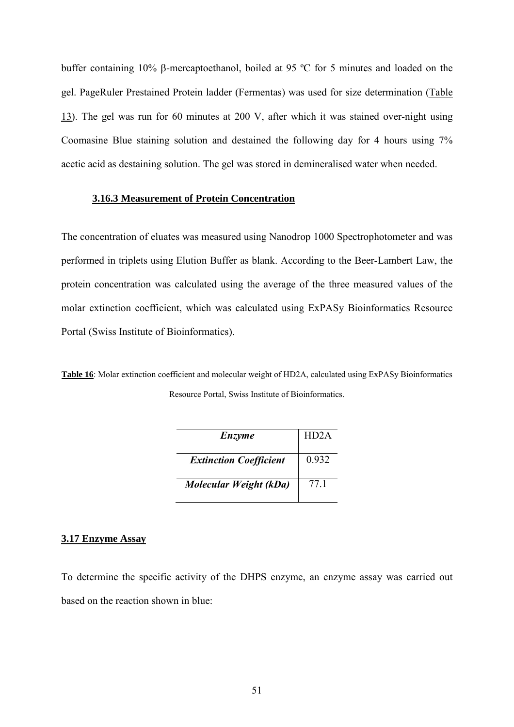buffer containing 10% β-mercaptoethanol, boiled at 95 ºC for 5 minutes and loaded on the gel. PageRuler Prestained Protein ladder (Fermentas) was used for size determination (Table 13). The gel was run for 60 minutes at 200 V, after which it was stained over-night using Coomasine Blue staining solution and destained the following day for 4 hours using 7% acetic acid as destaining solution. The gel was stored in demineralised water when needed.

## **3.16.3 Measurement of Protein Concentration**

The concentration of eluates was measured using Nanodrop 1000 Spectrophotometer and was performed in triplets using Elution Buffer as blank. According to the Beer-Lambert Law, the protein concentration was calculated using the average of the three measured values of the molar extinction coefficient, which was calculated using ExPASy Bioinformatics Resource Portal (Swiss Institute of Bioinformatics).

**Table 16**: Molar extinction coefficient and molecular weight of HD2A, calculated using ExPASy Bioinformatics Resource Portal, Swiss Institute of Bioinformatics.

| Enzyme                        | HD <sub>2</sub> A |
|-------------------------------|-------------------|
| <b>Extinction Coefficient</b> | 0.932             |
| Molecular Weight (kDa)        | 77 1              |

## **3.17 Enzyme Assay**

To determine the specific activity of the DHPS enzyme, an enzyme assay was carried out based on the reaction shown in blue: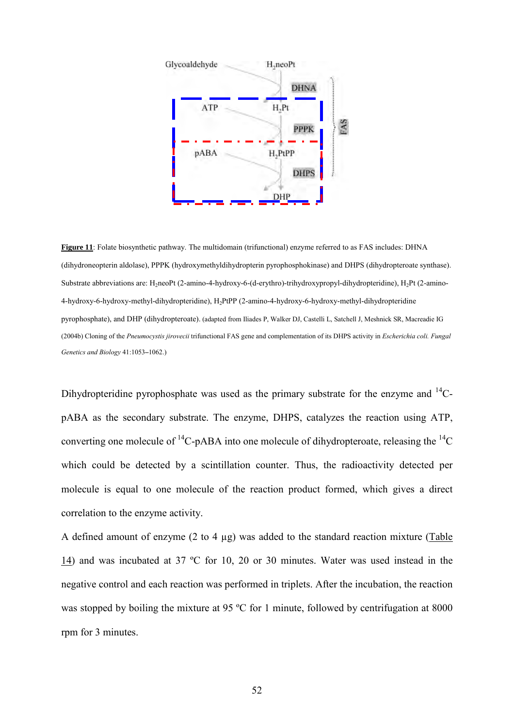

**Figure 11**: Folate biosynthetic pathway. The multidomain (trifunctional) enzyme referred to as FAS includes: DHNA (dihydroneopterin aldolase), PPPK (hydroxymethyldihydropterin pyrophosphokinase) and DHPS (dihydropteroate synthase). Substrate abbreviations are: H<sub>2</sub>neoPt (2-amino-4-hydroxy-6-(d-erythro)-trihydroxypropyl-dihydropteridine), H<sub>2</sub>Pt (2-amino-4-hydroxy-6-hydroxy-methyl-dihydropteridine), H2PtPP (2-amino-4-hydroxy-6-hydroxy-methyl-dihydropteridine pyrophosphate), and DHP (dihydropteroate). (adapted from Iliades P, Walker DJ, Castelli L, Satchell J, Meshnick SR, Macreadie IG (2004b) Cloning of the *Pneumocystis jirovecii* trifunctional FAS gene and complementation of its DHPS activity in *Escherichia coli. Fungal Genetics and Biology* 41:1053**–**1062.)

Dihydropteridine pyrophosphate was used as the primary substrate for the enzyme and  $^{14}C$ pABA as the secondary substrate. The enzyme, DHPS, catalyzes the reaction using ATP, converting one molecule of  ${}^{14}C$ -pABA into one molecule of dihydropteroate, releasing the  ${}^{14}C$ which could be detected by a scintillation counter. Thus, the radioactivity detected per molecule is equal to one molecule of the reaction product formed, which gives a direct correlation to the enzyme activity.

A defined amount of enzyme (2 to 4 µg) was added to the standard reaction mixture (Table 14) and was incubated at 37 ºC for 10, 20 or 30 minutes. Water was used instead in the negative control and each reaction was performed in triplets. After the incubation, the reaction was stopped by boiling the mixture at 95 °C for 1 minute, followed by centrifugation at 8000 rpm for 3 minutes.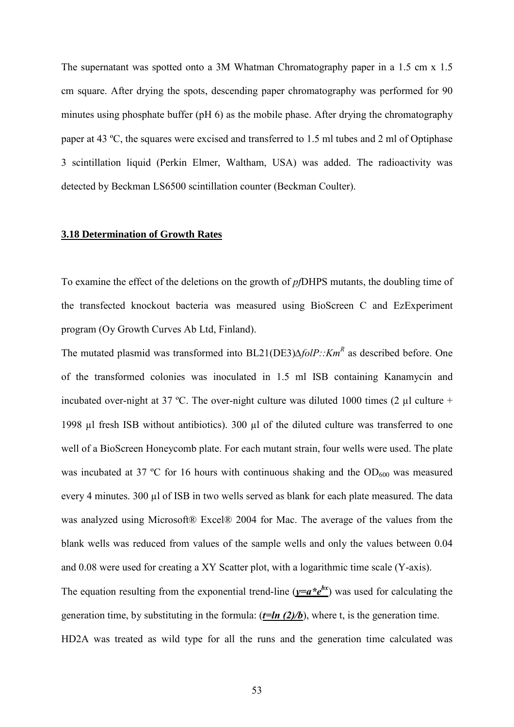The supernatant was spotted onto a 3M Whatman Chromatography paper in a 1.5 cm x 1.5 cm square. After drying the spots, descending paper chromatography was performed for 90 minutes using phosphate buffer (pH 6) as the mobile phase. After drying the chromatography paper at 43 ºC, the squares were excised and transferred to 1.5 ml tubes and 2 ml of Optiphase 3 scintillation liquid (Perkin Elmer, Waltham, USA) was added. The radioactivity was detected by Beckman LS6500 scintillation counter (Beckman Coulter).

# **3.18 Determination of Growth Rates**

To examine the effect of the deletions on the growth of *pf*DHPS mutants, the doubling time of the transfected knockout bacteria was measured using BioScreen C and EzExperiment program (Oy Growth Curves Ab Ltd, Finland).

The mutated plasmid was transformed into BL21(DE3)∆*folP::Km<sup>R</sup>* as described before. One of the transformed colonies was inoculated in 1.5 ml ISB containing Kanamycin and incubated over-night at 37 °C. The over-night culture was diluted 1000 times (2  $\mu$ l culture + 1998 µl fresh ISB without antibiotics). 300 µl of the diluted culture was transferred to one well of a BioScreen Honeycomb plate. For each mutant strain, four wells were used. The plate was incubated at 37 °C for 16 hours with continuous shaking and the  $OD<sub>600</sub>$  was measured every 4 minutes. 300 µl of ISB in two wells served as blank for each plate measured. The data was analyzed using Microsoft® Excel® 2004 for Mac. The average of the values from the blank wells was reduced from values of the sample wells and only the values between 0.04 and 0.08 were used for creating a XY Scatter plot, with a logarithmic time scale (Y-axis). The equation resulting from the exponential trend-line ( $y=a*e^{bx}$ ) was used for calculating the generation time, by substituting in the formula:  $(t=ln (2)/b)$ , where t, is the generation time. HD2A was treated as wild type for all the runs and the generation time calculated was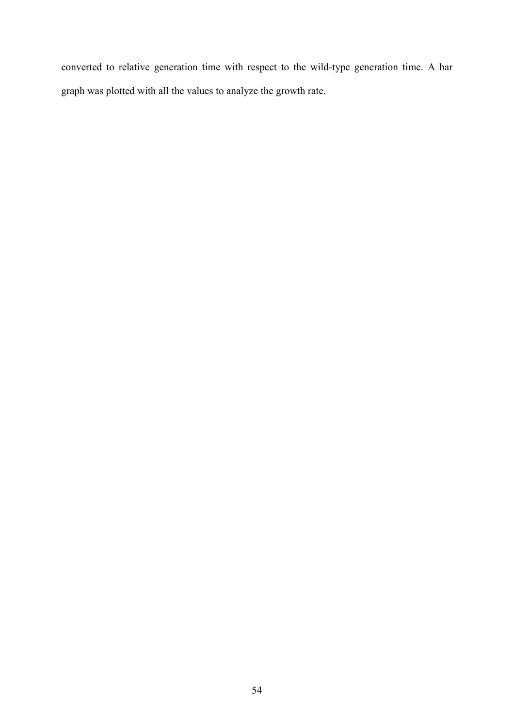converted to relative generation time with respect to the wild-type generation time. A bar graph was plotted with all the values to analyze the growth rate.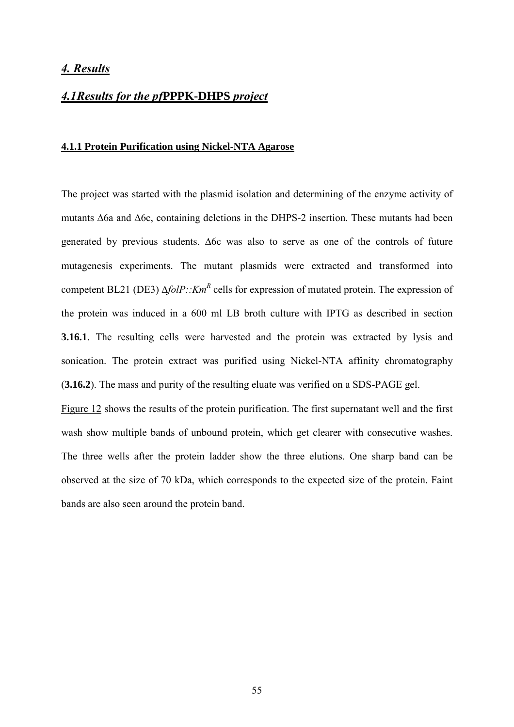# *4. Results*

# *4.1Results for the pf***PPPK-DHPS** *project*

# **4.1.1 Protein Purification using Nickel-NTA Agarose**

The project was started with the plasmid isolation and determining of the enzyme activity of mutants ∆6a and ∆6c, containing deletions in the DHPS-2 insertion. These mutants had been generated by previous students. ∆6c was also to serve as one of the controls of future mutagenesis experiments. The mutant plasmids were extracted and transformed into competent BL21 (DE3) ∆*folP*::*Km*<sup>*R*</sup> cells for expression of mutated protein. The expression of the protein was induced in a 600 ml LB broth culture with IPTG as described in section **3.16.1**. The resulting cells were harvested and the protein was extracted by lysis and sonication. The protein extract was purified using Nickel-NTA affinity chromatography (**3.16.2**). The mass and purity of the resulting eluate was verified on a SDS-PAGE gel.

Figure 12 shows the results of the protein purification. The first supernatant well and the first wash show multiple bands of unbound protein, which get clearer with consecutive washes. The three wells after the protein ladder show the three elutions. One sharp band can be observed at the size of 70 kDa, which corresponds to the expected size of the protein. Faint bands are also seen around the protein band.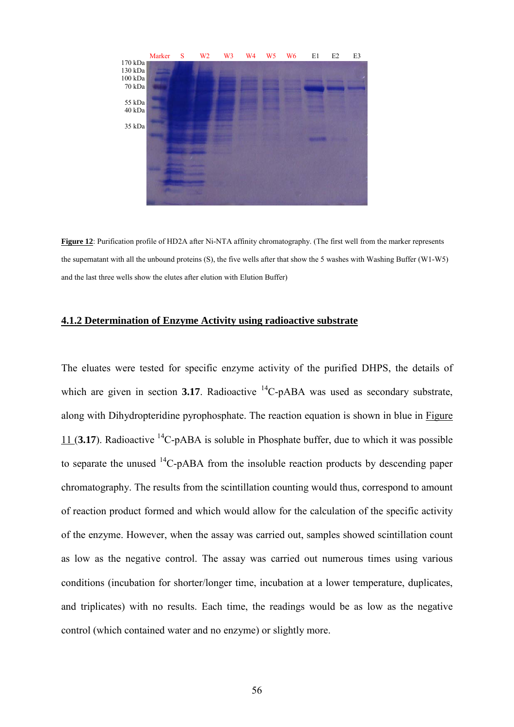

**Figure 12**: Purification profile of HD2A after Ni-NTA affinity chromatography. (The first well from the marker represents the supernatant with all the unbound proteins (S), the five wells after that show the 5 washes with Washing Buffer (W1-W5) and the last three wells show the elutes after elution with Elution Buffer)

# **4.1.2 Determination of Enzyme Activity using radioactive substrate**

The eluates were tested for specific enzyme activity of the purified DHPS, the details of which are given in section **3.17**. Radioactive  ${}^{14}C$ -pABA was used as secondary substrate, along with Dihydropteridine pyrophosphate. The reaction equation is shown in blue in Figure 11 (**3.17**). Radioactive <sup>14</sup>C-pABA is soluble in Phosphate buffer, due to which it was possible to separate the unused  $^{14}$ C-pABA from the insoluble reaction products by descending paper chromatography. The results from the scintillation counting would thus, correspond to amount of reaction product formed and which would allow for the calculation of the specific activity of the enzyme. However, when the assay was carried out, samples showed scintillation count as low as the negative control. The assay was carried out numerous times using various conditions (incubation for shorter/longer time, incubation at a lower temperature, duplicates, and triplicates) with no results. Each time, the readings would be as low as the negative control (which contained water and no enzyme) or slightly more.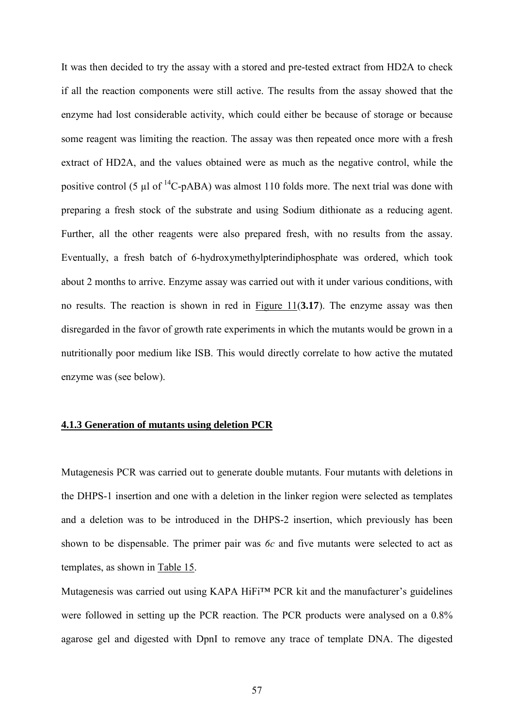It was then decided to try the assay with a stored and pre-tested extract from HD2A to check if all the reaction components were still active. The results from the assay showed that the enzyme had lost considerable activity, which could either be because of storage or because some reagent was limiting the reaction. The assay was then repeated once more with a fresh extract of HD2A, and the values obtained were as much as the negative control, while the positive control (5  $\mu$ l of <sup>14</sup>C-pABA) was almost 110 folds more. The next trial was done with preparing a fresh stock of the substrate and using Sodium dithionate as a reducing agent. Further, all the other reagents were also prepared fresh, with no results from the assay. Eventually, a fresh batch of 6-hydroxymethylpterindiphosphate was ordered, which took about 2 months to arrive. Enzyme assay was carried out with it under various conditions, with no results. The reaction is shown in red in Figure 11(**3.17**). The enzyme assay was then disregarded in the favor of growth rate experiments in which the mutants would be grown in a nutritionally poor medium like ISB. This would directly correlate to how active the mutated enzyme was (see below).

## **4.1.3 Generation of mutants using deletion PCR**

Mutagenesis PCR was carried out to generate double mutants. Four mutants with deletions in the DHPS-1 insertion and one with a deletion in the linker region were selected as templates and a deletion was to be introduced in the DHPS-2 insertion, which previously has been shown to be dispensable. The primer pair was *6c* and five mutants were selected to act as templates, as shown in Table 15.

Mutagenesis was carried out using KAPA HiFi™ PCR kit and the manufacturer's guidelines were followed in setting up the PCR reaction. The PCR products were analysed on a 0.8% agarose gel and digested with DpnI to remove any trace of template DNA. The digested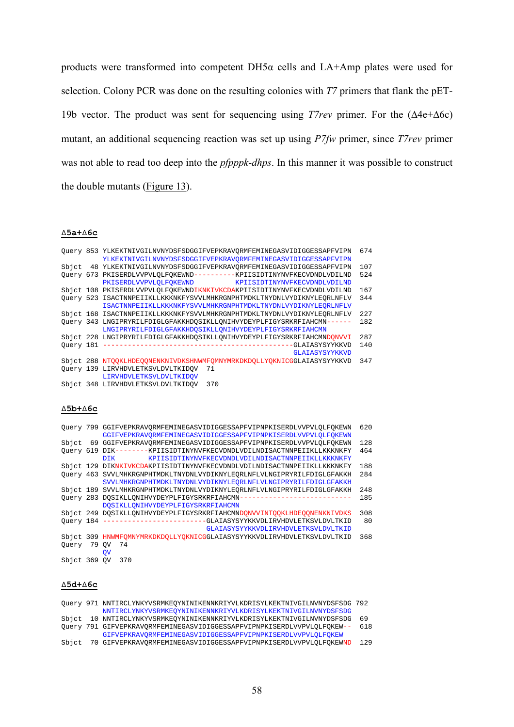products were transformed into competent DH5α cells and LA+Amp plates were used for selection. Colony PCR was done on the resulting colonies with *T7* primers that flank the pET-19b vector. The product was sent for sequencing using *T7rev* primer. For the (∆4e+∆6c) mutant, an additional sequencing reaction was set up using *P7fw* primer, since *T7rev* primer was not able to read too deep into the *pfpppk-dhps*. In this manner it was possible to construct the double mutants (Figure 13).

#### **∆5a+∆6c**

|         | Query 853 YLKEKTNIVGILNVNYDSFSDGGIFVEPKRAVQRMFEMINEGASVIDIGGESSAPFVIPN<br>YLKEKTNIVGILNVNYDSFSDGGIFVEPKRAVORMFEMINEGASVIDIGGESSAPFVIPN | 674 |
|---------|----------------------------------------------------------------------------------------------------------------------------------------|-----|
| Sbict   | 48 YLKEKTNIVGILNVNYDSFSDGGIFVEPKRAVORMFEMINEGASVIDIGGESSAPFVIPN                                                                        | 107 |
|         | Ouery 673 PKISERDLVVPVLOLFOKEWND----------KPIISIDTINYNVFKECVDNDLVDILND                                                                 | 524 |
|         | PKISERDLVVPVLOLFOKEWND KPIISIDTINYNVFKECVDNDLVDILND                                                                                    |     |
|         | Sbict 108 PKISERDLVVPVLQLFQKEWNDIKNKIVKCDAKPIISIDTINYNVFKECVDNDLVDILND                                                                 | 167 |
|         | Ouery 523 ISACTNNPEIIKLLKKKNKFYSVVLMHKRGNPHTMDKLTNYDNLVYDIKNYLEORLNFLV                                                                 | 344 |
|         | ISACTNNPEIIKLLKKKNKFYSVVLMHKRGNPHTMDKLTNYDNLVYDIKNYLEORLNFLV                                                                           |     |
|         | Sbjct 168 ISACTNNPEIIKLLKKKNKFYSVVLMHKRGNPHTMDKLTNYDNLVYDIKNYLEORLNFLV                                                                 | 227 |
|         | Ouery 343 LNGIPRYRILFDIGLGFAKKHDOSIKLLONIHVYDEYPLFIGYSRKRFIAHCMN------                                                                 | 182 |
|         | LNGIPRYRILFDIGLGFAKKHDOSIKLLONIHVYDEYPLFIGYSRKRFIAHCMN                                                                                 |     |
|         | Sbjct 228 LNGIPRYRILFDIGLGFAKKHDQSIKLLQNIHVYDEYPLFIGYSRKRFIAHCMNDQNVVI                                                                 | 287 |
|         |                                                                                                                                        | 140 |
|         | GLAIASYSYYKKVD                                                                                                                         |     |
|         | Sbjct 288 NTOOKLHDEQONENKNIVDKSHNWMFOMNYMRKDKDOLLYOKNICGGLAIASYSYYKKVD                                                                 | 347 |
|         | Query 139 LIRVHDVLETKSVLDVLTKIDQV<br>71                                                                                                |     |
|         | LIRVHDVLETKSVLDVLTKIDOV                                                                                                                |     |
|         | Sbjct 348 LIRVHDVLETKSVLDVLTKIDOV<br>370                                                                                               |     |
|         |                                                                                                                                        |     |
| ∆5Ъ+∆6с |                                                                                                                                        |     |
|         | Ouery 799 GGIFVEPKRAVORMFEMINEGASVIDIGGESSAPFVIPNPKISERDLVVPVLOLFOKEWN                                                                 | 620 |

|              |       | GGIFVEPKRAVORMFEMINEGASVIDIGGESSAPFVIPNPKISERDLVVPVLOLFOKEWN           |     |
|--------------|-------|------------------------------------------------------------------------|-----|
|              |       | Sbjct 69 GGIFVEPKRAVORMFEMINEGASVIDIGGESSAPFVIPNPKISERDLVVPVLOLFOKEWN  | 128 |
|              |       | Ouery 619 DIK--------KPIISIDTINYNVFKECVDNDLVDILNDISACTNNPEIIKLLKKKNKFY | 464 |
|              |       | DIK KPIISIDTINYNVFKECVDNDLVDILNDISACTNNPEIIKLLKKKNKFY                  |     |
|              |       | Sbjct 129 DIKNKIVKCDAKPIISIDTINYNVFKECVDNDLVDILNDISACTNNPEIIKLLKKKNKFY | 188 |
|              |       | Ouery 463 SVVLMHKRGNPHTMDKLTNYDNLVYDIKNYLEORLNFLVLNGIPRYRILFDIGLGFAKKH | 284 |
|              |       | SVVLMHKRGNPHTMDKLTNYDNLVYDIKNYLEORLNFLVLNGIPRYRILFDIGLGFAKKH           |     |
|              |       | Sbjct 189 SVVLMHKRGNPHTMDKLTNYDNLVYDIKNYLEORLNFLVLNGIPRYRILFDIGLGFAKKH | 248 |
|              |       | Query 283 DQSIKLLQNIHVYDEYPLFIGYSRKRFIAHCMN--------------------------- | 185 |
|              |       | DOSIKLLONIHVYDEYPLFIGYSRKRFIAHCMN                                      |     |
|              |       | Sbjct 249 DOSIKLLONIHVYDEYPLFIGYSRKRFIAHCMNDONVVINTOOKLHDEOONENKNIVDKS | 308 |
|              |       | Ouery 184 ----------------------GLAIASYSYYKKVDLIRVHDVLETKSVLDVLTKID    | 80  |
|              |       | GLAIASYSYYKKVDLIRVHDVLETKSVLDVLTKID                                    |     |
|              |       | Sbjct 309 HNWMFOMNYMRKDKDOLLYOKNICGGLAIASYSYYKKVDLIRVHDVLETKSVLDVLTKID | 368 |
| Ouery        | 79 OV | 74                                                                     |     |
|              |       | <b>OV</b>                                                              |     |
| Sbict 369 OV |       | 370                                                                    |     |
|              |       |                                                                        |     |

#### **∆5d+∆6c**

|  | Ouery 971 NNTIRCLYNKYVSRMKEOYNINIKENNKRIYVLKDRISYLKEKTNIVGILNVNYDSFSDG 792 |     |
|--|----------------------------------------------------------------------------|-----|
|  | NNTIRCLYNKYVSRMKEOYNINIKENNKRIYVLKDRISYLKEKTNIVGILNVNYDSFSDG               |     |
|  | Sbjct 10 NNTIRCLYNKYVSRMKEOYNINIKENNKRIYVLKDRISYLKEKTNIVGILNVNYDSFSDG      | 69  |
|  | Ouery 791 GIFVEPKRAVORMFEMINEGASVIDIGGESSAPFVIPNPKISERDLVVPVLOLFOKEW--     | 618 |
|  | GIFVEPKRAVORMFEMINEGASVIDIGGESSAPFVIPNPKISERDLVVPVLOLFOKEW                 |     |
|  | Sbict 70 GIFVEPKRAVORMFEMINEGASVIDIGGESSAPFVIPNPKISERDLVVPVLOLFOKEWND      | 129 |
|  |                                                                            |     |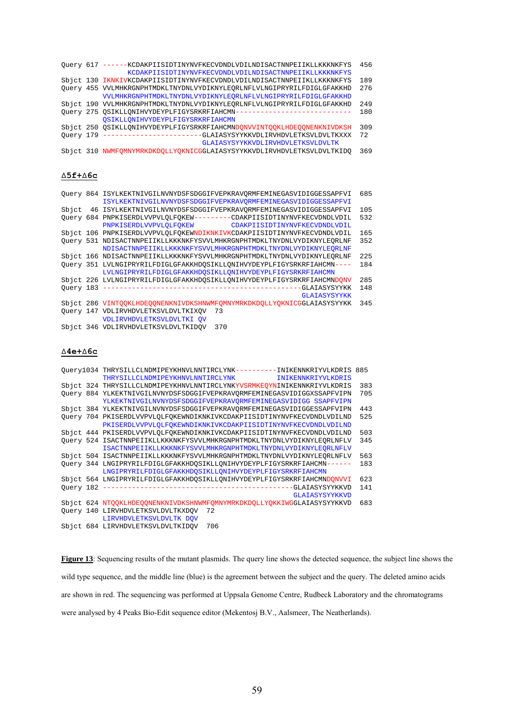| Ouery | 617 | ------KCDAKPIISIDTINYNVFKECVDNDLVDILNDISACTNNPEIIKLLKKKNKFYS           | 456 |
|-------|-----|------------------------------------------------------------------------|-----|
|       |     | KCDAKPIISIDTINYNVFKECVDNDLVDILNDISACTNNPEIIKLLKKKNKFYS                 |     |
|       |     | Sbjct 130 IKNKIVKCDAKPIISIDTINYNVFKECVDNDLVDILNDISACTNNPEIIKLLKKKNKFYS | 189 |
|       |     | Ouery 455 VVLMHKRGNPHTMDKLTNYDNLVYDIKNYLEORLNFLVLNGIPRYRILFDIGLGFAKKHD | 276 |
|       |     | VVLMHKRGNPHTMDKLTNYDNLVYDIKNYLEORLNFLVLNGIPRYRILFDIGLGFAKKHD           |     |
|       |     | Sbjct 190 VVLMHKRGNPHTMDKLTNYDNLVYDIKNYLEORLNFLVLNGIPRYRILFDIGLGFAKKHD | 249 |
|       |     | Ouery 275 OSIKLLONIHVYDEYPLFIGYSRKRFIAHCMN---------------------------- | 180 |
|       |     | OSIKLLONIHVYDEYPLFIGYSRKRFIAHCMN                                       |     |
|       |     | Sbjct 250 OSIKLLONIHVYDEYPLFIGYSRKRFIAHCMNDONVVINTOOKLHDEOONENKNIVDKSH | 309 |
|       |     | Ouery 179 ---------------------GLAIASYSYYKKVDLIRVHDVLETKSVLDVLTKXXX    | 72  |
|       |     | GLAIASYSYYKKVDLIRVHDVLETKSVLDVLTK                                      |     |
|       |     | Sbjct 310 NWMFOMNYMRKDKDOLLYOKNICGGLAIASYSYYKKVDLIRVHDVLETKSVLDVLTKIDO | 369 |
|       |     |                                                                        |     |
|       |     |                                                                        |     |

#### **∆5f+∆6c**

|       | Ouery 864 ISYLKEKTNIVGILNVNYDSFSDGGIFVEPKRAVORMFEMINEGASVIDIGGESSAPFVI | 685 |
|-------|------------------------------------------------------------------------|-----|
|       | ISYLKEKTNIVGILNVNYDSFSDGGIFVEPKRAVORMFEMINEGASVIDIGGESSAPFVI           |     |
| Sbict | 46 ISYLKEKTNIVGILNVNYDSFSDGGIFVEPKRAVORMFEMINEGASVIDIGGESSAPFVI        | 105 |
|       | Ouery 684 PNPKISERDLVVPVLOLFOKEW---------CDAKPIISIDTINYNVFKECVDNDLVDIL | 532 |
|       | PNPKISERDLVVPVLQLFQKEW CDAKPIISIDTINYNVFKECVDNDLVDIL                   |     |
|       | Sbict 106 PNPKISERDLVVPVLQLFQKEWNDIKNKIVKCDAKPIISIDTINYNVFKECVDNDLVDIL | 165 |
|       | Query 531 NDISACTNNPEIIKLLKKKNKFYSVVLMHKRGNPHTMDKLTNYDNLVYDIKNYLEQRLNF | 352 |
|       | NDISACTNNPEIIKLLKKKNKFYSVVLMHKRGNPHTMDKLTNYDNLVYDIKNYLEORLNF           |     |
|       | Sbjct 166 NDISACTNNPEIIKLLKKKNKFYSVVLMHKRGNPHTMDKLTNYDNLVYDIKNYLEORLNF | 225 |
|       | Ouery 351 LVLNGIPRYRILFDIGLGFAKKHDOSIKLLONIHVYDEYPLFIGYSRKRFIAHCMN---- | 184 |
|       | LVLNGIPRYRILFDIGLGFAKKHDOSIKLLONIHVYDEYPLFIGYSRKRFIAHCMN               |     |
|       | Sbjct 226 LVLNGIPRYRILFDIGLGFAKKHDOSIKLLONIHVYDEYPLFIGYSRKRFIAHCMNDONV | 285 |
|       |                                                                        | 148 |
|       | <b>GLAIASYSYYKK</b>                                                    |     |
|       | Sbjct 286 VINTOOKLHDEOONENKNIVDKSHNWMFOMNYMRKDKDOLLYOKNICGGLAIASYSYYKK | 345 |
|       | Ouery 147 VDLIRVHDVLETKSVLDVLTKIXOV<br>73                              |     |
|       | VDLIRVHDVLETKSVLDVLTKI OV                                              |     |
|       | Shict 346 VDLIPVHOVLFTKSVLDVLTWADOV<br><b>270</b>                      |     |

#### Sbjct 346 VDLIRVHDVLETKSVLDVLTKIDQV 370

### **∆4e+∆6c**

|  | Query1034 THRYSILLCLNDMIPEYKHNVLNNTIRCLYNK---------INIKENNKRIYVLKDRIS 885 |     |
|--|---------------------------------------------------------------------------|-----|
|  | <b>INIKENNKRIYVLKDRIS</b><br>THRYSILLCLNDMIPEYKHNVLNNTIRCLYNK             |     |
|  | Sbjct 324 THRYSILLCLNDMIPEYKHNVLNNTIRCLYNKYVSRMKEOYNINIKENNKRIYVLKDRIS    | 383 |
|  | Ouery 884 YLKEKTNIVGILNVNYDSFSDGGIFVEPKRAVORMFEMINEGASVIDIGGXSSAPFVIPN    | 705 |
|  | YLKEKTNIVGILNVNYDSFSDGGIFVEPKRAVORMFEMINEGASVIDIGG SSAPFVIPN              |     |
|  | Sbjct 384 YLKEKTNIVGILNVNYDSFSDGGIFVEPKRAVORMFEMINEGASVIDIGGESSAPFVIPN    | 443 |
|  | Query 704 PKISERDLVVPVLQLFQKEWNDIKNKIVKCDAKPIISIDTINYNVFKECVDNDLVDILND    | 525 |
|  | PKISERDLVVPVLOLFOKEWNDIKNKIVKCDAKPIISIDTINYNVFKECVDNDLVDILND              |     |
|  | Sbjct 444 PKISERDLVVPVLOLFOKEWNDIKNKIVKCDAKPIISIDTINYNVFKECVDNDLVDILND    | 503 |
|  | Ouery 524 ISACTNNPEIIKLLKKKNKFYSVVLMHKRGNPHTMDKLTNYDNLVYDIKNYLEORLNFLV    | 345 |
|  | ISACTNNPEIIKLLKKKNKFYSVVLMHKRGNPHTMDKLTNYDNLVYDIKNYLEORLNFLV              |     |
|  | Sbjct 504 ISACTNNPEIIKLLKKKNKFYSVVLMHKRGNPHTMDKLTNYDNLVYDIKNYLEORLNFLV    | 563 |
|  | Ouery 344 LNGIPRYRILFDIGLGFAKKHDOSIKLLONIHVYDEYPLFIGYSRKRFIAHCMN------    | 183 |
|  | LNGIPRYRILFDIGLGFAKKHDOSIKLLONIHVYDEYPLFIGYSRKRFIAHCMN                    |     |
|  | Sbjct 564 LNGIPRYRILFDIGLGFAKKHDOSIKLLONIHVYDEYPLFIGYSRKRFIAHCMNDONVVI    | 623 |
|  |                                                                           | 141 |
|  | GLAIASYSYYKKVD                                                            |     |
|  | Sbjct 624 NTOOKLHDEOONENKNIVDKSHNWMFOMNYMRKDKDOLLYOKKIWGGLAIASYSYYKKVD    | 683 |
|  | Ouery 140 LIRVHDVLETKSVLDVLTKXDOV<br>72                                   |     |
|  | LIRVHDVLETKSVLDVLTK DOV                                                   |     |
|  | Sbjct 684 LIRVHDVLETKSVLDVLTKIDOV<br>706                                  |     |

Figure 13: Sequencing results of the mutant plasmids. The query line shows the detected sequence, the subject line shows the wild type sequence, and the middle line (blue) is the agreement between the subject and the query. The deleted amino acids are shown in red. The sequencing was performed at Uppsala Genome Centre, Rudbeck Laboratory and the chromatograms were analysed by 4 Peaks Bio-Edit sequence editor (Mekentosj B.V., Aalsmeer, The Neatherlands).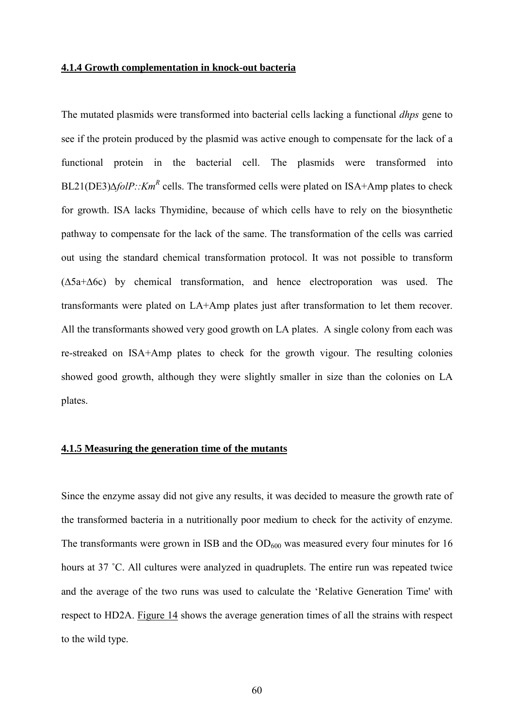## **4.1.4 Growth complementation in knock-out bacteria**

The mutated plasmids were transformed into bacterial cells lacking a functional *dhps* gene to see if the protein produced by the plasmid was active enough to compensate for the lack of a functional protein in the bacterial cell. The plasmids were transformed into BL21(DE3)∆*folP::Km<sup>R</sup>* cells. The transformed cells were plated on ISA+Amp plates to check for growth. ISA lacks Thymidine, because of which cells have to rely on the biosynthetic pathway to compensate for the lack of the same. The transformation of the cells was carried out using the standard chemical transformation protocol. It was not possible to transform (∆5a+∆6c) by chemical transformation, and hence electroporation was used. The transformants were plated on LA+Amp plates just after transformation to let them recover. All the transformants showed very good growth on LA plates. A single colony from each was re-streaked on ISA+Amp plates to check for the growth vigour. The resulting colonies showed good growth, although they were slightly smaller in size than the colonies on LA plates.

# **4.1.5 Measuring the generation time of the mutants**

Since the enzyme assay did not give any results, it was decided to measure the growth rate of the transformed bacteria in a nutritionally poor medium to check for the activity of enzyme. The transformants were grown in ISB and the  $OD_{600}$  was measured every four minutes for 16 hours at 37 ˚C. All cultures were analyzed in quadruplets. The entire run was repeated twice and the average of the two runs was used to calculate the 'Relative Generation Time' with respect to HD2A. Figure 14 shows the average generation times of all the strains with respect to the wild type.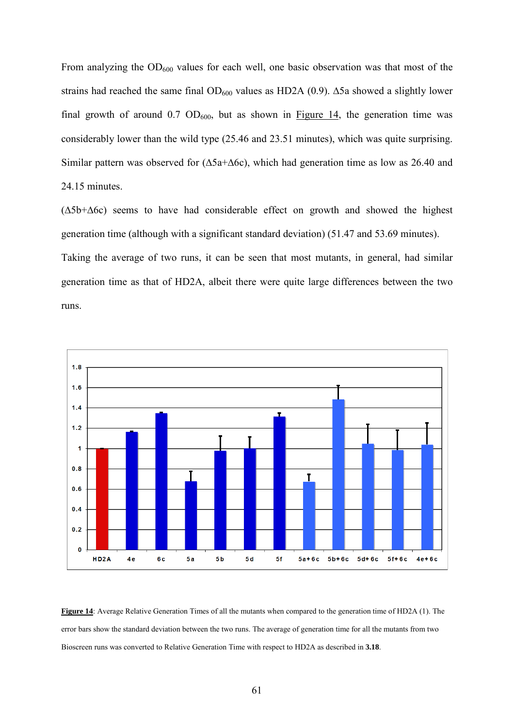From analyzing the  $OD_{600}$  values for each well, one basic observation was that most of the strains had reached the same final  $OD_{600}$  values as HD2A (0.9). ∆5a showed a slightly lower final growth of around  $0.7 \text{ OD}_{600}$ , but as shown in Figure 14, the generation time was considerably lower than the wild type (25.46 and 23.51 minutes), which was quite surprising. Similar pattern was observed for (∆5a+∆6c), which had generation time as low as 26.40 and 24.15 minutes.

(∆5b+∆6c) seems to have had considerable effect on growth and showed the highest generation time (although with a significant standard deviation) (51.47 and 53.69 minutes). Taking the average of two runs, it can be seen that most mutants, in general, had similar generation time as that of HD2A, albeit there were quite large differences between the two runs.



**Figure 14**: Average Relative Generation Times of all the mutants when compared to the generation time of HD2A (1). The error bars show the standard deviation between the two runs. The average of generation time for all the mutants from two Bioscreen runs was converted to Relative Generation Time with respect to HD2A as described in **3.18**.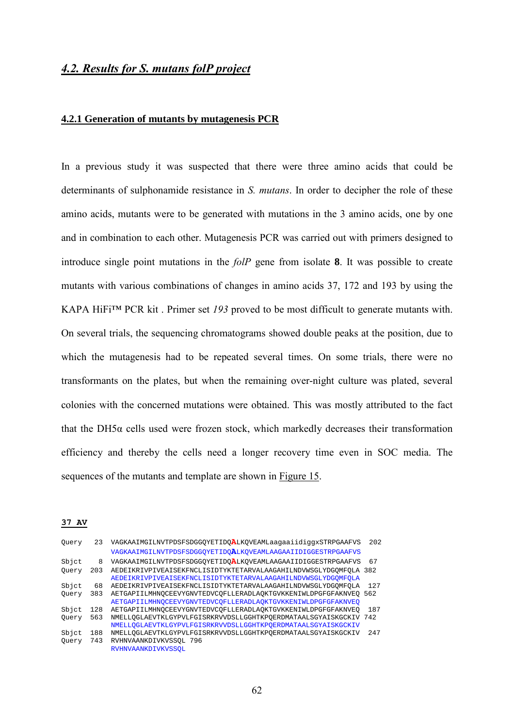# *4.2. Results for S. mutans folP project*

# **4.2.1 Generation of mutants by mutagenesis PCR**

In a previous study it was suspected that there were three amino acids that could be determinants of sulphonamide resistance in *S. mutans*. In order to decipher the role of these amino acids, mutants were to be generated with mutations in the 3 amino acids, one by one and in combination to each other. Mutagenesis PCR was carried out with primers designed to introduce single point mutations in the *folP* gene from isolate **8**. It was possible to create mutants with various combinations of changes in amino acids 37, 172 and 193 by using the KAPA HiFi™ PCR kit . Primer set *193* proved to be most difficult to generate mutants with. On several trials, the sequencing chromatograms showed double peaks at the position, due to which the mutagenesis had to be repeated several times. On some trials, there were no transformants on the plates, but when the remaining over-night culture was plated, several colonies with the concerned mutations were obtained. This was mostly attributed to the fact that the DH5 $\alpha$  cells used were frozen stock, which markedly decreases their transformation efficiency and thereby the cells need a longer recovery time even in SOC media. The sequences of the mutants and template are shown in Figure 15.

#### **37 AV**

| Query | 23  | VAGKAAIMGILNVTPDSFSDGGOYETIDOALKOVEAMLaaqaaiidiqqxSTRPGAAFVS     | 202 |
|-------|-----|------------------------------------------------------------------|-----|
|       |     | VAGKAAIMGILNVTPDSFSDGGOYETIDOALKOVEAMLAAGAAIIDIGGESTRPGAAFVS     |     |
| Sbict | 8   | VAGKAAIMGILNVTPDSFSDGGOYETIDOALKOVEAMLAAGAAIIDIGGESTRPGAAFVS     | 67  |
| Ouery | 203 | AEDEIKRIVPIVEAISEKFNCLISIDTYKTETARVALAAGAHILNDVWSGLYDGOMFOLA     | 382 |
|       |     | AEDEIKRIVPIVEAISEKFNCLISIDTYKTETARVALAAGAHILNDVWSGLYDGOMFOLA     |     |
| Sbict | 68  | AEDEIKRIVPIVEAISEKFNCLISIDTYKTETARVALAAGAHILNDVWSGLYDGOMFOLA     | 127 |
| Ouery | 383 | AETGAPIILMHNOCEEVYGNVTEDVCOFLLERADLAOKTGVKKENIWLDPGFGFAKNVEO 562 |     |
|       |     | AETGAPIILMHNOCEEVYGNVTEDVCOFLLERADLAOKTGVKKENIWLDPGFGFAKNVEO     |     |
| Sbict | 128 | AETGAPIILMHNOCEEVYGNVTEDVCOFLLERADLAOKTGVKKENIWLDPGFGFAKNVEO     | 187 |
| Ouery | 563 | NMELLOGLAEVTKLGYPVLFGISRKRVVDSLLGGHTKPOERDMATAALSGYAISKGCKIV 742 |     |
|       |     | NMELLOGLAEVTKLGYPVLFGISRKRVVDSLLGGHTKPOERDMATAALSGYAISKGCKIV     |     |
| Sbict | 188 | NMELLOGLAEVTKLGYPVLFGISRKRVVDSLLGGHTKPOERDMATAALSGYAISKGCKIV     | 247 |
| Ouery | 743 | RVHNVAANKDIVKVSSOL 796                                           |     |
|       |     | RVHNVAANKDIVKVSSOL                                               |     |
|       |     |                                                                  |     |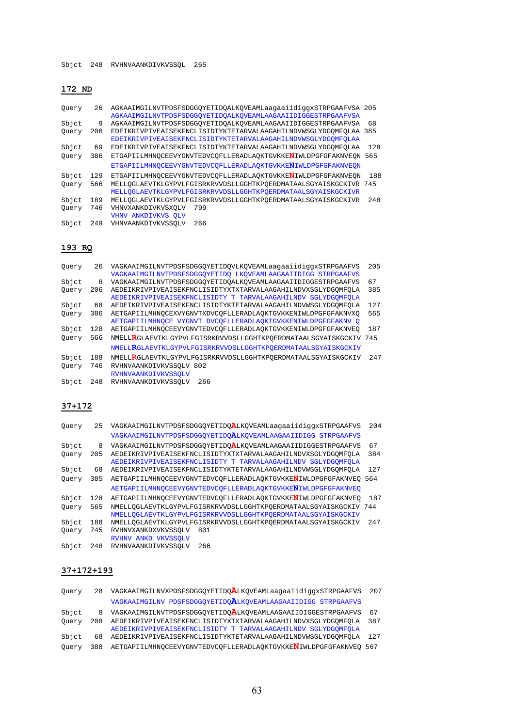# **172 ND**

| Query | 26  | AGKAAIMGILNVTPDSFSDGGOYETIDOALKOVEAMLaaqaaiidiqqxSTRPGAAFVSA 205 |     |
|-------|-----|------------------------------------------------------------------|-----|
|       |     | AGKAAIMGILNVTPDSFSDGGOYETIDOALKOVEAMLAAGAAIIDIGGESTRPGAAFVSA     |     |
| Sbict | 9   | AGKAAIMGILNVTPDSFSDGGOYETIDOALKOVEAMLAAGAAIIDIGGESTRPGAAFVSA     | 68  |
| Ouery | 206 | EDEIKRIVPIVEAISEKFNCLISIDTYKTETARVALAAGAHILNDVWSGLYDGOMFOLAA 385 |     |
|       |     | EDEIKRIVPIVEAISEKFNCLISIDTYKTETARVALAAGAHILNDVWSGLYDGOMFOLAA     |     |
| Sbjct | 69  | EDEIKRIVPIVEAISEKFNCLISIDTYKTETARVALAAGAHILNDVWSGLYDGOMFOLAA     | 128 |
| Ouery | 386 | ETGAPIILMHNOCEEVYGNVTEDVCOFLLERADLAOKTGVKKENIWLDPGFGFAKNVEON 565 |     |
|       |     | ETGAPIILMHNOCEEVYGNVTEDVCOFLLERADLAOKTGVKKENIWLDPGFGFAKNVEON     |     |
| Sbict | 129 | ETGAPIILMHNOCEEVYGNVTEDVCOFLLERADLAOKTGVKKENIWLDPGFGFAKNVEON     | 188 |
| Ouery | 566 | MELLOGLAEVTKLGYPVLFGISRKRVVDSLLGGHTKPOERDMATAALSGYAISKGCKIVR 745 |     |
|       |     | MELLOGLAEVTKLGYPVLFGISRKRVVDSLLGGHTKPOERDMATAALSGYAISKGCKIVR     |     |
| Sbict | 189 | MELLOGLAEVTKLGYPVLFGISRKRVVDSLLGGHTKPOERDMATAALSGYAISKGCKIVR     | 248 |
| Ouery | 746 | VHNVXANKDIVKVSXOLV<br>799                                        |     |
|       |     | VHNV ANKDIVKVS OLV                                               |     |
| Sbict | 249 | 266<br>VHNVAANKDIVKVSSOLV                                        |     |
|       |     |                                                                  |     |
|       |     |                                                                  |     |

# **193 RQ**

| Ouery | 26  | VAGKAAIMGILNVTPDSFSDGGOYETIDOVLKOVEAMLaaqaaiidiqqxSTRPGAAFVS     | 205 |
|-------|-----|------------------------------------------------------------------|-----|
|       |     | VAGKAAIMGILNVTPDSFSDGGOYETIDO LKOVEAMLAAGAAIIDIGG STRPGAAFVS     |     |
| Sbict | 8   | VAGKAAIMGILNVTPDSFSDGGOYETIDOALKOVEAMLAAGAAIIDIGGESTRPGAAFVS     | 67  |
| Ouery | 206 | AEDEIKRIVPIVEAISEKFNCLISIDTYXTXTARVALAAGAHILNDVXSGLYDGOMFOLA     | 385 |
|       |     | AEDEIKRIVPIVEAISEKFNCLISIDTY T TARVALAAGAHILNDV SGLYDGOMFOLA     |     |
| Sbict | 68  | AEDEIKRIVPIVEAISEKFNCLISIDTYKTETARVALAAGAHILNDVWSGLYDGOMFOLA     | 127 |
| Ouery | 386 | AETGAPIILMHNOCEXVYGNVTXDVCOFLLERADLAOKTGVKKENIWLDPGFGFAKNVXO     | 565 |
|       |     | AETGAPIILMHNOCE VYGNVT DVCOFLLERADLAOKTGVKKENIWLDPGFGFAKNV O     |     |
| Sbjct | 128 | AETGAPIILMHNOCEEVYGNVTEDVCOFLLERADLAOKTGVKKENIWLDPGFGFAKNVEO     | 187 |
| Ouery | 566 | NMELLRGLAEVTKLGYPVLFGISRKRVVDSLLGGHTKPOERDMATAALSGYAISKGCKIV 745 |     |
|       |     | NMELLRGLAEVTKLGYPVLFGISRKRVVDSLLGGHTKPOERDMATAALSGYAISKGCKIV     |     |
| Sbict | 188 | NMELLRGLAEVTKLGYPVLFGISRKRVVDSLLGGHTKPOERDMATAALSGYAISKGCKIV     | 247 |
| Ouery | 746 | RVHNVAANKDIVKVSSOLV 802                                          |     |
|       |     | <b>RVHNVAANKDIVKVSSOLV</b>                                       |     |
| Sbict | 248 | RVHNVAANKDIVKVSSOLV<br>266                                       |     |

# **37+172**

| Ouery | 25  | VAGKAAIMGILNVTPDSFSDGGOYETIDOALKOVEAMLaaqaaiidiqqxSTRPGAAFVS          | 204 |
|-------|-----|-----------------------------------------------------------------------|-----|
|       |     | VAGKAAIMGILNVTPDSFSDGGOYETIDOALKOVEAMLAAGAAIIDIGG STRPGAAFVS          |     |
| Sbict | 8   | VAGKAAIMGILNVTPDSFSDGGOYETIDO <b>A</b> LKOVEAMLAAGAAIIDIGGESTRPGAAFVS | 67  |
| Ouery | 205 | AEDEIKRIVPIVEAISEKFNCLISIDTYXTXTARVALAAGAHILNDVXSGLYDGOMFOLA          | 384 |
|       |     | AEDEIKRIVPIVEAISEKFNCLISIDTY T TARVALAAGAHILNDV SGLYDGOMFOLA          |     |
| Sbjct | 68  | AEDEIKRIVPIVEAISEKFNCLISIDTYKTETARVALAAGAHILNDVWSGLYDGOMFOLA          | 127 |
| Ouery | 385 | AETGAPIILMHNOCEEVYGNVTEDVCOFLLERADLAOKTGVKKENIWLDPGFGFAKNVEO          | 564 |
|       |     | AETGAPIILMHNOCEEVYGNVTEDVCOFLLERADLAOKTGVKKENIWLDPGFGFAKNVEO          |     |
| Sbict | 128 | AETGAPIILMHNOCEEVYGNVTEDVCOFLLERADLAOKTGVKKENIWLDPGFGFAKNVEO          | 187 |
| Ouery | 565 | NMELLOGLAEVTKLGYPVLFGISRKRVVDSLLGGHTKPOERDMATAALSGYAISKGCKIV 744      |     |
|       |     | NMELLOGLAEVTKLGYPVLFGISRKRVVDSLLGGHTKPOERDMATAALSGYAISKGCKIV          |     |
| Sbict | 188 | NMELLOGLAEVTKLGYPVLFGISRKRVVDSLLGGHTKPOERDMATAALSGYAISKGCKIV          | 247 |
| Ouery | 745 | RVHNVXANKDXVKVSSOLV<br>801                                            |     |
|       |     | RVHNV ANKD VKVSSOLV                                                   |     |
| Sbict | 248 | RVHNVAANKDIVKVSSOLV<br>266                                            |     |

## **37+172+193**

| Ouery | 28  | VAGKAAIMGILNVXPDSFSDGGQYETIDQALKQVEAMLaagaaiidiggxSTRPGAAFVS     | 207 |
|-------|-----|------------------------------------------------------------------|-----|
|       |     | VAGKAAIMGILNV PDSFSDGGOYETIDOALKOVEAMLAAGAAIIDIGG STRPGAAFVS     |     |
| Sbict | 8   | VAGKAAIMGILNVTPDSFSDGGOYETIDOALKOVEAMLAAGAAIIDIGGESTRPGAAFVS     | 67  |
| Ouery | 208 | AEDEIKRIVPIVEAISEKFNCLISIDTYXTXTARVALAAGAHILNDVXSGLYDGOMFOLA     | 387 |
|       |     | AEDEIKRIVPIVEAISEKFNCLISIDTY T TARVALAAGAHILNDV SGLYDGOMFOLA     |     |
| Sbict | 68  | AEDEIKRIVPIVEAISEKFNCLISIDTYKTETARVALAAGAHILNDVWSGLYDGOMFOLA     | 127 |
| Ouery | 388 | AETGAPIILMHNOCEEVYGNVTEDVCOFLLERADLAOKTGVKKENIWLDPGFGFAKNVEO 567 |     |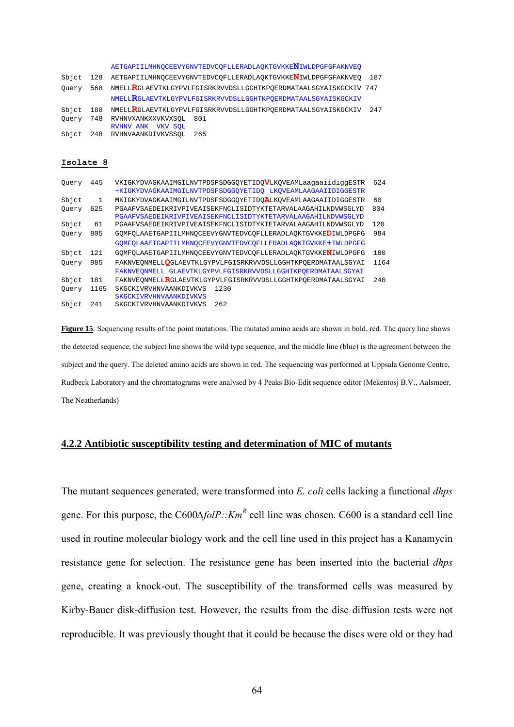|       |     | AETGAPIILMHNOCEEVYGNVTEDVCOFLLERADLAOKTGVKKENIWLDPGFGFAKNVEO          |     |
|-------|-----|-----------------------------------------------------------------------|-----|
| Sbict | 128 | AETGAPIILMHNOCEEVYGNVTEDVCOFLLERADLAOKTGVKKE <b>N</b> IWLDPGFGFAKNVEO | 187 |
| Ouery | 568 | NMELLRGLAEVTKLGYPVLFGISRKRVVDSLLGGHTKPOERDMATAALSGYAISKGCKIV 747      |     |
|       |     | NMELLRGLAEVTKLGYPVLFGISRKRVVDSLLGGHTKPOERDMATAALSGYAISKGCKIV          |     |
| Sbict |     | 188 NMELLRGLAEVTKLGYPVLFGISRKRVVDSLLGGHTKPOERDMATAALSGYAISKGCKIV      | 247 |
| Ouery |     | 748 RVHNVXANKXXVKVXSOL<br>801<br>RVHNV ANK VKV SOL                    |     |
| Sbict |     | 248 RVHNVAANKDIVKVSSOL<br>265                                         |     |
|       |     |                                                                       |     |
|       |     |                                                                       |     |

#### **Isolate 8**

| Ouery | 445  | VKIGKYDVAGKAAIMGILNVTPDSFSDGGOYETIDOVLKOVEAMLaaqaaiidiqqESTR | 624  |
|-------|------|--------------------------------------------------------------|------|
|       |      | +KIGKYDVAGKAAIMGILNVTPDSFSDGGOYETIDO LKOVEAMLAAGAAIIDIGGESTR |      |
| Sbjct | 1    | MKIGKYDVAGKAAIMGILNVTPDSFSDGGOYETIDOALKOVEAMLAAGAAIIDIGGESTR | 60   |
| Ouery | 625  | PGAAFVSAEDEIKRIVPIVEAISEKFNCLISIDTYKTETARVALAAGAHILNDVWSGLYD | 804  |
|       |      | PGAAFVSAEDEIKRIVPIVEAISEKFNCLISIDTYKTETARVALAAGAHILNDVWSGLYD |      |
| Sbjct | 61   | PGAAFVSAEDEIKRIVPIVEAISEKFNCLISIDTYKTETARVALAAGAHILNDVWSGLYD | 120  |
| Ouery | 805  | GOMFOLAAETGAPIILMHNOCEEVYGNVTEDVCOFLLERADLAOKTGVKKEDIWLDPGFG | 984  |
|       |      | GOMFOLAAETGAPIILMHNOCEEVYGNVTEDVCOFLLERADLAOKTGVKKE+IWLDPGFG |      |
| Sbjct | 121  | GOMFOLAAETGAPIILMHNOCEEVYGNVTEDVCOFLLERADLAOKTGVKKENIWLDPGFG | 180  |
| Ouery | 985  | FAKNVEONMELLOGLAEVTKLGYPVLFGISRKRVVDSLLGGHTKPOERDMATAALSGYAI | 1164 |
|       |      | FAKNVEONMELL GLAEVTKLGYPVLFGISRKRVVDSLLGGHTKPOERDMATAALSGYAI |      |
| Sbict | 181  | FAKNVEONMELLRGLAEVTKLGYPVLFGISRKRVVDSLLGGHTKPOERDMATAALSGYAI | 240  |
| Ouery | 1165 | 1230<br>SKGCKIVRVHNVAANKDIVKVS                               |      |
|       |      | <b>SKGCKIVRVHNVAANKDIVKVS</b>                                |      |
| Sbict | 241  | 262<br>SKGCKIVRVHNVAANKDIVKVS                                |      |

**Figure 15**: Sequencing results of the point mutations. The mutated amino acids are shown in bold, red. The query line shows the detected sequence, the subject line shows the wild type sequence, and the middle line (blue) is the agreement between the subject and the query. The deleted amino acids are shown in red. The sequencing was performed at Uppsala Genome Centre, Rudbeck Laboratory and the chromatograms were analysed by 4 Peaks Bio-Edit sequence editor (Mekentosj B.V., Aalsmeer, The Neatherlands)

# **4.2.2 Antibiotic susceptibility testing and determination of MIC of mutants**

The mutant sequences generated, were transformed into *E. coli* cells lacking a functional *dhps* gene. For this purpose, the C600Δ*folP::Km<sup>R</sup>* cell line was chosen. C600 is a standard cell line used in routine molecular biology work and the cell line used in this project has a Kanamycin resistance gene for selection. The resistance gene has been inserted into the bacterial *dhps* gene, creating a knock-out. The susceptibility of the transformed cells was measured by Kirby-Bauer disk-diffusion test. However, the results from the disc diffusion tests were not reproducible. It was previously thought that it could be because the discs were old or they had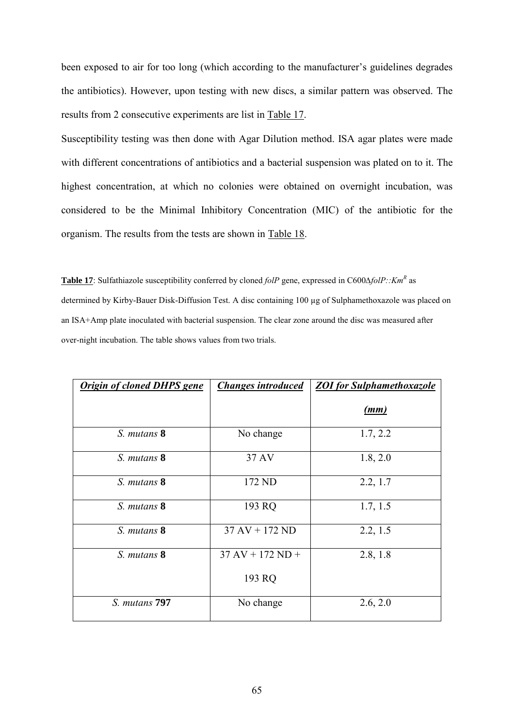been exposed to air for too long (which according to the manufacturer's guidelines degrades the antibiotics). However, upon testing with new discs, a similar pattern was observed. The results from 2 consecutive experiments are list in Table 17.

Susceptibility testing was then done with Agar Dilution method. ISA agar plates were made with different concentrations of antibiotics and a bacterial suspension was plated on to it. The highest concentration, at which no colonies were obtained on overnight incubation, was considered to be the Minimal Inhibitory Concentration (MIC) of the antibiotic for the organism. The results from the tests are shown in Table 18.

**Table 17**: Sulfathiazole susceptibility conferred by cloned *folP* gene, expressed in C600*∆folP::Km<sup>R</sup>* as determined by Kirby-Bauer Disk-Diffusion Test. A disc containing 100 µg of Sulphamethoxazole was placed on an ISA+Amp plate inoculated with bacterial suspension. The clear zone around the disc was measured after over-night incubation. The table shows values from two trials.

| <b>Origin of cloned DHPS gene</b> | <b>Changes introduced</b>          | <b>ZOI</b> for Sulphamethoxazole |
|-----------------------------------|------------------------------------|----------------------------------|
|                                   |                                    | (mm)                             |
| S. mutans 8                       | No change                          | 1.7, 2.2                         |
| S. mutans 8                       | 37 AV                              | 1.8, 2.0                         |
| S. mutans 8                       | 172 ND                             | 2.2, 1.7                         |
| S. mutans 8                       | 193 RQ                             | 1.7, 1.5                         |
| S. mutans 8                       | $37 \text{ AV} + 172 \text{ ND}$   | 2.2, 1.5                         |
| S. mutans 8                       | $37 \text{ AV} + 172 \text{ ND} +$ | 2.8, 1.8                         |
|                                   | 193 RQ                             |                                  |
| S. mutans 797                     | No change                          | 2.6, 2.0                         |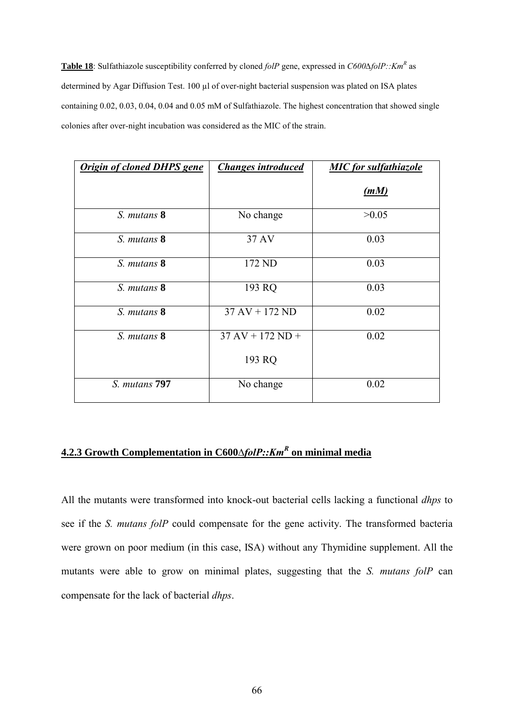**Table 18**: Sulfathiazole susceptibility conferred by cloned *folP* gene, expressed in *C600∆folP::Km<sup>R</sup>* as determined by Agar Diffusion Test. 100 µl of over-night bacterial suspension was plated on ISA plates containing 0.02, 0.03, 0.04, 0.04 and 0.05 mM of Sulfathiazole. The highest concentration that showed single colonies after over-night incubation was considered as the MIC of the strain.

| <b>Origin of cloned DHPS gene</b> | <b>Changes introduced</b>          | <b>MIC</b> for sulfathiazole |
|-----------------------------------|------------------------------------|------------------------------|
|                                   |                                    | (mM)                         |
| S. mutans 8                       | No change                          | >0.05                        |
| S. mutans 8                       | 37 AV                              | 0.03                         |
| S. mutans 8                       | 172 ND                             | 0.03                         |
| S. mutans 8                       | 193 RQ                             | 0.03                         |
| S. mutans 8                       | $37 \text{ AV} + 172 \text{ ND}$   | 0.02                         |
| S. mutans 8                       | $37 \text{ AV} + 172 \text{ ND} +$ | 0.02                         |
|                                   | 193 RQ                             |                              |
| S. mutans 797                     | No change                          | 0.02                         |

# **4.2.3 Growth Complementation in C600***∆folP::Km<sup>R</sup>* **on minimal media**

All the mutants were transformed into knock-out bacterial cells lacking a functional *dhps* to see if the *S. mutans folP* could compensate for the gene activity. The transformed bacteria were grown on poor medium (in this case, ISA) without any Thymidine supplement. All the mutants were able to grow on minimal plates, suggesting that the *S. mutans folP* can compensate for the lack of bacterial *dhps*.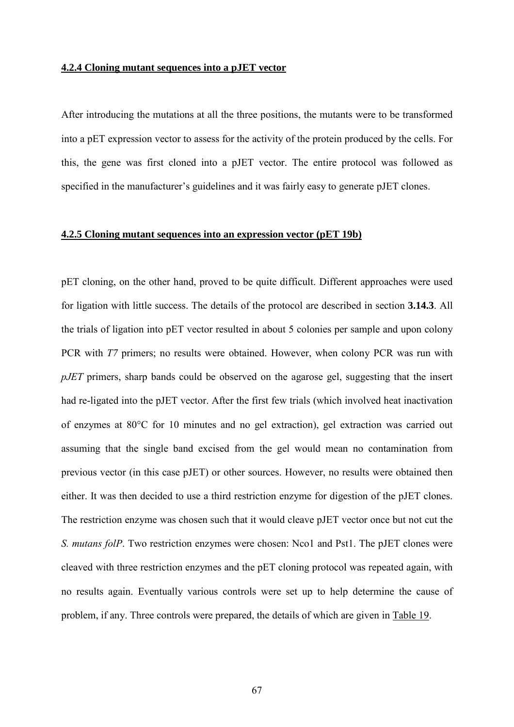## **4.2.4 Cloning mutant sequences into a pJET vector**

After introducing the mutations at all the three positions, the mutants were to be transformed into a pET expression vector to assess for the activity of the protein produced by the cells. For this, the gene was first cloned into a pJET vector. The entire protocol was followed as specified in the manufacturer's guidelines and it was fairly easy to generate pJET clones.

# **4.2.5 Cloning mutant sequences into an expression vector (pET 19b)**

pET cloning, on the other hand, proved to be quite difficult. Different approaches were used for ligation with little success. The details of the protocol are described in section **3.14.3**. All the trials of ligation into pET vector resulted in about 5 colonies per sample and upon colony PCR with *T7* primers; no results were obtained. However, when colony PCR was run with *pJET* primers, sharp bands could be observed on the agarose gel, suggesting that the insert had re-ligated into the pJET vector. After the first few trials (which involved heat inactivation of enzymes at 80°C for 10 minutes and no gel extraction), gel extraction was carried out assuming that the single band excised from the gel would mean no contamination from previous vector (in this case pJET) or other sources. However, no results were obtained then either. It was then decided to use a third restriction enzyme for digestion of the pJET clones. The restriction enzyme was chosen such that it would cleave pJET vector once but not cut the *S. mutans folP*. Two restriction enzymes were chosen: Nco1 and Pst1. The pJET clones were cleaved with three restriction enzymes and the pET cloning protocol was repeated again, with no results again. Eventually various controls were set up to help determine the cause of problem, if any. Three controls were prepared, the details of which are given in Table 19.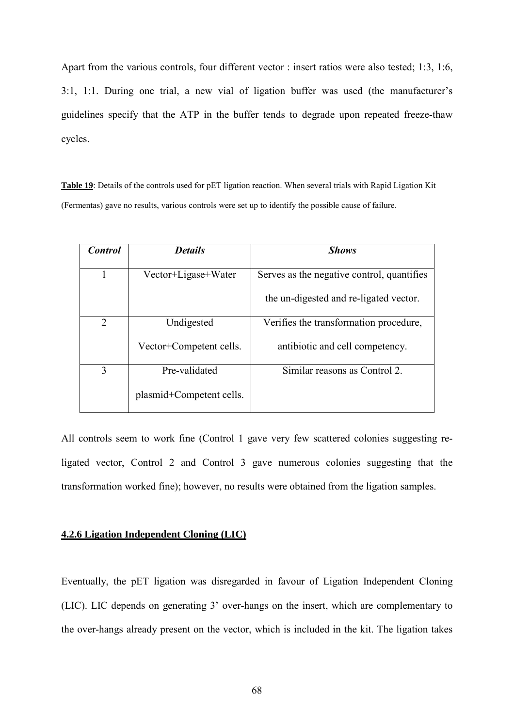Apart from the various controls, four different vector : insert ratios were also tested; 1:3, 1:6, 3:1, 1:1. During one trial, a new vial of ligation buffer was used (the manufacturer's guidelines specify that the ATP in the buffer tends to degrade upon repeated freeze-thaw cycles.

**Table 19**: Details of the controls used for pET ligation reaction. When several trials with Rapid Ligation Kit (Fermentas) gave no results, various controls were set up to identify the possible cause of failure.

| <b>Control</b> | <b>Details</b>           | <b>Shows</b>                               |
|----------------|--------------------------|--------------------------------------------|
|                | Vector+Ligase+Water      | Serves as the negative control, quantifies |
|                |                          | the un-digested and re-ligated vector.     |
| $\overline{2}$ | Undigested               | Verifies the transformation procedure,     |
|                | Vector+Competent cells.  | antibiotic and cell competency.            |
| 3              | Pre-validated            | Similar reasons as Control 2.              |
|                | plasmid+Competent cells. |                                            |

All controls seem to work fine (Control 1 gave very few scattered colonies suggesting religated vector, Control 2 and Control 3 gave numerous colonies suggesting that the transformation worked fine); however, no results were obtained from the ligation samples.

# **4.2.6 Ligation Independent Cloning (LIC)**

Eventually, the pET ligation was disregarded in favour of Ligation Independent Cloning (LIC). LIC depends on generating 3' over-hangs on the insert, which are complementary to the over-hangs already present on the vector, which is included in the kit. The ligation takes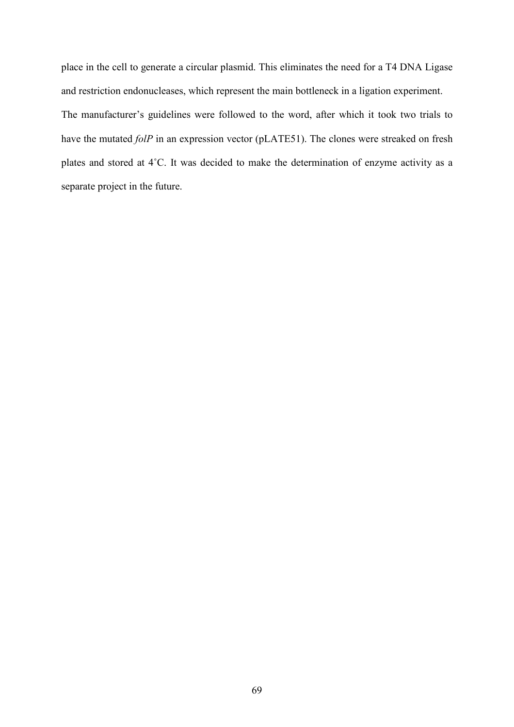place in the cell to generate a circular plasmid. This eliminates the need for a T4 DNA Ligase and restriction endonucleases, which represent the main bottleneck in a ligation experiment. The manufacturer's guidelines were followed to the word, after which it took two trials to have the mutated *folP* in an expression vector (pLATE51). The clones were streaked on fresh plates and stored at 4˚C. It was decided to make the determination of enzyme activity as a separate project in the future.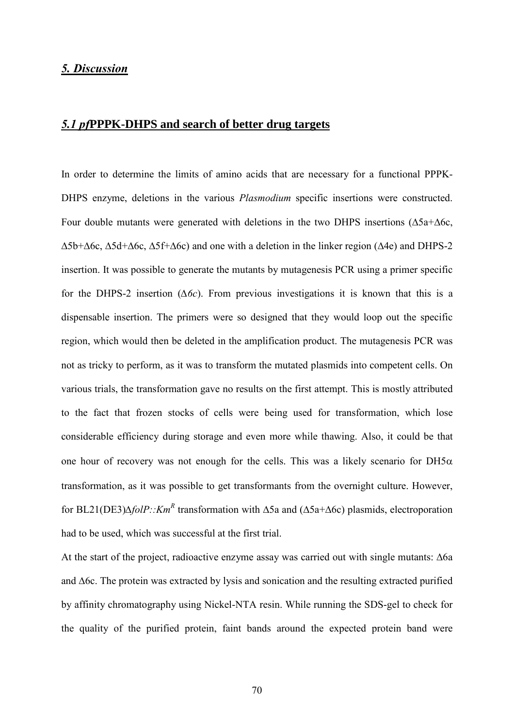# *5. Discussion*

# *5.1 pf***PPPK-DHPS and search of better drug targets**

In order to determine the limits of amino acids that are necessary for a functional PPPK-DHPS enzyme, deletions in the various *Plasmodium* specific insertions were constructed. Four double mutants were generated with deletions in the two DHPS insertions (∆5a+∆6c, ∆5b+∆6c, ∆5d+∆6c, ∆5f+∆6c) and one with a deletion in the linker region (∆4e) and DHPS-2 insertion. It was possible to generate the mutants by mutagenesis PCR using a primer specific for the DHPS-2 insertion (*∆6c*). From previous investigations it is known that this is a dispensable insertion. The primers were so designed that they would loop out the specific region, which would then be deleted in the amplification product. The mutagenesis PCR was not as tricky to perform, as it was to transform the mutated plasmids into competent cells. On various trials, the transformation gave no results on the first attempt. This is mostly attributed to the fact that frozen stocks of cells were being used for transformation, which lose considerable efficiency during storage and even more while thawing. Also, it could be that one hour of recovery was not enough for the cells. This was a likely scenario for  $DH5\alpha$ transformation, as it was possible to get transformants from the overnight culture. However, for BL21(DE3)∆*folP::Km<sup>R</sup>* transformation with ∆5a and (∆5a+∆6c) plasmids, electroporation had to be used, which was successful at the first trial.

At the start of the project, radioactive enzyme assay was carried out with single mutants: ∆6a and ∆6c. The protein was extracted by lysis and sonication and the resulting extracted purified by affinity chromatography using Nickel-NTA resin. While running the SDS-gel to check for the quality of the purified protein, faint bands around the expected protein band were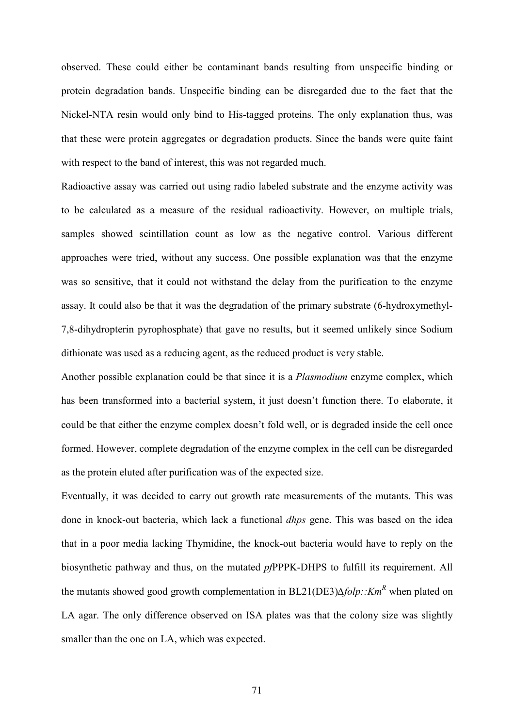observed. These could either be contaminant bands resulting from unspecific binding or protein degradation bands. Unspecific binding can be disregarded due to the fact that the Nickel-NTA resin would only bind to His-tagged proteins. The only explanation thus, was that these were protein aggregates or degradation products. Since the bands were quite faint with respect to the band of interest, this was not regarded much.

Radioactive assay was carried out using radio labeled substrate and the enzyme activity was to be calculated as a measure of the residual radioactivity. However, on multiple trials, samples showed scintillation count as low as the negative control. Various different approaches were tried, without any success. One possible explanation was that the enzyme was so sensitive, that it could not withstand the delay from the purification to the enzyme assay. It could also be that it was the degradation of the primary substrate (6-hydroxymethyl-7,8-dihydropterin pyrophosphate) that gave no results, but it seemed unlikely since Sodium dithionate was used as a reducing agent, as the reduced product is very stable.

Another possible explanation could be that since it is a *Plasmodium* enzyme complex, which has been transformed into a bacterial system, it just doesn't function there. To elaborate, it could be that either the enzyme complex doesn't fold well, or is degraded inside the cell once formed. However, complete degradation of the enzyme complex in the cell can be disregarded as the protein eluted after purification was of the expected size.

Eventually, it was decided to carry out growth rate measurements of the mutants. This was done in knock-out bacteria, which lack a functional *dhps* gene. This was based on the idea that in a poor media lacking Thymidine, the knock-out bacteria would have to reply on the biosynthetic pathway and thus, on the mutated *pf*PPPK-DHPS to fulfill its requirement. All the mutants showed good growth complementation in BL21(DE3)*∆folp::KmR* when plated on LA agar. The only difference observed on ISA plates was that the colony size was slightly smaller than the one on LA, which was expected.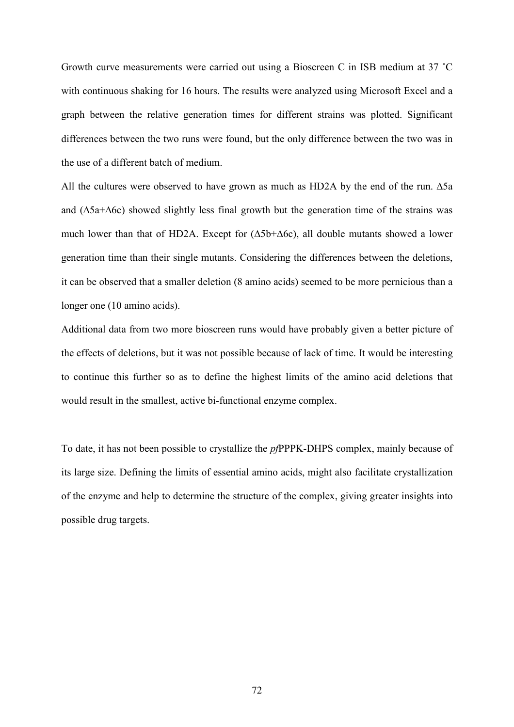Growth curve measurements were carried out using a Bioscreen C in ISB medium at 37 ˚C with continuous shaking for 16 hours. The results were analyzed using Microsoft Excel and a graph between the relative generation times for different strains was plotted. Significant differences between the two runs were found, but the only difference between the two was in the use of a different batch of medium.

All the cultures were observed to have grown as much as HD2A by the end of the run. ∆5a and (∆5a+∆6c) showed slightly less final growth but the generation time of the strains was much lower than that of HD2A. Except for (∆5b+∆6c), all double mutants showed a lower generation time than their single mutants. Considering the differences between the deletions, it can be observed that a smaller deletion (8 amino acids) seemed to be more pernicious than a longer one (10 amino acids).

Additional data from two more bioscreen runs would have probably given a better picture of the effects of deletions, but it was not possible because of lack of time. It would be interesting to continue this further so as to define the highest limits of the amino acid deletions that would result in the smallest, active bi-functional enzyme complex.

To date, it has not been possible to crystallize the *pf*PPPK-DHPS complex, mainly because of its large size. Defining the limits of essential amino acids, might also facilitate crystallization of the enzyme and help to determine the structure of the complex, giving greater insights into possible drug targets.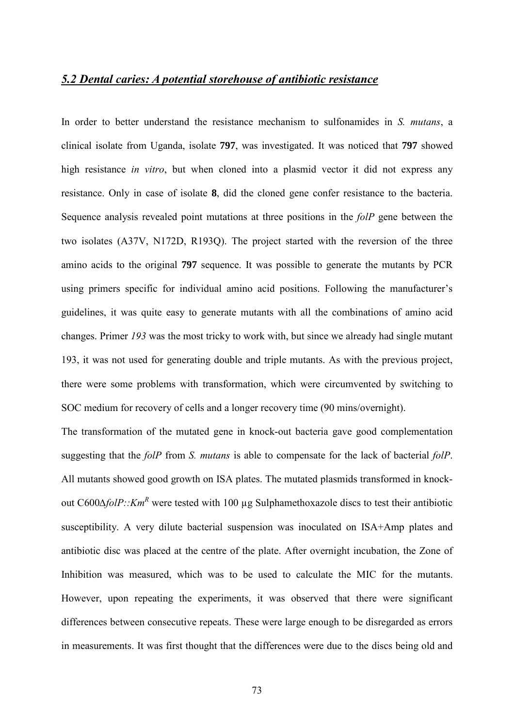#### *5.2 Dental caries: A potential storehouse of antibiotic resistance*

In order to better understand the resistance mechanism to sulfonamides in *S. mutans*, a clinical isolate from Uganda, isolate **797**, was investigated. It was noticed that **797** showed high resistance *in vitro*, but when cloned into a plasmid vector it did not express any resistance. Only in case of isolate **8**, did the cloned gene confer resistance to the bacteria. Sequence analysis revealed point mutations at three positions in the *folP* gene between the two isolates (A37V, N172D, R193Q). The project started with the reversion of the three amino acids to the original **797** sequence. It was possible to generate the mutants by PCR using primers specific for individual amino acid positions. Following the manufacturer's guidelines, it was quite easy to generate mutants with all the combinations of amino acid changes. Primer *193* was the most tricky to work with, but since we already had single mutant 193, it was not used for generating double and triple mutants. As with the previous project, there were some problems with transformation, which were circumvented by switching to SOC medium for recovery of cells and a longer recovery time (90 mins/overnight).

The transformation of the mutated gene in knock-out bacteria gave good complementation suggesting that the *folP* from *S. mutans* is able to compensate for the lack of bacterial *folP*. All mutants showed good growth on ISA plates. The mutated plasmids transformed in knockout C600*∆folP::KmR* were tested with 100 µg Sulphamethoxazole discs to test their antibiotic susceptibility. A very dilute bacterial suspension was inoculated on ISA+Amp plates and antibiotic disc was placed at the centre of the plate. After overnight incubation, the Zone of Inhibition was measured, which was to be used to calculate the MIC for the mutants. However, upon repeating the experiments, it was observed that there were significant differences between consecutive repeats. These were large enough to be disregarded as errors in measurements. It was first thought that the differences were due to the discs being old and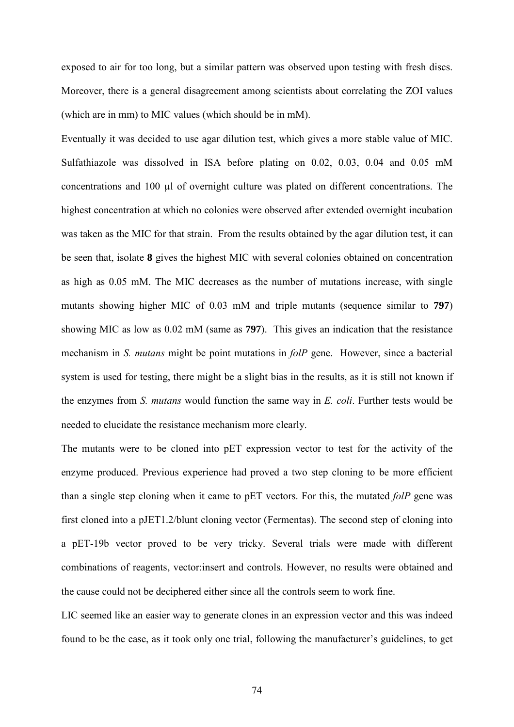exposed to air for too long, but a similar pattern was observed upon testing with fresh discs. Moreover, there is a general disagreement among scientists about correlating the ZOI values (which are in mm) to MIC values (which should be in mM).

Eventually it was decided to use agar dilution test, which gives a more stable value of MIC. Sulfathiazole was dissolved in ISA before plating on 0.02, 0.03, 0.04 and 0.05 mM concentrations and 100 µl of overnight culture was plated on different concentrations. The highest concentration at which no colonies were observed after extended overnight incubation was taken as the MIC for that strain. From the results obtained by the agar dilution test, it can be seen that, isolate **8** gives the highest MIC with several colonies obtained on concentration as high as 0.05 mM. The MIC decreases as the number of mutations increase, with single mutants showing higher MIC of 0.03 mM and triple mutants (sequence similar to **797**) showing MIC as low as 0.02 mM (same as **797**). This gives an indication that the resistance mechanism in *S. mutans* might be point mutations in *folP* gene. However, since a bacterial system is used for testing, there might be a slight bias in the results, as it is still not known if the enzymes from *S. mutans* would function the same way in *E. coli*. Further tests would be needed to elucidate the resistance mechanism more clearly.

The mutants were to be cloned into pET expression vector to test for the activity of the enzyme produced. Previous experience had proved a two step cloning to be more efficient than a single step cloning when it came to pET vectors. For this, the mutated *folP* gene was first cloned into a pJET1.2/blunt cloning vector (Fermentas). The second step of cloning into a pET-19b vector proved to be very tricky. Several trials were made with different combinations of reagents, vector:insert and controls. However, no results were obtained and the cause could not be deciphered either since all the controls seem to work fine.

LIC seemed like an easier way to generate clones in an expression vector and this was indeed found to be the case, as it took only one trial, following the manufacturer's guidelines, to get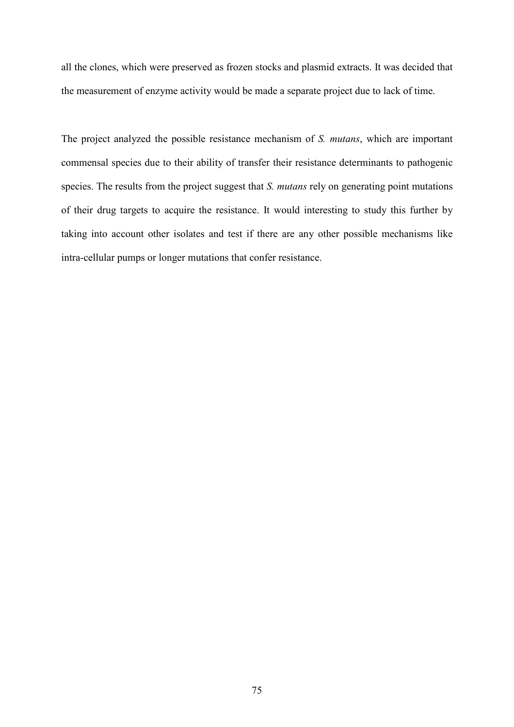all the clones, which were preserved as frozen stocks and plasmid extracts. It was decided that the measurement of enzyme activity would be made a separate project due to lack of time.

The project analyzed the possible resistance mechanism of *S. mutans*, which are important commensal species due to their ability of transfer their resistance determinants to pathogenic species. The results from the project suggest that *S. mutans* rely on generating point mutations of their drug targets to acquire the resistance. It would interesting to study this further by taking into account other isolates and test if there are any other possible mechanisms like intra-cellular pumps or longer mutations that confer resistance.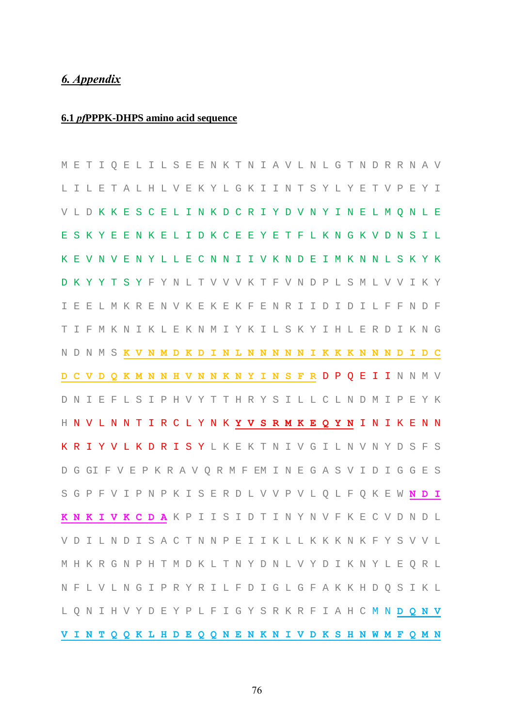# *6. Appendix*

## **6.1** *pf***PPPK-DHPS amino acid sequence**

|  |  |  |                                                                            |  |  |  |  |  |  |  |  |  |  |  | M E T I Q E L I L S E E N K T N I A V L N L G T N D R R N A V |
|--|--|--|----------------------------------------------------------------------------|--|--|--|--|--|--|--|--|--|--|--|---------------------------------------------------------------|
|  |  |  | LILETALHLVEKYLGKIINTSYLYETVPEYI                                            |  |  |  |  |  |  |  |  |  |  |  |                                                               |
|  |  |  | VLDKKES CELINKD CRIYD VNYINEL M Q N L E                                    |  |  |  |  |  |  |  |  |  |  |  |                                                               |
|  |  |  | E S K Y E E N K E L I D K C E E Y E T F L K N G K V D N S I L              |  |  |  |  |  |  |  |  |  |  |  |                                                               |
|  |  |  | K E V N V E N Y L L E C N N I I V K N D E I M K N N L S K Y K              |  |  |  |  |  |  |  |  |  |  |  |                                                               |
|  |  |  | D K Y Y T S Y F Y N L T V V V K T F V N D P L S M L V V I K Y              |  |  |  |  |  |  |  |  |  |  |  |                                                               |
|  |  |  | I E E L M K R E N V K E K E K F E N R I I D I D I L F F N D F              |  |  |  |  |  |  |  |  |  |  |  |                                                               |
|  |  |  | T I F M K N I K L E K N M I Y K I L S K Y I H L E R D I K N G              |  |  |  |  |  |  |  |  |  |  |  |                                                               |
|  |  |  | N D N M S <mark>K V N M D K D I N L N N N N N I K K K N N</mark> N D I D C |  |  |  |  |  |  |  |  |  |  |  |                                                               |
|  |  |  |                                                                            |  |  |  |  |  |  |  |  |  |  |  | D C V D Q K M N N H V N N K N Y I N S F R D P Q E I I N M V   |
|  |  |  | D N I E F L S I P H V Y T T H R Y S I L L C L N D M I P E Y K              |  |  |  |  |  |  |  |  |  |  |  |                                                               |
|  |  |  | H N V L N N T I R C L Y N K Y V S R M K E Q Y N I N I K E N N              |  |  |  |  |  |  |  |  |  |  |  |                                                               |
|  |  |  | KRIYVLKDRISYLKEKTNIVGILNVNYDSFS                                            |  |  |  |  |  |  |  |  |  |  |  |                                                               |
|  |  |  | D G GI F V E P K R A V Q R M F EM I N E G A S V I D I G G E S              |  |  |  |  |  |  |  |  |  |  |  |                                                               |
|  |  |  | S G P F V I P N P K I S E R D L V V P V L Q L F Q K E W <b>N D I</b>       |  |  |  |  |  |  |  |  |  |  |  |                                                               |
|  |  |  | KNKIVKCDAKPIISIDTINYNVFKECVDNDL                                            |  |  |  |  |  |  |  |  |  |  |  |                                                               |
|  |  |  | V D I L N D I S A C T N N P E I I K L L K K K K K F Y S V V L              |  |  |  |  |  |  |  |  |  |  |  |                                                               |
|  |  |  | M H K R G N P H T M D K L T N Y D N L V Y D I K N Y L E Q R L              |  |  |  |  |  |  |  |  |  |  |  |                                                               |
|  |  |  | N F L V L N G I P R Y R I L F D I G L G F A K K H D Q S I K L              |  |  |  |  |  |  |  |  |  |  |  |                                                               |
|  |  |  | L Q N I H V Y D E Y P L F I G Y S R K R F I A H C M N <b>D Q N V</b>       |  |  |  |  |  |  |  |  |  |  |  |                                                               |
|  |  |  | V I N T Q Q K L H D E Q Q N E N K N I V D K S H N W M F Q M N              |  |  |  |  |  |  |  |  |  |  |  |                                                               |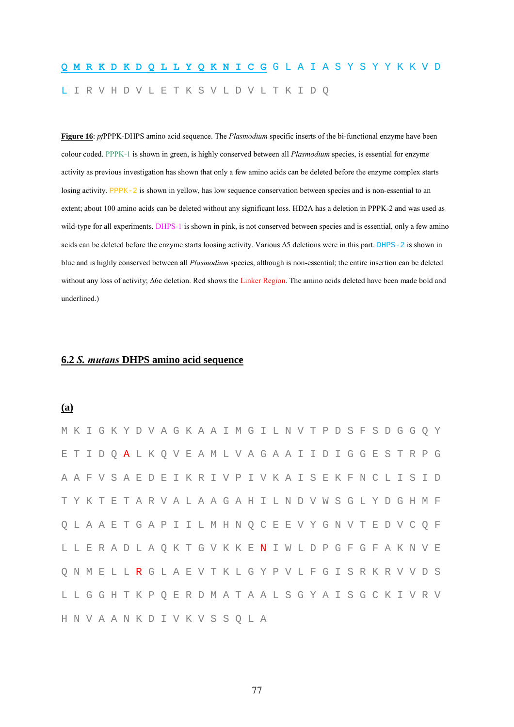# **Q M R K D K D Q L L Y Q K N I C G** G L A I A S Y S Y Y K K V D L I R V H D V L E T K S V L D V L T K I D Q

**Figure 16**: *pf*PPPK-DHPS amino acid sequence. The *Plasmodium* specific inserts of the bi-functional enzyme have been colour coded. PPPK-1 is shown in green, is highly conserved between all *Plasmodium* species, is essential for enzyme activity as previous investigation has shown that only a few amino acids can be deleted before the enzyme complex starts losing activity. PPPK-2 is shown in yellow, has low sequence conservation between species and is non-essential to an extent; about 100 amino acids can be deleted without any significant loss. HD2A has a deletion in PPPK-2 and was used as wild-type for all experiments. DHPS-1 is shown in pink, is not conserved between species and is essential, only a few amino acids can be deleted before the enzyme starts loosing activity. Various ∆5 deletions were in this part. DHPS-2 is shown in blue and is highly conserved between all *Plasmodium* species, although is non-essential; the entire insertion can be deleted without any loss of activity; ∆6c deletion. Red shows the Linker Region. The amino acids deleted have been made bold and underlined.)

#### **6.2** *S. mutans* **DHPS amino acid sequence**

#### **(a)**

| M K I G K Y D V A G K A A I M G I L N V T P D S F S D G G O Y |  |  |  |  |  |  |  |  |  |  |  |  |  |  |                                                               |
|---------------------------------------------------------------|--|--|--|--|--|--|--|--|--|--|--|--|--|--|---------------------------------------------------------------|
| ETIDQALKQVEAMLVAGAAIIDIGGESTRPG                               |  |  |  |  |  |  |  |  |  |  |  |  |  |  |                                                               |
|                                                               |  |  |  |  |  |  |  |  |  |  |  |  |  |  | A A F V S A E D E I K R I V P I V K A I S E K F N C L I S I D |
| TYKTETARVALAAGAHILNDVWSGLYDGHMF                               |  |  |  |  |  |  |  |  |  |  |  |  |  |  |                                                               |
| O L A A E T G A P I I L M H N O C E E V Y G N V T E D V C O F |  |  |  |  |  |  |  |  |  |  |  |  |  |  |                                                               |
| L L E R A D L A Q K T G V K K E N I W L D P G F G F A K N V E |  |  |  |  |  |  |  |  |  |  |  |  |  |  |                                                               |
| Q N M E L L R G L A E V T K L G Y P V L F G I S R K R V V D S |  |  |  |  |  |  |  |  |  |  |  |  |  |  |                                                               |
|                                                               |  |  |  |  |  |  |  |  |  |  |  |  |  |  | L L G G H T K P Q E R D M A T A A L S G Y A I S G C K I V R V |
| H N V A A N K D I V K V S S O L A                             |  |  |  |  |  |  |  |  |  |  |  |  |  |  |                                                               |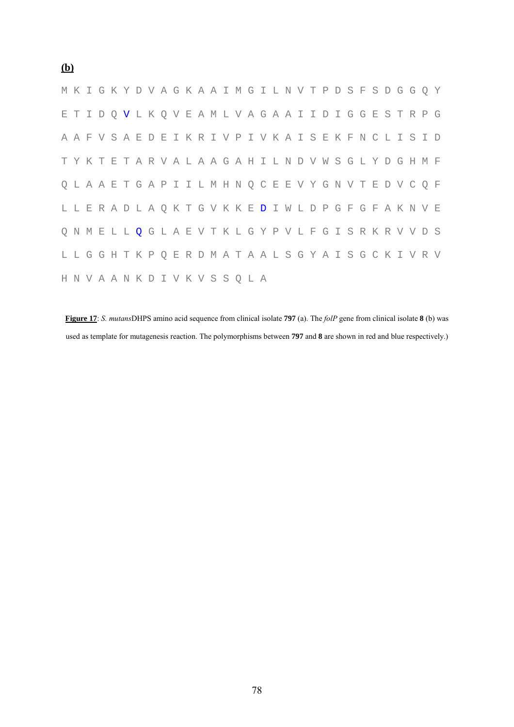|  |  | M K I G K Y D V A G K A A I M G I L N V T P D S F S D G G Q Y        |  |  |  |  |  |  |  |  |  |  |  |  |                                                               |
|--|--|----------------------------------------------------------------------|--|--|--|--|--|--|--|--|--|--|--|--|---------------------------------------------------------------|
|  |  | E T I D Q V L K Q V E A M L V A G A A I I D I G G E S T R P G        |  |  |  |  |  |  |  |  |  |  |  |  |                                                               |
|  |  |                                                                      |  |  |  |  |  |  |  |  |  |  |  |  | A A F V S A E D E I K R I V P I V K A I S E K F N C L I S I D |
|  |  | TYKTETARVALAAGAHILNDVWSGLYDGHMF                                      |  |  |  |  |  |  |  |  |  |  |  |  |                                                               |
|  |  | Q L A A E T G A P I I L M H N Q C E E V Y G N V T E D V C Q F        |  |  |  |  |  |  |  |  |  |  |  |  |                                                               |
|  |  | L L E R A D L A Q K T G V K K E <b>D</b> I W L D P G F G F A K N V E |  |  |  |  |  |  |  |  |  |  |  |  |                                                               |
|  |  | Q N M E L L Q G L A E V T K L G Y P V L F G I S R K R V V D S        |  |  |  |  |  |  |  |  |  |  |  |  |                                                               |
|  |  |                                                                      |  |  |  |  |  |  |  |  |  |  |  |  | L L G G H T K P Q E R D M A T A A L S G Y A I S G C K I V R V |
|  |  | H N V A A N K D I V K V S S O L A                                    |  |  |  |  |  |  |  |  |  |  |  |  |                                                               |

**Figure 17**: *S. mutans*DHPS amino acid sequence from clinical isolate **797** (a). The *folP* gene from clinical isolate **8** (b) was used as template for mutagenesis reaction. The polymorphisms between **797** and **8** are shown in red and blue respectively.)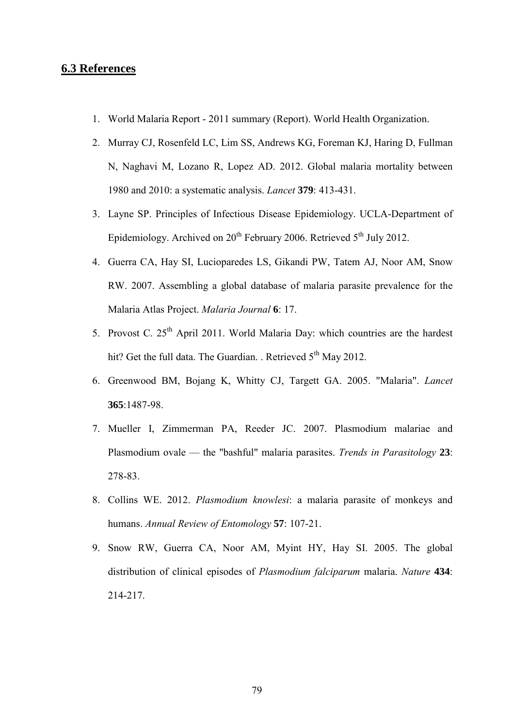### **6.3 References**

- 1. World Malaria Report 2011 summary (Report). World Health Organization.
- 2. Murray CJ, Rosenfeld LC, Lim SS, Andrews KG, Foreman KJ, Haring D, Fullman N, Naghavi M, Lozano R, Lopez AD. 2012. Global malaria mortality between 1980 and 2010: a systematic analysis. *Lancet* **379**: 413-431.
- 3. Layne SP. Principles of Infectious Disease Epidemiology. UCLA-Department of Epidemiology. Archived on 20<sup>th</sup> February 2006. Retrieved 5<sup>th</sup> July 2012.
- 4. Guerra CA, Hay SI, Lucioparedes LS, Gikandi PW, Tatem AJ, Noor AM, Snow RW. 2007. Assembling a global database of malaria parasite prevalence for the Malaria Atlas Project. *Malaria Journal* **6**: 17.
- 5. Provost C.  $25<sup>th</sup>$  April 2011. World Malaria Day: which countries are the hardest hit? Get the full data. The Guardian. . Retrieved 5<sup>th</sup> May 2012.
- 6. Greenwood BM, Bojang K, Whitty CJ, Targett GA. 2005. "Malaria". *Lancet* **365**:1487-98.
- 7. Mueller I, Zimmerman PA, Reeder JC. 2007. Plasmodium malariae and Plasmodium ovale — the "bashful" malaria parasites. *Trends in Parasitology* **23**: 278-83.
- 8. Collins WE. 2012. *Plasmodium knowlesi*: a malaria parasite of monkeys and humans. *Annual Review of Entomology* **57**: 107-21.
- 9. Snow RW, Guerra CA, Noor AM, Myint HY, Hay SI. 2005. The global distribution of clinical episodes of *Plasmodium falciparum* malaria. *Nature* **434**: 214-217.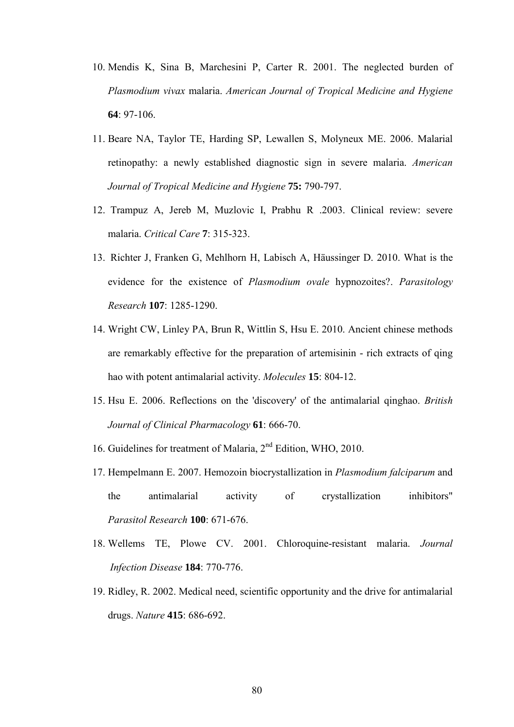- 10. Mendis K, Sina B, Marchesini P, Carter R. 2001. The neglected burden of *Plasmodium vivax* malaria. *American Journal of Tropical Medicine and Hygiene* **64**: 97-106.
- 11. Beare NA, Taylor TE, Harding SP, Lewallen S, Molyneux ME. 2006. Malarial retinopathy: a newly established diagnostic sign in severe malaria. *American Journal of Tropical Medicine and Hygiene* **75:** 790-797.
- 12. Trampuz A, Jereb M, Muzlovic I, Prabhu R .2003. Clinical review: severe malaria. *Critical Care* **7**: 315-323.
- 13. Richter J, Franken G, Mehlhorn H, Labisch A, Häussinger D. 2010. What is the evidence for the existence of *Plasmodium ovale* hypnozoites?. *Parasitology Research* **107**: 1285-1290.
- 14. Wright CW, Linley PA, Brun R, Wittlin S, Hsu E. 2010. Ancient chinese methods are remarkably effective for the preparation of artemisinin - rich extracts of qing hao with potent antimalarial activity. *Molecules* **15**: 804-12.
- 15. Hsu E. 2006. Reflections on the 'discovery' of the antimalarial qinghao. *British Journal of Clinical Pharmacology* **61**: 666-70.
- 16. Guidelines for treatment of Malaria, 2nd Edition, WHO, 2010.
- 17. Hempelmann E. 2007. Hemozoin biocrystallization in *Plasmodium falciparum* and the antimalarial activity of crystallization inhibitors" *Parasitol Research* **100**: 671-676.
- 18. Wellems TE, Plowe CV. 2001. Chloroquine-resistant malaria. *Journal Infection Disease* **184**: 770-776.
- 19. Ridley, R. 2002. Medical need, scientific opportunity and the drive for antimalarial drugs. *Nature* **415**: 686-692.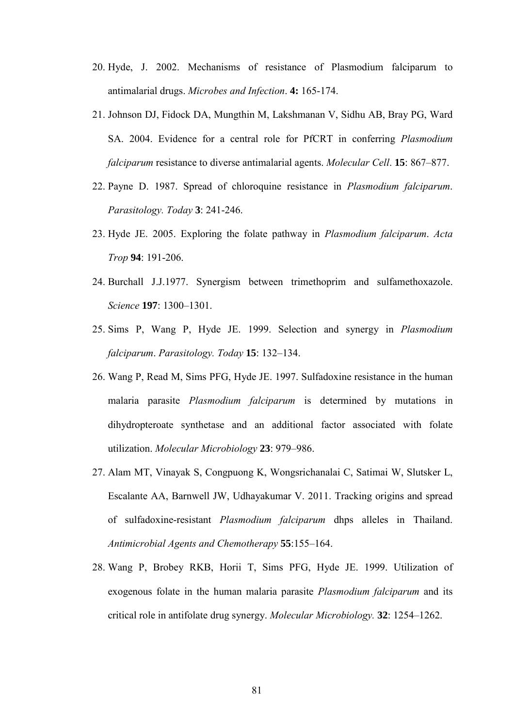- 20. Hyde, J. 2002. Mechanisms of resistance of Plasmodium falciparum to antimalarial drugs. *Microbes and Infection*. **4:** 165-174.
- 21. Johnson DJ, Fidock DA, Mungthin M, Lakshmanan V, Sidhu AB, Bray PG, Ward SA. 2004. Evidence for a central role for PfCRT in conferring *Plasmodium falciparum* resistance to diverse antimalarial agents. *Molecular Cell*. **15**: 867–877.
- 22. Payne D. 1987. Spread of chloroquine resistance in *Plasmodium falciparum*. *Parasitology. Today* **3**: 241-246.
- 23. Hyde JE. 2005. Exploring the folate pathway in *Plasmodium falciparum*. *Acta Trop* **94**: 191-206.
- 24. Burchall J.J.1977. Synergism between trimethoprim and sulfamethoxazole. *Science* **197**: 1300–1301.
- 25. Sims P, Wang P, Hyde JE. 1999. Selection and synergy in *Plasmodium falciparum*. *Parasitology. Today* **15**: 132–134.
- 26. Wang P, Read M, Sims PFG, Hyde JE. 1997. Sulfadoxine resistance in the human malaria parasite *Plasmodium falciparum* is determined by mutations in dihydropteroate synthetase and an additional factor associated with folate utilization. *Molecular Microbiology* **23**: 979–986.
- 27. Alam MT, Vinayak S, Congpuong K, Wongsrichanalai C, Satimai W, Slutsker L, Escalante AA, Barnwell JW, Udhayakumar V. 2011. Tracking origins and spread of sulfadoxine-resistant *Plasmodium falciparum* dhps alleles in Thailand. *Antimicrobial Agents and Chemotherapy* **55**:155–164.
- 28. Wang P, Brobey RKB, Horii T, Sims PFG, Hyde JE. 1999. Utilization of exogenous folate in the human malaria parasite *Plasmodium falciparum* and its critical role in antifolate drug synergy. *Molecular Microbiology.* **32**: 1254–1262.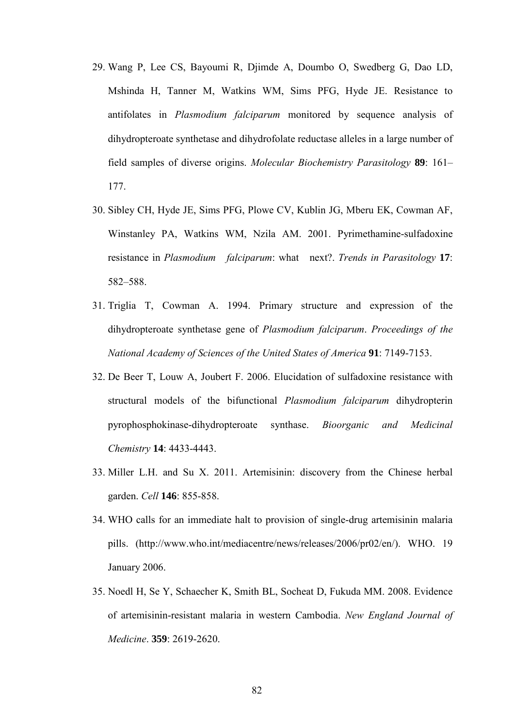- 29. Wang P, Lee CS, Bayoumi R, Djimde A, Doumbo O, Swedberg G, Dao LD, Mshinda H, Tanner M, Watkins WM, Sims PFG, Hyde JE. Resistance to antifolates in *Plasmodium falciparum* monitored by sequence analysis of dihydropteroate synthetase and dihydrofolate reductase alleles in a large number of field samples of diverse origins. *Molecular Biochemistry Parasitology* **89**: 161– 177.
- 30. Sibley CH, Hyde JE, Sims PFG, Plowe CV, Kublin JG, Mberu EK, Cowman AF, Winstanley PA, Watkins WM, Nzila AM. 2001. Pyrimethamine-sulfadoxine resistance in *Plasmodium falciparum*: what next?. *Trends in Parasitology* **17**: 582–588.
- 31. Triglia T, Cowman A. 1994. Primary structure and expression of the dihydropteroate synthetase gene of *Plasmodium falciparum*. *Proceedings of the National Academy of Sciences of the United States of America* **91**: 7149-7153.
- 32. De Beer T, Louw A, Joubert F. 2006. Elucidation of sulfadoxine resistance with structural models of the bifunctional *Plasmodium falciparum* dihydropterin pyrophosphokinase-dihydropteroate synthase. *Bioorganic and Medicinal Chemistry* **14**: 4433-4443.
- 33. Miller L.H. and Su X. 2011. Artemisinin: discovery from the Chinese herbal garden. *Cell* **146**: 855-858.
- 34. WHO calls for an immediate halt to provision of single-drug artemisinin malaria pills. (http://www.who.int/mediacentre/news/releases/2006/pr02/en/). WHO. 19 January 2006.
- 35. Noedl H, Se Y, Schaecher K, Smith BL, Socheat D, Fukuda MM. 2008. Evidence of artemisinin-resistant malaria in western Cambodia. *New England Journal of Medicine*. **359**: 2619-2620.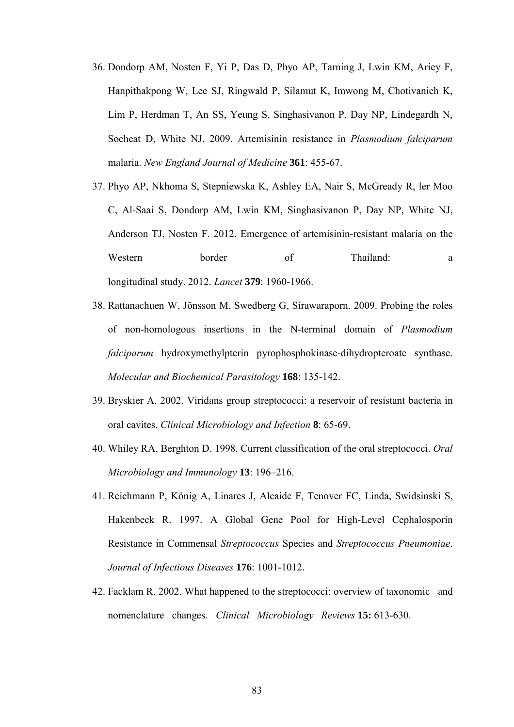- 36. Dondorp AM, Nosten F, Yi P, Das D, Phyo AP, Tarning J, Lwin KM, Ariey F, Hanpithakpong W, Lee SJ, Ringwald P, Silamut K, Imwong M, Chotivanich K, Lim P, Herdman T, An SS, Yeung S, Singhasivanon P, Day NP, Lindegardh N, Socheat D, White NJ. 2009. Artemisinin resistance in *Plasmodium falciparum* malaria. *New England Journal of Medicine* **361**: 455-67.
- 37. Phyo AP, Nkhoma S, Stepniewska K, Ashley EA, Nair S, McGready R, ler Moo C, Al-Saai S, Dondorp AM, Lwin KM, Singhasivanon P, Day NP, White NJ, Anderson TJ, Nosten F. 2012. Emergence of artemisinin-resistant malaria on the Western border of Thailand: a longitudinal study. 2012. *Lancet* **379**: 1960-1966.
- 38. Rattanachuen W, Jönsson M, Swedberg G, Sirawaraporn. 2009. Probing the roles of non-homologous insertions in the N-terminal domain of *Plasmodium falciparum* hydroxymethylpterin pyrophosphokinase-dihydropteroate synthase. *Molecular and Biochemical Parasitology* **168**: 135-142.
- 39. Bryskier A. 2002. Viridans group streptococci: a reservoir of resistant bacteria in oral cavites. *Clinical Microbiology and Infection* **8**: 65-69.
- 40. Whiley RA, Berghton D. 1998. Current classification of the oral streptococci. *Oral Microbiology and Immunology* **13**: 196–216.
- 41. Reichmann P, König A, Linares J, Alcaide F, Tenover FC, Linda, Swidsinski S, Hakenbeck R. 1997. A Global Gene Pool for High-Level Cephalosporin Resistance in Commensal *Streptococcus* Species and *Streptococcus Pneumoniae*. *Journal of Infectious Diseases* **176**: 1001-1012.
- 42. Facklam R. 2002. What happened to the streptococci: overview of taxonomic and nomenclature changes. *Clinical Microbiology Reviews* **15:** 613-630.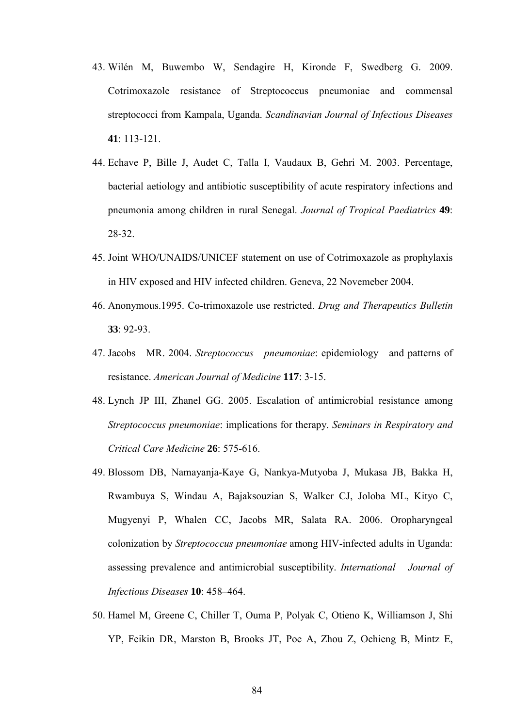- 43. Wilén M, Buwembo W, Sendagire H, Kironde F, Swedberg G. 2009. Cotrimoxazole resistance of Streptococcus pneumoniae and commensal streptococci from Kampala, Uganda. *Scandinavian Journal of Infectious Diseases*  **41**: 113-121.
- 44. Echave P, Bille J, Audet C, Talla I, Vaudaux B, Gehri M. 2003. Percentage, bacterial aetiology and antibiotic susceptibility of acute respiratory infections and pneumonia among children in rural Senegal. *Journal of Tropical Paediatrics* **49**: 28-32.
- 45. Joint WHO/UNAIDS/UNICEF statement on use of Cotrimoxazole as prophylaxis in HIV exposed and HIV infected children. Geneva, 22 Novemeber 2004.
- 46. Anonymous.1995. Co-trimoxazole use restricted. *Drug and Therapeutics Bulletin*  **33**: 92-93.
- 47. Jacobs MR. 2004. *Streptococcus pneumoniae*: epidemiology and patterns of resistance. *American Journal of Medicine* **117**: 3-15.
- 48. Lynch JP III, Zhanel GG. 2005. Escalation of antimicrobial resistance among *Streptococcus pneumoniae*: implications for therapy. *Seminars in Respiratory and Critical Care Medicine* **26**: 575-616.
- 49. Blossom DB, Namayanja-Kaye G, Nankya-Mutyoba J, Mukasa JB, Bakka H, Rwambuya S, Windau A, Bajaksouzian S, Walker CJ, Joloba ML, Kityo C, Mugyenyi P, Whalen CC, Jacobs MR, Salata RA. 2006. Oropharyngeal colonization by *Streptococcus pneumoniae* among HIV-infected adults in Uganda: assessing prevalence and antimicrobial susceptibility. *International Journal of Infectious Diseases* **10**: 458–464.
- 50. Hamel M, Greene C, Chiller T, Ouma P, Polyak C, Otieno K, Williamson J, Shi YP, Feikin DR, Marston B, Brooks JT, Poe A, Zhou Z, Ochieng B, Mintz E,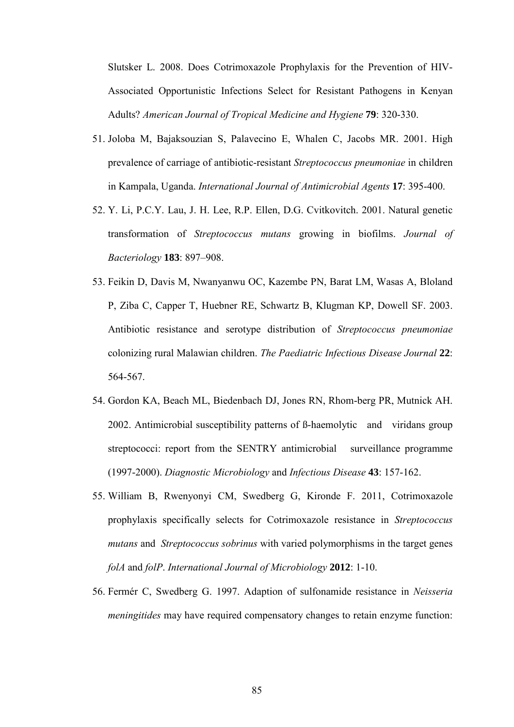Slutsker L. 2008. Does Cotrimoxazole Prophylaxis for the Prevention of HIV-Associated Opportunistic Infections Select for Resistant Pathogens in Kenyan Adults? *American Journal of Tropical Medicine and Hygiene* **79**: 320-330.

- 51. Joloba M, Bajaksouzian S, Palavecino E, Whalen C, Jacobs MR. 2001. High prevalence of carriage of antibiotic-resistant *Streptococcus pneumoniae* in children in Kampala, Uganda. *International Journal of Antimicrobial Agents* **17**: 395-400.
- 52. Y. Li, P.C.Y. Lau, J. H. Lee, R.P. Ellen, D.G. Cvitkovitch. 2001. Natural genetic transformation of *Streptococcus mutans* growing in biofilms. *Journal of Bacteriology* **183**: 897–908.
- 53. Feikin D, Davis M, Nwanyanwu OC, Kazembe PN, Barat LM, Wasas A, Bloland P, Ziba C, Capper T, Huebner RE, Schwartz B, Klugman KP, Dowell SF. 2003. Antibiotic resistance and serotype distribution of *Streptococcus pneumoniae* colonizing rural Malawian children. *The Paediatric Infectious Disease Journal* **22**: 564-567.
- 54. Gordon KA, Beach ML, Biedenbach DJ, Jones RN, Rhom-berg PR, Mutnick AH. 2002. Antimicrobial susceptibility patterns of ß-haemolytic and viridans group streptococci: report from the SENTRY antimicrobial surveillance programme (1997-2000). *Diagnostic Microbiology* and *Infectious Disease* **43**: 157-162.
- 55. William B, Rwenyonyi CM, Swedberg G, Kironde F. 2011, Cotrimoxazole prophylaxis specifically selects for Cotrimoxazole resistance in *Streptococcus mutans* and *Streptococcus sobrinus* with varied polymorphisms in the target genes *folA* and *folP*. *International Journal of Microbiology* **2012**: 1-10.
- 56. Fermér C, Swedberg G. 1997. Adaption of sulfonamide resistance in *Neisseria meningitides* may have required compensatory changes to retain enzyme function: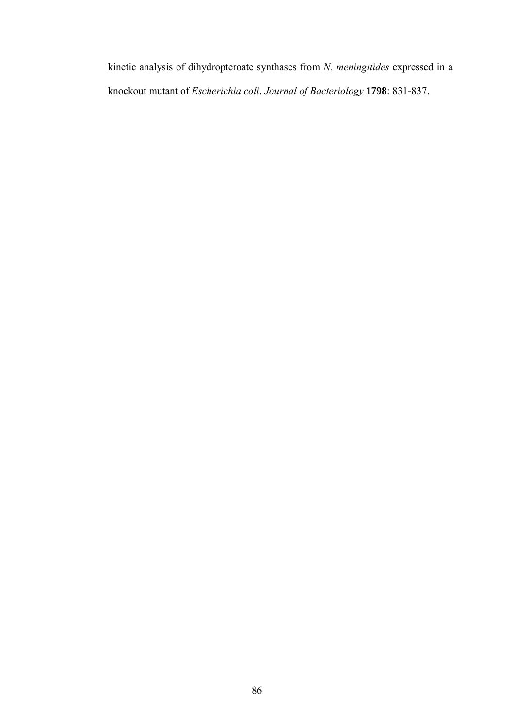kinetic analysis of dihydropteroate synthases from *N. meningitides* expressed in a knockout mutant of *Escherichia coli*. *Journal of Bacteriology* **1798**: 831-837.